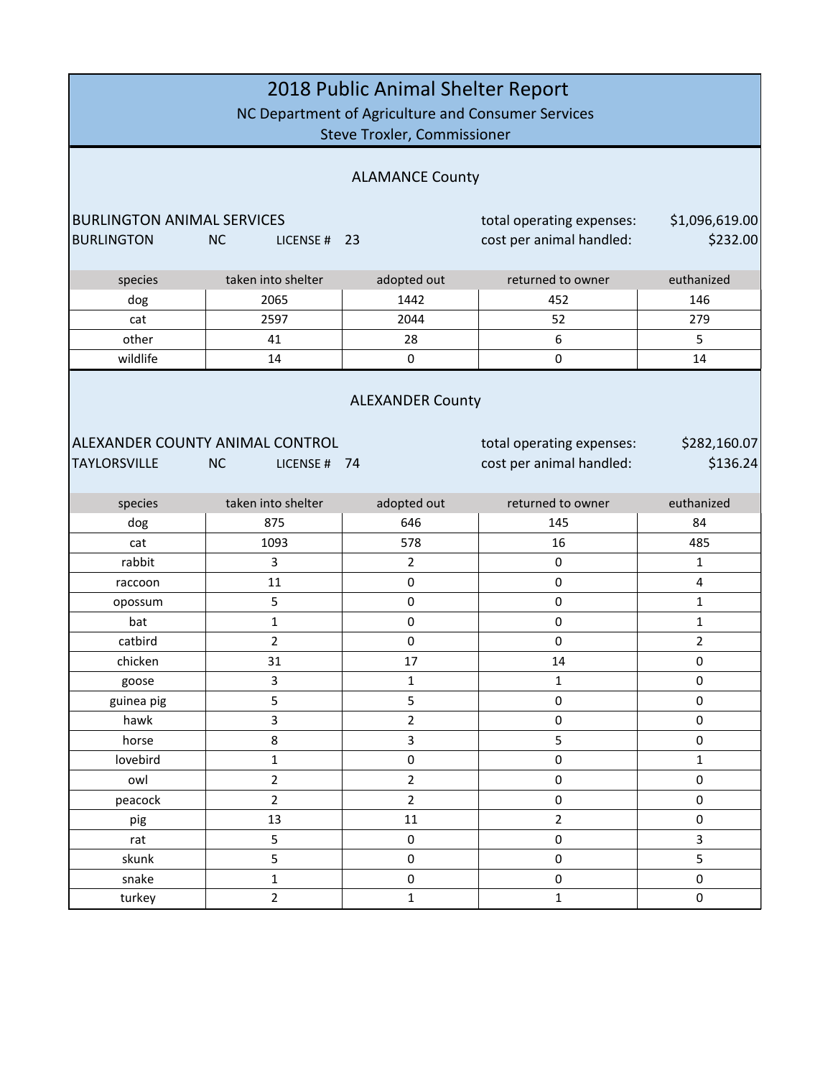| 2018 Public Animal Shelter Report<br>NC Department of Agriculture and Consumer Services<br><b>Steve Troxler, Commissioner</b>                                           |                           |                |                          |                          |
|-------------------------------------------------------------------------------------------------------------------------------------------------------------------------|---------------------------|----------------|--------------------------|--------------------------|
| <b>ALAMANCE County</b>                                                                                                                                                  |                           |                |                          |                          |
| <b>BURLINGTON ANIMAL SERVICES</b><br>\$1,096,619.00<br>total operating expenses:                                                                                        |                           |                |                          |                          |
| <b>BURLINGTON</b>                                                                                                                                                       | <b>NC</b><br>LICENSE # 23 |                | cost per animal handled: | \$232.00                 |
|                                                                                                                                                                         |                           |                |                          |                          |
| species                                                                                                                                                                 | taken into shelter        | adopted out    | returned to owner        | euthanized               |
| dog                                                                                                                                                                     | 2065                      | 1442           | 452                      | 146                      |
| cat                                                                                                                                                                     | 2597                      | 2044           | 52                       | 279                      |
| other                                                                                                                                                                   | 41                        | 28             | 6                        | 5                        |
| wildlife                                                                                                                                                                | 14                        | $\pmb{0}$      | 0                        | 14                       |
| <b>ALEXANDER County</b><br>ALEXANDER COUNTY ANIMAL CONTROL<br>total operating expenses:<br><b>TAYLORSVILLE</b><br>cost per animal handled:<br><b>NC</b><br>LICENSE # 74 |                           |                |                          | \$282,160.07<br>\$136.24 |
| species                                                                                                                                                                 | taken into shelter        | adopted out    | returned to owner        | euthanized               |
| dog                                                                                                                                                                     | 875                       | 646            | 145                      | 84                       |
| cat                                                                                                                                                                     | 1093                      | 578            | 16                       | 485                      |
| rabbit                                                                                                                                                                  | 3                         | $\overline{2}$ | $\pmb{0}$                | 1                        |
| raccoon                                                                                                                                                                 | 11                        | $\pmb{0}$      | $\pmb{0}$                | 4                        |
| opossum                                                                                                                                                                 | 5                         | $\pmb{0}$      | $\mathbf 0$              | $\mathbf{1}$             |
| bat                                                                                                                                                                     | $\mathbf{1}$              | $\pmb{0}$      | $\pmb{0}$                | $\mathbf{1}$             |
| catbird                                                                                                                                                                 | $\mathbf 2$               | $\pmb{0}$      | $\pmb{0}$                | $\overline{2}$           |
| chicken                                                                                                                                                                 | 31                        | 17             | 14                       | $\pmb{0}$                |
| goose                                                                                                                                                                   | 3                         | $\mathbf 1$    | $\mathbf 1$              | 0                        |
| guinea pig                                                                                                                                                              | 5                         | 5              | $\pmb{0}$                | 0                        |
| hawk                                                                                                                                                                    | 3                         | $\overline{2}$ | $\mathsf 0$              | $\mathsf 0$              |
| horse                                                                                                                                                                   | 8                         | $\overline{3}$ | 5                        | $\pmb{0}$                |
| lovebird                                                                                                                                                                | $\mathbf 1$               | $\pmb{0}$      | $\pmb{0}$                | $\mathbf{1}$             |
| owl                                                                                                                                                                     | $\overline{2}$            | $\overline{2}$ | $\pmb{0}$                | $\pmb{0}$                |
| peacock                                                                                                                                                                 | $\overline{2}$            | $\overline{2}$ | $\pmb{0}$                | $\pmb{0}$                |
| pig                                                                                                                                                                     | 13                        | 11             | $\overline{2}$           | $\pmb{0}$                |
| rat                                                                                                                                                                     | 5                         | $\pmb{0}$      | $\mathbf 0$              | 3                        |
| skunk                                                                                                                                                                   | 5                         | 0              | $\pmb{0}$                | 5                        |
| snake                                                                                                                                                                   | $\mathbf 1$               | $\pmb{0}$      | $\pmb{0}$                | $\pmb{0}$                |
| turkey                                                                                                                                                                  | $\overline{2}$            | $\mathbf{1}$   | $\mathbf{1}$             | $\pmb{0}$                |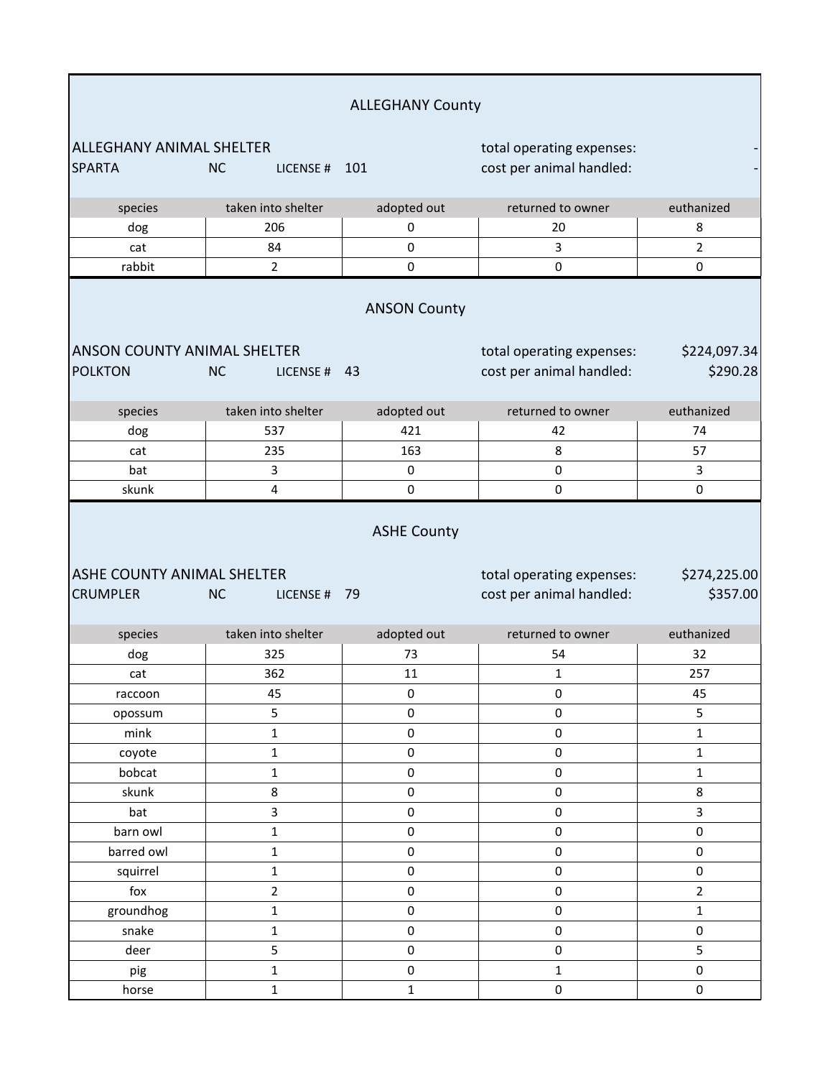|                                                      |                            | <b>ALLEGHANY County</b> |                                                       |                          |
|------------------------------------------------------|----------------------------|-------------------------|-------------------------------------------------------|--------------------------|
| <b>ALLEGHANY ANIMAL SHELTER</b>                      |                            |                         | total operating expenses:                             |                          |
| <b>SPARTA</b>                                        | <b>NC</b><br>LICENSE # 101 |                         | cost per animal handled:                              |                          |
| species                                              | taken into shelter         | adopted out             | returned to owner                                     | euthanized               |
| dog                                                  | 206                        | 0                       | 20                                                    | 8                        |
| cat                                                  | 84                         | 0                       | 3                                                     | $\overline{2}$           |
| rabbit                                               | $\overline{2}$             | 0                       | 0                                                     | 0                        |
|                                                      |                            | <b>ANSON County</b>     |                                                       |                          |
| <b>ANSON COUNTY ANIMAL SHELTER</b>                   |                            |                         | total operating expenses:                             | \$224,097.34             |
| <b>POLKTON</b>                                       | <b>NC</b><br>LICENSE # 43  |                         | cost per animal handled:                              | \$290.28                 |
| species                                              | taken into shelter         | adopted out             | returned to owner                                     | euthanized               |
| dog                                                  | 537                        | 421                     | 42                                                    | 74                       |
| cat                                                  | 235                        | 163                     | 8                                                     | 57                       |
| bat                                                  | 3                          | 0                       | 0                                                     | $\overline{3}$           |
| skunk                                                | 4                          | 0                       | 0                                                     | $\mathsf{O}\xspace$      |
| <b>ASHE COUNTY ANIMAL SHELTER</b><br><b>CRUMPLER</b> | <b>NC</b><br>LICENSE # 79  | <b>ASHE County</b>      | total operating expenses:<br>cost per animal handled: | \$274,225.00<br>\$357.00 |
| species                                              | taken into shelter         | adopted out             | returned to owner                                     | euthanized               |
| dog                                                  | 325                        | 73                      | 54                                                    | 32                       |
| cat                                                  | 362                        | 11                      | 1                                                     | 257                      |
| raccoon                                              | 45                         | $\pmb{0}$               | $\pmb{0}$                                             | 45                       |
| opossum                                              | 5                          | 0                       | 0                                                     | 5                        |
| mink                                                 | $\mathbf 1$                | $\mathsf 0$             | $\pmb{0}$                                             | $\mathbf{1}$             |
| coyote                                               | $\mathbf 1$                | 0                       | 0                                                     | $\mathbf 1$              |
| bobcat                                               | $\mathbf{1}$               | $\mathbf 0$             | $\pmb{0}$                                             | $\mathbf{1}$             |
| skunk                                                | 8                          | $\mathsf 0$             | 0                                                     | 8                        |
| bat                                                  | 3                          | 0                       | 0                                                     | $\mathbf{3}$             |
| barn owl                                             | $\mathbf 1$                | $\mathsf{O}\xspace$     | $\pmb{0}$                                             | 0                        |
| barred owl                                           | $\mathbf 1$                | $\mathsf 0$             | $\pmb{0}$                                             | 0                        |
| squirrel                                             | $\mathbf 1$                | $\pmb{0}$               | $\pmb{0}$                                             | 0                        |
| fox                                                  | $\mathbf 2$                | $\mathsf 0$             | $\pmb{0}$                                             | $\overline{2}$           |
| groundhog                                            | $\mathbf 1$                | 0                       | 0                                                     | $\mathbf{1}$             |
| snake                                                | $\mathbf 1$                | $\pmb{0}$               | $\pmb{0}$                                             | $\mathsf{O}\xspace$      |
| deer                                                 | 5                          | 0                       | $\pmb{0}$                                             | 5                        |
| pig                                                  | $\mathbf 1$                | $\pmb{0}$               | $\mathbf 1$                                           | 0                        |
| horse                                                | $\mathbf 1$                | $\mathbf 1$             | 0                                                     | 0                        |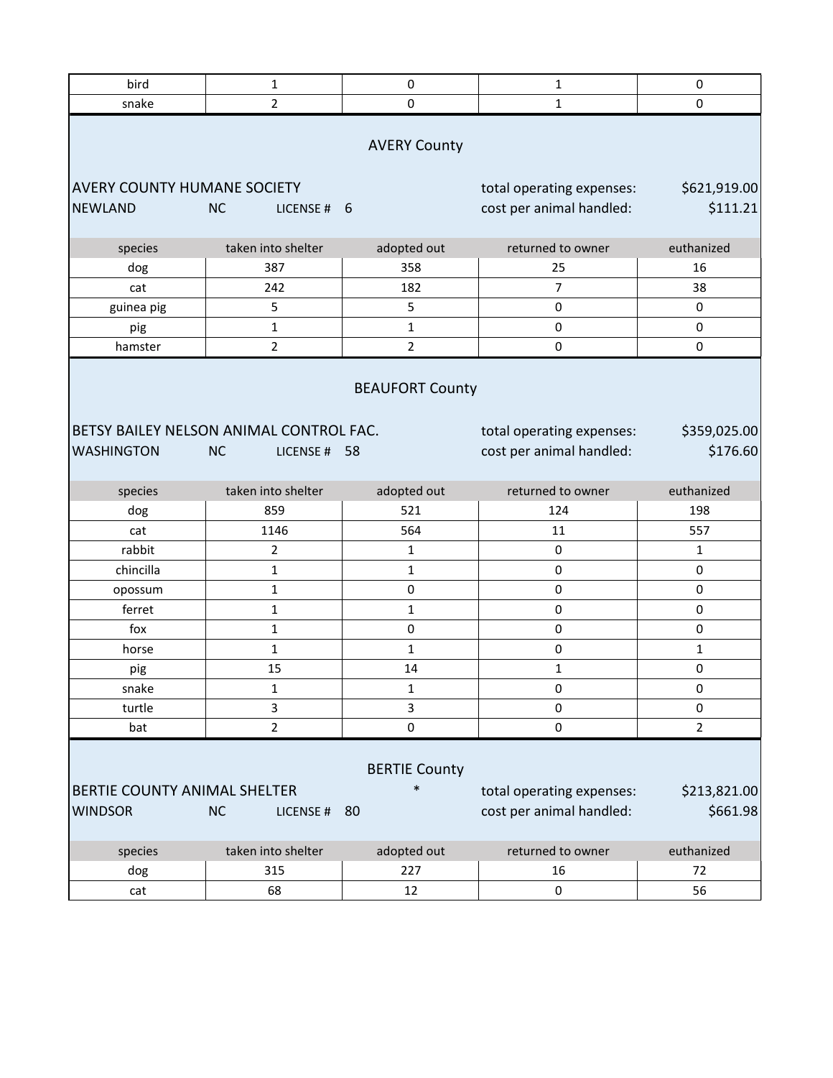| bird                                                 | 1                                       | $\pmb{0}$                      | $\mathbf 1$                                           | 0                        |  |
|------------------------------------------------------|-----------------------------------------|--------------------------------|-------------------------------------------------------|--------------------------|--|
| snake                                                | $\overline{2}$                          | $\pmb{0}$                      | $\mathbf 1$                                           | 0                        |  |
| <b>AVERY County</b>                                  |                                         |                                |                                                       |                          |  |
| <b>AVERY COUNTY HUMANE SOCIETY</b><br><b>NEWLAND</b> | <b>NC</b><br>LICENSE#                   | -6                             | total operating expenses:<br>cost per animal handled: | \$621,919.00<br>\$111.21 |  |
| species                                              | taken into shelter                      | adopted out                    | returned to owner                                     | euthanized               |  |
| dog                                                  | 387                                     | 358                            | 25                                                    | 16                       |  |
| cat                                                  | 242                                     | 182                            | $\overline{7}$                                        | 38                       |  |
| guinea pig                                           | 5                                       | 5                              | 0                                                     | 0                        |  |
| pig                                                  | $\mathbf 1$                             | $\mathbf{1}$                   | $\pmb{0}$                                             | 0                        |  |
| hamster                                              | $\overline{2}$                          | $\overline{2}$                 | $\pmb{0}$                                             | 0                        |  |
|                                                      |                                         | <b>BEAUFORT County</b>         |                                                       |                          |  |
|                                                      | BETSY BAILEY NELSON ANIMAL CONTROL FAC. |                                | total operating expenses:                             | \$359,025.00             |  |
| <b>WASHINGTON</b>                                    | <b>NC</b><br>LICENSE #                  | 58                             | cost per animal handled:                              | \$176.60                 |  |
|                                                      |                                         |                                |                                                       |                          |  |
| species                                              | taken into shelter                      | adopted out                    | returned to owner                                     | euthanized               |  |
| dog                                                  | 859                                     | 521                            | 124                                                   | 198                      |  |
| cat                                                  | 1146                                    | 564                            | 11                                                    | 557                      |  |
| rabbit                                               | $\overline{2}$                          | $\mathbf{1}$                   | $\pmb{0}$                                             | $\mathbf{1}$             |  |
| chincilla                                            | $\mathbf{1}$                            | $\mathbf 1$                    | $\pmb{0}$                                             | 0                        |  |
| opossum                                              | 1                                       | 0                              | 0                                                     | 0                        |  |
| ferret                                               | $\mathbf{1}$                            | $\mathbf{1}$                   | 0                                                     | 0                        |  |
| fox                                                  | $\mathbf{1}$                            | $\pmb{0}$                      | $\pmb{0}$                                             | 0                        |  |
| horse                                                | 1                                       | $\mathbf{1}$                   | $\mathsf 0$                                           | 1                        |  |
| pig                                                  | 15                                      | 14                             | $\mathbf 1$                                           | 0                        |  |
| snake                                                | 1                                       | 1                              | 0                                                     | 0                        |  |
| turtle                                               | 3                                       | 3                              | $\pmb{0}$                                             | 0                        |  |
| bat                                                  | $\overline{2}$                          | $\mathsf 0$                    | $\pmb{0}$                                             | $\overline{2}$           |  |
| <b>BERTIE COUNTY ANIMAL SHELTER</b>                  |                                         | <b>BERTIE County</b><br>$\ast$ | total operating expenses:                             | \$213,821.00             |  |
| <b>WINDSOR</b>                                       | <b>NC</b><br>LICENSE #                  | 80                             | cost per animal handled:                              | \$661.98                 |  |
|                                                      |                                         |                                |                                                       |                          |  |
| species                                              | taken into shelter                      | adopted out                    | returned to owner                                     | euthanized               |  |
| dog                                                  | 315                                     | 227                            | 16                                                    | 72                       |  |
| cat                                                  | 68                                      | 12                             | $\pmb{0}$                                             | 56                       |  |
|                                                      |                                         |                                |                                                       |                          |  |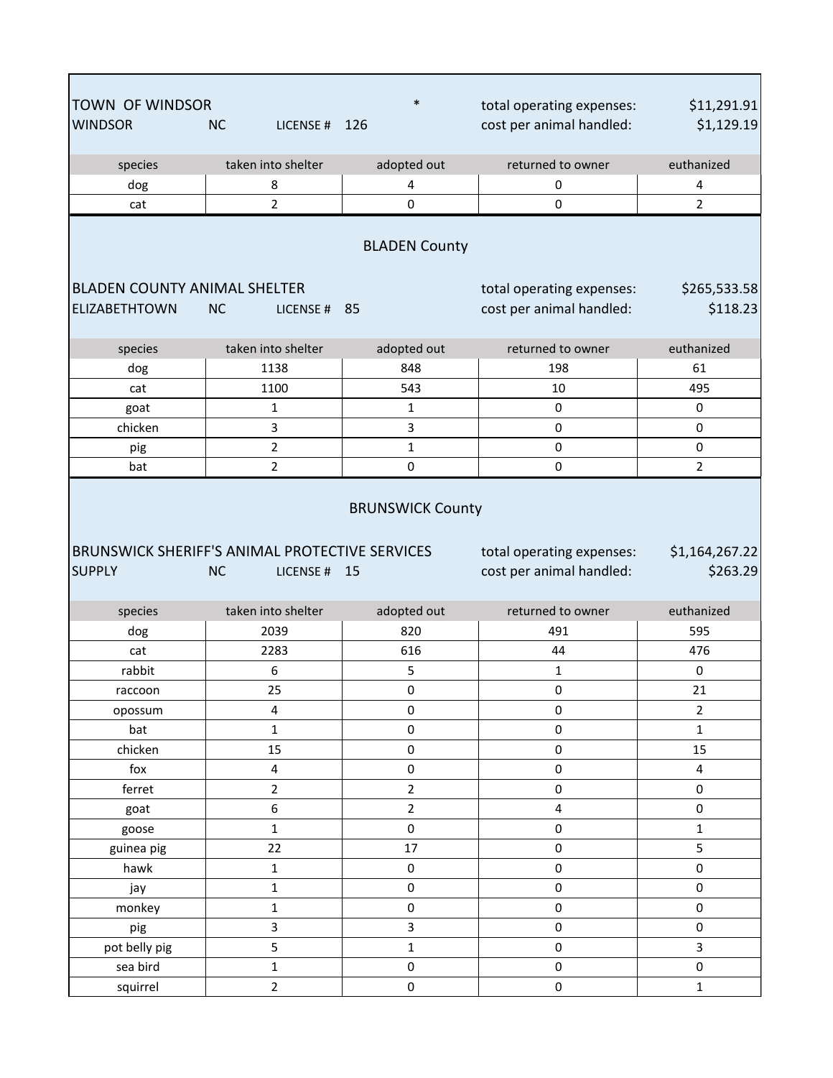| <b>TOWN OF WINDSOR</b>              |                                                                         | $\ast$              | total operating expenses:                             | \$11,291.91                |  |  |
|-------------------------------------|-------------------------------------------------------------------------|---------------------|-------------------------------------------------------|----------------------------|--|--|
| <b>WINDSOR</b>                      | <b>NC</b><br>LICENSE # 126                                              |                     | cost per animal handled:                              | \$1,129.19                 |  |  |
| species                             | taken into shelter                                                      | adopted out         | returned to owner                                     | euthanized                 |  |  |
| dog                                 | 8                                                                       | 4                   | 0                                                     | 4                          |  |  |
| cat                                 | $\overline{2}$                                                          | $\mathbf 0$         | $\mathbf 0$                                           | $\overline{2}$             |  |  |
| <b>BLADEN County</b>                |                                                                         |                     |                                                       |                            |  |  |
| <b>BLADEN COUNTY ANIMAL SHELTER</b> |                                                                         |                     | total operating expenses:                             | \$265,533.58               |  |  |
| <b>ELIZABETHTOWN</b>                | <b>NC</b><br>LICENSE #                                                  | 85                  | cost per animal handled:                              | \$118.23                   |  |  |
|                                     |                                                                         |                     |                                                       |                            |  |  |
| species                             | taken into shelter                                                      | adopted out         | returned to owner                                     | euthanized                 |  |  |
| dog                                 | 1138                                                                    | 848                 | 198                                                   | 61                         |  |  |
| cat                                 | 1100                                                                    | 543                 | 10                                                    | 495                        |  |  |
| goat                                | $\mathbf{1}$                                                            | 1                   | $\pmb{0}$                                             | 0                          |  |  |
| chicken                             | 3                                                                       | 3                   | $\pmb{0}$                                             | 0                          |  |  |
| pig                                 | $\overline{2}$                                                          | $\mathbf 1$         | $\mathsf 0$                                           | 0                          |  |  |
| bat                                 | $\overline{2}$                                                          | $\pmb{0}$           | $\pmb{0}$                                             | $\overline{2}$             |  |  |
| <b>SUPPLY</b>                       | BRUNSWICK SHERIFF'S ANIMAL PROTECTIVE SERVICES<br><b>NC</b><br>LICENSE# | 15                  | total operating expenses:<br>cost per animal handled: | \$1,164,267.22<br>\$263.29 |  |  |
| species                             | taken into shelter                                                      | adopted out         | returned to owner                                     | euthanized                 |  |  |
| dog                                 | 2039                                                                    | 820                 | 491                                                   | 595                        |  |  |
| cat                                 | 2283                                                                    | 616                 | 44                                                    | 476                        |  |  |
| rabbit                              | 6                                                                       | 5                   | $\mathbf{1}$                                          | 0                          |  |  |
| raccoon                             | 25                                                                      | 0                   | 0                                                     | 21                         |  |  |
| opossum                             | 4                                                                       | 0                   | $\pmb{0}$                                             | $\overline{2}$             |  |  |
| bat                                 | $\mathbf{1}$                                                            | $\pmb{0}$           | $\pmb{0}$                                             | $\mathbf{1}$               |  |  |
| chicken                             | 15                                                                      | $\pmb{0}$           | $\pmb{0}$                                             | 15                         |  |  |
| $f$                                 | $\overline{\mathbf{4}}$                                                 | $\pmb{0}$           | $\pmb{0}$                                             | 4                          |  |  |
| ferret                              | $\overline{2}$                                                          | $\overline{2}$      | $\mathbf 0$                                           | 0                          |  |  |
| goat                                | 6                                                                       | $\overline{2}$      | $\overline{4}$                                        | 0                          |  |  |
| goose                               | $\mathbf{1}$                                                            | $\pmb{0}$           | $\pmb{0}$                                             | $\mathbf{1}$               |  |  |
| guinea pig                          | 22                                                                      | 17                  | $\pmb{0}$                                             | 5                          |  |  |
| hawk                                | $\mathbf 1$                                                             | $\mathsf{O}\xspace$ | $\pmb{0}$                                             | 0                          |  |  |
| јау                                 | $\mathbf 1$                                                             | $\pmb{0}$           | $\pmb{0}$                                             | 0                          |  |  |
| monkey                              | $\mathbf 1$                                                             | $\pmb{0}$           | $\mathsf 0$                                           | 0                          |  |  |
| pig                                 | $\mathbf{3}$                                                            | 3                   | $\mathsf 0$                                           | 0                          |  |  |
| pot belly pig                       | 5                                                                       | $\mathbf{1}$        | $\mathsf 0$                                           | 3                          |  |  |
| sea bird                            | $\mathbf 1$                                                             | $\pmb{0}$           | $\pmb{0}$                                             | 0                          |  |  |
| squirrel                            | $\overline{2}$                                                          | $\mathsf{O}\xspace$ | $\mathsf{O}\xspace$                                   | $\mathbf{1}$               |  |  |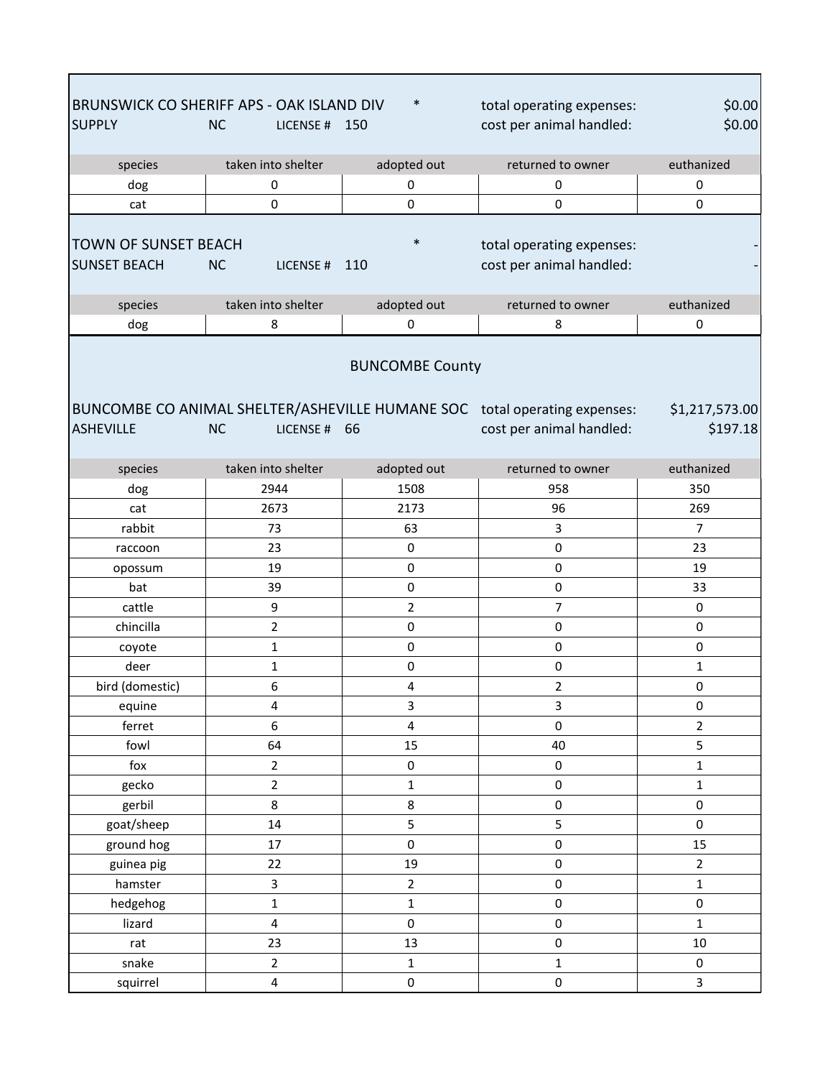| BRUNSWICK CO SHERIFF APS - OAK ISLAND DIV<br><b>SUPPLY</b>                                                                                                                                                       | <b>NC</b><br>LICENSE # 150 | $\ast$                  | total operating expenses:<br>cost per animal handled: | \$0.00<br>\$0.00 |  |
|------------------------------------------------------------------------------------------------------------------------------------------------------------------------------------------------------------------|----------------------------|-------------------------|-------------------------------------------------------|------------------|--|
| species                                                                                                                                                                                                          | taken into shelter         | adopted out             | returned to owner                                     | euthanized       |  |
| dog                                                                                                                                                                                                              | 0                          | 0                       | $\pmb{0}$                                             | 0                |  |
| cat                                                                                                                                                                                                              | $\mathbf 0$                | $\mathbf 0$             | $\mathbf 0$                                           | $\mathbf 0$      |  |
| <b>TOWN OF SUNSET BEACH</b><br><b>SUNSET BEACH</b>                                                                                                                                                               | <b>NC</b><br>LICENSE#      | $\ast$<br>110           | total operating expenses:<br>cost per animal handled: |                  |  |
| species                                                                                                                                                                                                          | taken into shelter         | adopted out             | returned to owner                                     | euthanized       |  |
| dog                                                                                                                                                                                                              | 8                          | 0                       | 8                                                     | 0                |  |
| <b>BUNCOMBE County</b><br>BUNCOMBE CO ANIMAL SHELTER/ASHEVILLE HUMANE SOC total operating expenses:<br>\$1,217,573.00<br><b>ASHEVILLE</b><br><b>NC</b><br>cost per animal handled:<br>\$197.18<br>66<br>LICENSE# |                            |                         |                                                       |                  |  |
| species                                                                                                                                                                                                          | taken into shelter         | adopted out             | returned to owner                                     | euthanized       |  |
| dog                                                                                                                                                                                                              | 2944                       | 1508                    | 958                                                   | 350              |  |
| cat                                                                                                                                                                                                              | 2673                       | 2173                    | 96                                                    | 269              |  |
| rabbit                                                                                                                                                                                                           | 73                         | 63                      | 3                                                     | $\overline{7}$   |  |
| raccoon                                                                                                                                                                                                          | 23                         | $\mathbf 0$             | $\mathbf 0$                                           | 23               |  |
| opossum                                                                                                                                                                                                          | 19                         | $\pmb{0}$               | 0                                                     | 19               |  |
| bat                                                                                                                                                                                                              | 39                         | $\pmb{0}$               | 0                                                     | 33               |  |
| cattle                                                                                                                                                                                                           | 9                          | $\overline{2}$          | 7                                                     | 0                |  |
| chincilla                                                                                                                                                                                                        | $\overline{2}$             | $\mathbf 0$             | 0                                                     | 0                |  |
| coyote                                                                                                                                                                                                           | $\mathbf 1$                | $\mathbf 0$             | 0                                                     | 0                |  |
| deer                                                                                                                                                                                                             | 1                          | $\pmb{0}$               | 0                                                     | 1                |  |
| bird (domestic)                                                                                                                                                                                                  | 6                          | $\overline{4}$          | $\overline{2}$                                        | $\pmb{0}$        |  |
| equine                                                                                                                                                                                                           | $\pmb{4}$                  | 3                       | 3                                                     | 0                |  |
| ferret                                                                                                                                                                                                           | 6                          | $\overline{\mathbf{4}}$ | $\pmb{0}$                                             | $\overline{2}$   |  |
| fowl                                                                                                                                                                                                             | 64                         | 15                      | 40                                                    | 5                |  |
| fox                                                                                                                                                                                                              | $\overline{2}$             | $\pmb{0}$               | 0                                                     | $\mathbf{1}$     |  |
| gecko                                                                                                                                                                                                            | $\overline{2}$             | $\mathbf 1$             | $\pmb{0}$                                             | $\mathbf 1$      |  |
| gerbil                                                                                                                                                                                                           | 8                          | 8                       | $\pmb{0}$                                             | 0                |  |
| goat/sheep                                                                                                                                                                                                       | 14                         | 5                       | 5                                                     | 0                |  |
| ground hog                                                                                                                                                                                                       | 17                         | $\pmb{0}$               | $\pmb{0}$                                             | 15               |  |
| guinea pig                                                                                                                                                                                                       | 22                         | 19                      | $\pmb{0}$                                             | $\overline{2}$   |  |
| hamster                                                                                                                                                                                                          | 3                          | $\overline{2}$          | 0                                                     | $\mathbf{1}$     |  |
| hedgehog                                                                                                                                                                                                         | $\mathbf{1}$               | $\mathbf{1}$            | 0                                                     | 0                |  |
| lizard                                                                                                                                                                                                           | $\pmb{4}$                  | $\pmb{0}$               | 0                                                     | $\mathbf 1$      |  |
| rat                                                                                                                                                                                                              | 23                         | 13                      | $\pmb{0}$                                             | $10\,$           |  |
| snake                                                                                                                                                                                                            | $\overline{2}$             | $\mathbf{1}$            | $\mathbf 1$                                           | 0                |  |
| squirrel                                                                                                                                                                                                         | $\pmb{4}$                  | $\pmb{0}$               | $\pmb{0}$                                             | 3                |  |

г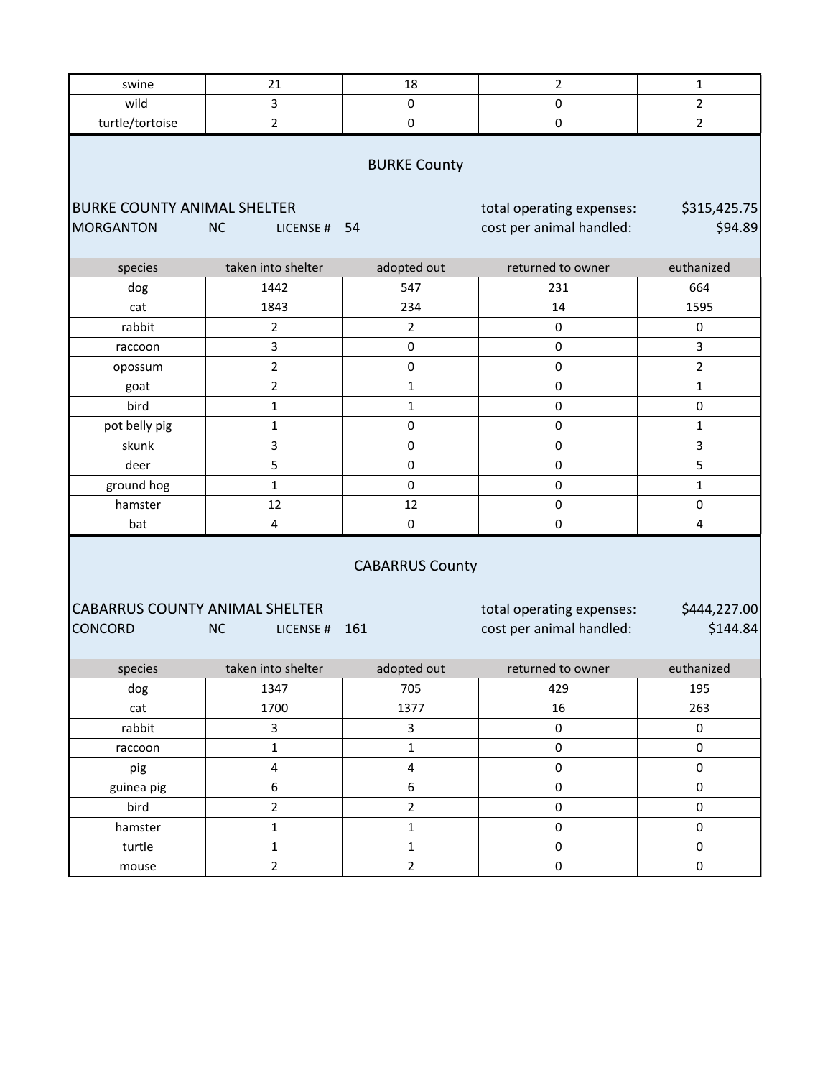| swine                                                                                                                                                                                                  | 21                        | 18             | 2                        | 1              |  |
|--------------------------------------------------------------------------------------------------------------------------------------------------------------------------------------------------------|---------------------------|----------------|--------------------------|----------------|--|
| wild                                                                                                                                                                                                   | 3                         | $\pmb{0}$      | $\pmb{0}$                | $\overline{2}$ |  |
| turtle/tortoise                                                                                                                                                                                        | $\mathbf 2$               | $\pmb{0}$      | 0                        | $\overline{2}$ |  |
| <b>BURKE County</b><br><b>BURKE COUNTY ANIMAL SHELTER</b><br>total operating expenses:<br>\$315,425.75                                                                                                 |                           |                |                          |                |  |
| <b>MORGANTON</b>                                                                                                                                                                                       | <b>NC</b><br>LICENSE # 54 |                | cost per animal handled: | \$94.89        |  |
| species                                                                                                                                                                                                | taken into shelter        | adopted out    | returned to owner        | euthanized     |  |
| dog                                                                                                                                                                                                    | 1442                      | 547            | 231                      | 664            |  |
| cat                                                                                                                                                                                                    | 1843                      | 234            | 14                       | 1595           |  |
| rabbit                                                                                                                                                                                                 | $\overline{2}$            | $\overline{2}$ | 0                        | 0              |  |
| raccoon                                                                                                                                                                                                | 3                         | $\mathsf 0$    | $\pmb{0}$                | 3              |  |
| opossum                                                                                                                                                                                                | $\overline{2}$            | $\pmb{0}$      | $\pmb{0}$                | $\overline{2}$ |  |
| goat                                                                                                                                                                                                   | $\mathbf 2$               | 1              | $\pmb{0}$                | $\mathbf{1}$   |  |
| bird                                                                                                                                                                                                   | $\mathbf{1}$              | $\mathbf{1}$   | $\pmb{0}$                | $\pmb{0}$      |  |
| pot belly pig                                                                                                                                                                                          | $\mathbf 1$               | $\pmb{0}$      | $\pmb{0}$                | $\mathbf{1}$   |  |
| skunk                                                                                                                                                                                                  | 3                         | $\pmb{0}$      | $\pmb{0}$                | 3              |  |
| deer                                                                                                                                                                                                   | 5                         | $\pmb{0}$      | 0                        | 5              |  |
| ground hog                                                                                                                                                                                             | $\mathbf 1$               | $\pmb{0}$      | $\pmb{0}$                | $\mathbf{1}$   |  |
| hamster                                                                                                                                                                                                | 12                        | 12             | $\pmb{0}$                | $\pmb{0}$      |  |
| bat                                                                                                                                                                                                    | 4                         | $\pmb{0}$      | $\pmb{0}$                | 4              |  |
| <b>CABARRUS County</b><br><b>CABARRUS COUNTY ANIMAL SHELTER</b><br>\$444,227.00<br>total operating expenses:<br>\$144.84<br><b>CONCORD</b><br>cost per animal handled:<br><b>NC</b><br>161<br>LICENSE# |                           |                |                          |                |  |
| species                                                                                                                                                                                                | taken into shelter        | adopted out    | returned to owner        | euthanized     |  |
| dog                                                                                                                                                                                                    | 1347                      | 705            | 429                      | 195            |  |
| cat                                                                                                                                                                                                    | 1700                      | 1377           | 16                       | 263            |  |
| rabbit                                                                                                                                                                                                 | $\mathbf{3}$              | 3              | $\pmb{0}$                | $\pmb{0}$      |  |
| raccoon                                                                                                                                                                                                | $\mathbf 1$               | $\mathbf 1$    | $\pmb{0}$                | $\pmb{0}$      |  |
| pig                                                                                                                                                                                                    | $\overline{\mathbf{4}}$   | 4              | $\pmb{0}$                | $\pmb{0}$      |  |
| guinea pig                                                                                                                                                                                             | 6                         | 6              | $\pmb{0}$                | $\pmb{0}$      |  |
| bird                                                                                                                                                                                                   | $\overline{2}$            | $\overline{2}$ | $\pmb{0}$                | $\pmb{0}$      |  |
| hamster                                                                                                                                                                                                | $\mathbf 1$               | $\mathbf{1}$   | $\pmb{0}$                | $\pmb{0}$      |  |
| turtle                                                                                                                                                                                                 | $\mathbf{1}$              | $\mathbf{1}$   | $\mathbf 0$              | $\pmb{0}$      |  |
| mouse                                                                                                                                                                                                  | $\overline{2}$            | $\overline{2}$ | $\pmb{0}$                | $\pmb{0}$      |  |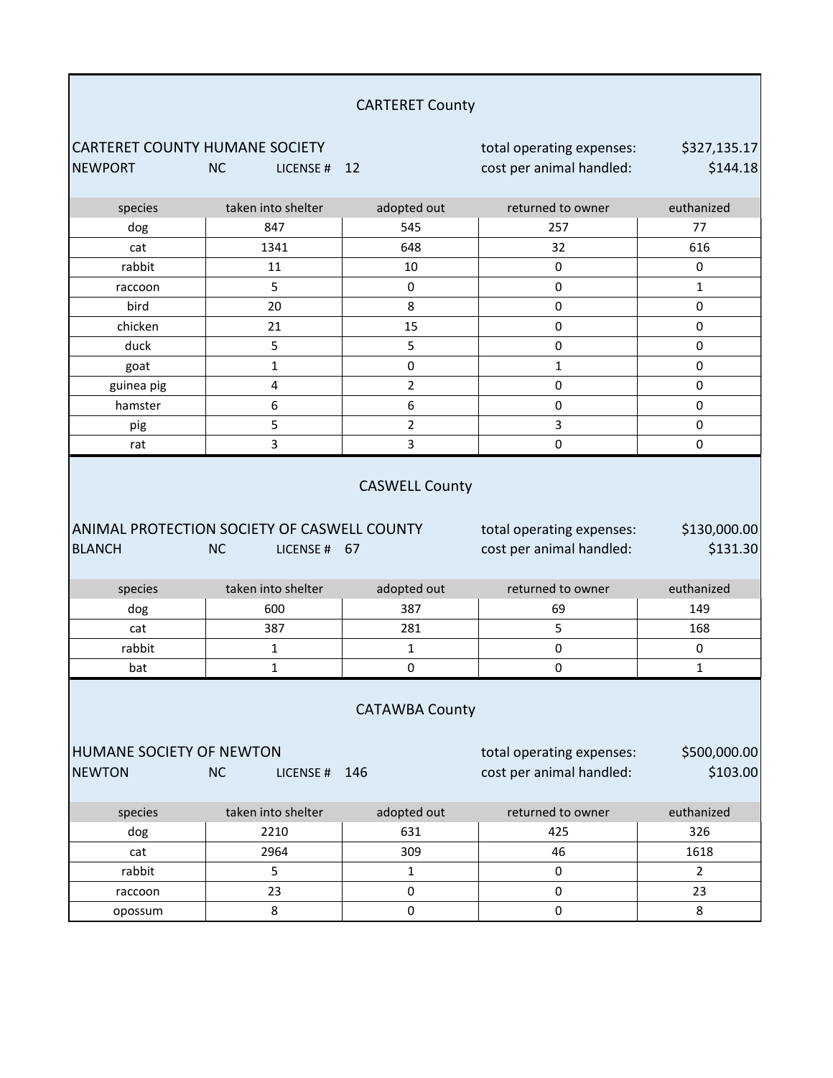| <b>CARTERET County</b>                                                                                                                                                      |                       |                |                                                       |                          |
|-----------------------------------------------------------------------------------------------------------------------------------------------------------------------------|-----------------------|----------------|-------------------------------------------------------|--------------------------|
| <b>CARTERET COUNTY HUMANE SOCIETY</b><br><b>NEWPORT</b>                                                                                                                     | <b>NC</b><br>LICENSE# | 12             | total operating expenses:<br>cost per animal handled: | \$327,135.17<br>\$144.18 |
| species                                                                                                                                                                     | taken into shelter    | adopted out    | returned to owner                                     | euthanized               |
| dog                                                                                                                                                                         | 847                   | 545            | 257                                                   | 77                       |
| cat                                                                                                                                                                         | 1341                  | 648            | 32                                                    | 616                      |
| rabbit                                                                                                                                                                      | 11                    | 10             | $\pmb{0}$                                             | 0                        |
| raccoon                                                                                                                                                                     | 5                     | $\pmb{0}$      | 0                                                     | 1                        |
| bird                                                                                                                                                                        | 20                    | 8              | 0                                                     | 0                        |
| chicken                                                                                                                                                                     | 21                    | 15             | $\pmb{0}$                                             | 0                        |
| duck                                                                                                                                                                        | 5                     | 5              | $\pmb{0}$                                             | 0                        |
| goat                                                                                                                                                                        | 1                     | $\pmb{0}$      | $\mathbf{1}$                                          | $\pmb{0}$                |
| guinea pig                                                                                                                                                                  | 4                     | $\overline{2}$ | $\mathsf 0$                                           | 0                        |
| hamster                                                                                                                                                                     | 6                     | 6              | $\pmb{0}$                                             | 0                        |
| pig                                                                                                                                                                         | 5                     | $\overline{2}$ | 3                                                     | 0                        |
| rat                                                                                                                                                                         | 3                     | 3              | $\mathbf 0$                                           | 0                        |
| <b>CASWELL County</b><br>ANIMAL PROTECTION SOCIETY OF CASWELL COUNTY<br>total operating expenses:<br><b>BLANCH</b><br>cost per animal handled:<br><b>NC</b><br>LICENSE # 67 |                       |                |                                                       | \$130,000.00<br>\$131.30 |
| species                                                                                                                                                                     | taken into shelter    | adopted out    | returned to owner                                     | euthanized               |
| dog                                                                                                                                                                         | 600                   | 387            | 69                                                    | 149                      |
| cat                                                                                                                                                                         | 387                   | 281            | 5                                                     | 168                      |
| rabbit                                                                                                                                                                      | 1                     | $\mathbf 1$    | $\pmb{0}$                                             | 0                        |
| bat                                                                                                                                                                         | 1                     | $\pmb{0}$      | $\pmb{0}$                                             | 1                        |
| <b>CATAWBA County</b>                                                                                                                                                       |                       |                |                                                       |                          |
| HUMANE SOCIETY OF NEWTON<br><b>NEWTON</b>                                                                                                                                   | <b>NC</b><br>LICENSE# | 146            | total operating expenses:<br>cost per animal handled: | \$500,000.00<br>\$103.00 |
| species                                                                                                                                                                     | taken into shelter    | adopted out    | returned to owner                                     | euthanized               |
| dog                                                                                                                                                                         | 2210                  | 631            | 425                                                   | 326                      |
| cat                                                                                                                                                                         | 2964                  | 309            | 46                                                    | 1618                     |
| rabbit                                                                                                                                                                      | 5                     | $\mathbf{1}$   | 0                                                     | $\overline{2}$           |
| raccoon                                                                                                                                                                     | 23                    | $\pmb{0}$      | $\pmb{0}$                                             | 23                       |
| opossum                                                                                                                                                                     | 8                     | 0              | $\pmb{0}$                                             | 8                        |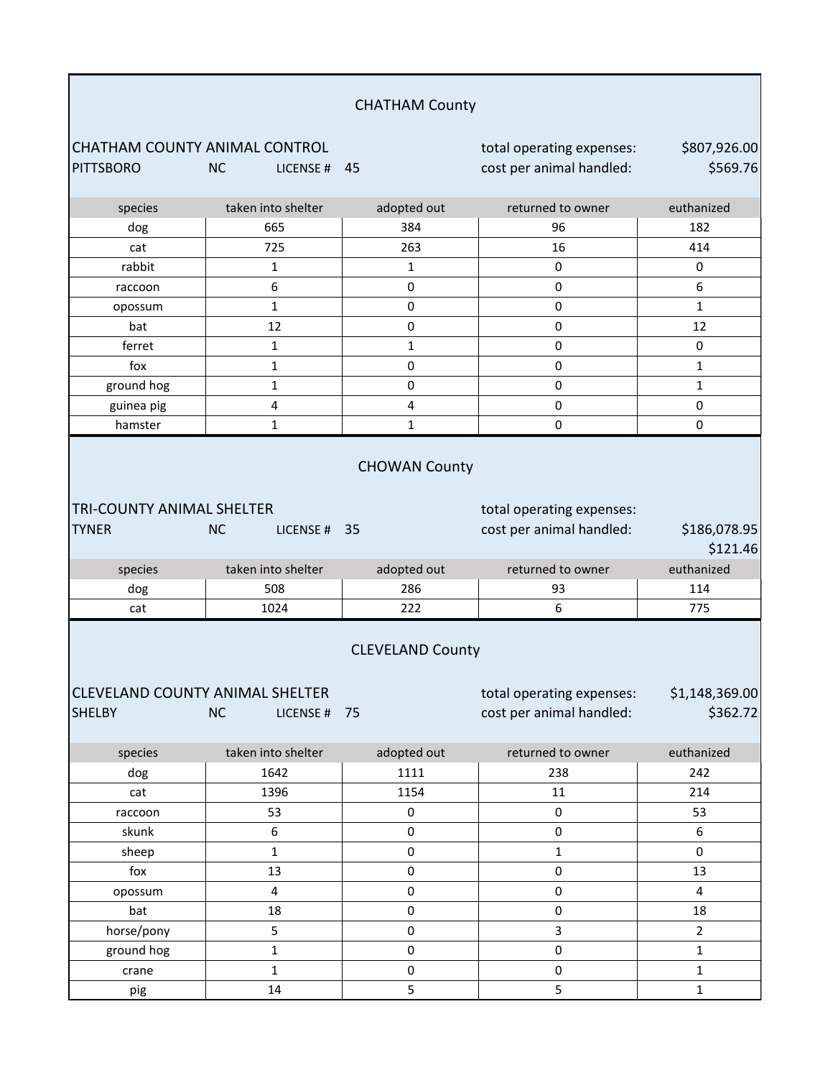| <b>CHATHAM County</b>                                                                                                                                                                           |                           |                      |                                                       |                          |
|-------------------------------------------------------------------------------------------------------------------------------------------------------------------------------------------------|---------------------------|----------------------|-------------------------------------------------------|--------------------------|
| CHATHAM COUNTY ANIMAL CONTROL<br><b>PITTSBORO</b>                                                                                                                                               | <b>NC</b><br>LICENSE # 45 |                      | total operating expenses:<br>cost per animal handled: | \$807,926.00<br>\$569.76 |
| species                                                                                                                                                                                         | taken into shelter        | adopted out          | returned to owner                                     | euthanized               |
| dog                                                                                                                                                                                             | 665                       | 384                  | 96                                                    | 182                      |
| cat                                                                                                                                                                                             | 725                       | 263                  | 16                                                    | 414                      |
| rabbit                                                                                                                                                                                          | $\mathbf{1}$              | $\mathbf{1}$         | 0                                                     | 0                        |
| raccoon                                                                                                                                                                                         | 6                         | $\pmb{0}$            | 0                                                     | 6                        |
| opossum                                                                                                                                                                                         | $\mathbf{1}$              | $\mathbf 0$          | $\pmb{0}$                                             | $\mathbf{1}$             |
| bat                                                                                                                                                                                             | 12                        | 0                    | 0                                                     | 12                       |
| ferret                                                                                                                                                                                          | $\mathbf 1$               | $\mathbf 1$          | 0                                                     | 0                        |
| fox                                                                                                                                                                                             | $\mathbf 1$               | 0                    | 0                                                     | 1                        |
| ground hog                                                                                                                                                                                      | $\mathbf{1}$              | $\pmb{0}$            | 0                                                     | $\mathbf{1}$             |
| guinea pig                                                                                                                                                                                      | $\pmb{4}$                 | $\pmb{4}$            | $\pmb{0}$                                             | 0                        |
| hamster                                                                                                                                                                                         | $\mathbf{1}$              | $\mathbf 1$          | $\mathbf 0$                                           | $\mathbf 0$              |
| <b>TRI-COUNTY ANIMAL SHELTER</b><br><b>TYNER</b>                                                                                                                                                | <b>NC</b><br>LICENSE # 35 | <b>CHOWAN County</b> | total operating expenses:<br>cost per animal handled: | \$186,078.95<br>\$121.46 |
| species                                                                                                                                                                                         | taken into shelter        | adopted out          | returned to owner                                     | euthanized               |
| dog                                                                                                                                                                                             | 508                       | 286                  | 93                                                    | 114                      |
| cat                                                                                                                                                                                             | 1024                      | 222                  | 6                                                     | 775                      |
| <b>CLEVELAND County</b><br>CLEVELAND COUNTY ANIMAL SHELTER<br>total operating expenses:<br>\$1,148,369.00<br>\$362.72<br><b>SHELBY</b><br><b>NC</b><br>cost per animal handled:<br>LICENSE # 75 |                           |                      |                                                       |                          |
| species                                                                                                                                                                                         | taken into shelter        | adopted out          | returned to owner                                     | euthanized               |
| dog                                                                                                                                                                                             | 1642                      | 1111                 | 238                                                   | 242                      |
| cat                                                                                                                                                                                             | 1396                      | 1154                 | 11                                                    | 214                      |
| raccoon                                                                                                                                                                                         | 53                        | $\pmb{0}$            | $\pmb{0}$                                             | 53                       |
| skunk                                                                                                                                                                                           | 6                         | $\pmb{0}$            | $\pmb{0}$                                             | 6                        |
| sheep                                                                                                                                                                                           | $\mathbf{1}$              | 0                    | $\mathbf{1}$                                          | $\Omega$                 |
| fox                                                                                                                                                                                             | 13                        | $\mathsf 0$          | $\pmb{0}$                                             | 13                       |
| opossum                                                                                                                                                                                         | $\overline{4}$            | $\mathsf 0$          | $\mathsf 0$                                           | $\overline{4}$           |
| bat                                                                                                                                                                                             | 18                        | $\mathbf 0$          | $\mathsf 0$                                           | 18                       |
| horse/pony                                                                                                                                                                                      | 5                         | 0                    | 3                                                     | $\overline{2}$           |
| ground hog                                                                                                                                                                                      | $\mathbf 1$               | $\mathsf 0$          | $\mathbf 0$                                           | $\mathbf{1}$             |
| crane                                                                                                                                                                                           | $\mathbf{1}$              | $\pmb{0}$            | $\mathbf 0$                                           | $\mathbf{1}$             |
| pig                                                                                                                                                                                             | 14                        | 5                    | 5                                                     | $\mathbf{1}$             |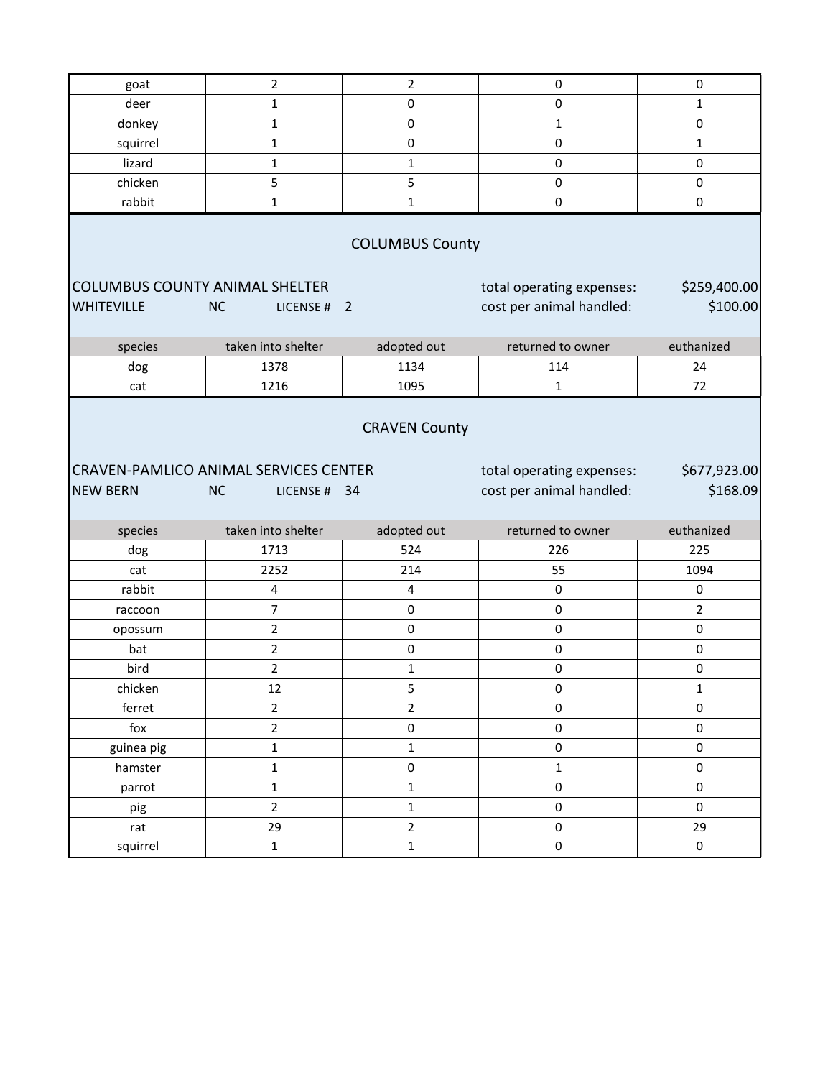| goat                                                                                                                 | $\overline{2}$           | $\overline{2}$ | $\pmb{0}$                                             | 0                        |  |  |
|----------------------------------------------------------------------------------------------------------------------|--------------------------|----------------|-------------------------------------------------------|--------------------------|--|--|
| deer                                                                                                                 | $\mathbf 1$              | $\mathbf 0$    | $\mathbf 0$                                           | 1                        |  |  |
| donkey                                                                                                               | $\mathbf 1$              | $\pmb{0}$      | $\mathbf 1$                                           | 0                        |  |  |
| squirrel                                                                                                             | 1                        | $\pmb{0}$      | 0                                                     | 1                        |  |  |
| lizard                                                                                                               | $\mathbf 1$              | $\mathbf{1}$   | $\mathbf 0$                                           | $\pmb{0}$                |  |  |
| chicken                                                                                                              | $\mathsf S$              | 5              | $\pmb{0}$                                             | 0                        |  |  |
| rabbit                                                                                                               | $\mathbf{1}$             | $\mathbf{1}$   | $\pmb{0}$                                             | $\pmb{0}$                |  |  |
| <b>COLUMBUS County</b><br><b>COLUMBUS COUNTY ANIMAL SHELTER</b><br>\$259,400.00<br>total operating expenses:         |                          |                |                                                       |                          |  |  |
| <b>WHITEVILLE</b>                                                                                                    | <b>NC</b><br>LICENSE # 2 |                | cost per animal handled:                              | \$100.00                 |  |  |
| species                                                                                                              | taken into shelter       | adopted out    | returned to owner                                     | euthanized               |  |  |
| dog                                                                                                                  | 1378                     | 1134           | 114                                                   | 24                       |  |  |
| cat                                                                                                                  | 1216                     | 1095           | 1                                                     | 72                       |  |  |
| <b>CRAVEN County</b><br><b>CRAVEN-PAMLICO ANIMAL SERVICES CENTER</b><br><b>NEW BERN</b><br><b>NC</b><br>LICENSE # 34 |                          |                | total operating expenses:<br>cost per animal handled: | \$677,923.00<br>\$168.09 |  |  |
| species                                                                                                              | taken into shelter       | adopted out    |                                                       |                          |  |  |
| dog                                                                                                                  |                          |                | returned to owner                                     | euthanized               |  |  |
| cat                                                                                                                  | 1713                     | 524            | 226                                                   | 225                      |  |  |
| rabbit                                                                                                               | 2252                     | 214            | 55                                                    | 1094                     |  |  |
|                                                                                                                      | 4                        | 4              | $\pmb{0}$                                             | 0                        |  |  |
| raccoon                                                                                                              | $\boldsymbol{7}$         | $\mathsf 0$    | 0                                                     | $\overline{2}$           |  |  |
| opossum                                                                                                              | $\overline{2}$           | $\pmb{0}$      | $\pmb{0}$                                             | 0                        |  |  |
| bat                                                                                                                  | $\overline{2}$           | $\mathsf 0$    | $\pmb{0}$                                             | $\pmb{0}$                |  |  |
| bird                                                                                                                 | $\overline{2}$           | $\mathbf{1}$   | 0                                                     | $\mathbf 0$              |  |  |
| chicken                                                                                                              | 12                       | 5              | 0                                                     | 1                        |  |  |
| ferret                                                                                                               | $\mathbf 2$              | $\overline{2}$ | $\mathsf{O}\xspace$                                   | $\mathsf 0$              |  |  |
| fox                                                                                                                  | $\mathbf 2$              | 0              | 0                                                     | 0                        |  |  |
| guinea pig                                                                                                           | $\mathbf 1$              | $\mathbf{1}$   | $\mathsf{O}\xspace$                                   | 0                        |  |  |
| hamster                                                                                                              | $\mathbf 1$              | 0              | $\mathbf{1}$                                          | $\mathsf 0$              |  |  |
| parrot                                                                                                               | $\mathbf 1$              | $\mathbf{1}$   | $\mathsf{O}\xspace$                                   | 0                        |  |  |
| pig                                                                                                                  | $\overline{2}$           | $\mathbf{1}$   | 0                                                     | 0                        |  |  |
| rat                                                                                                                  | 29                       | $\overline{2}$ | $\pmb{0}$                                             | 29                       |  |  |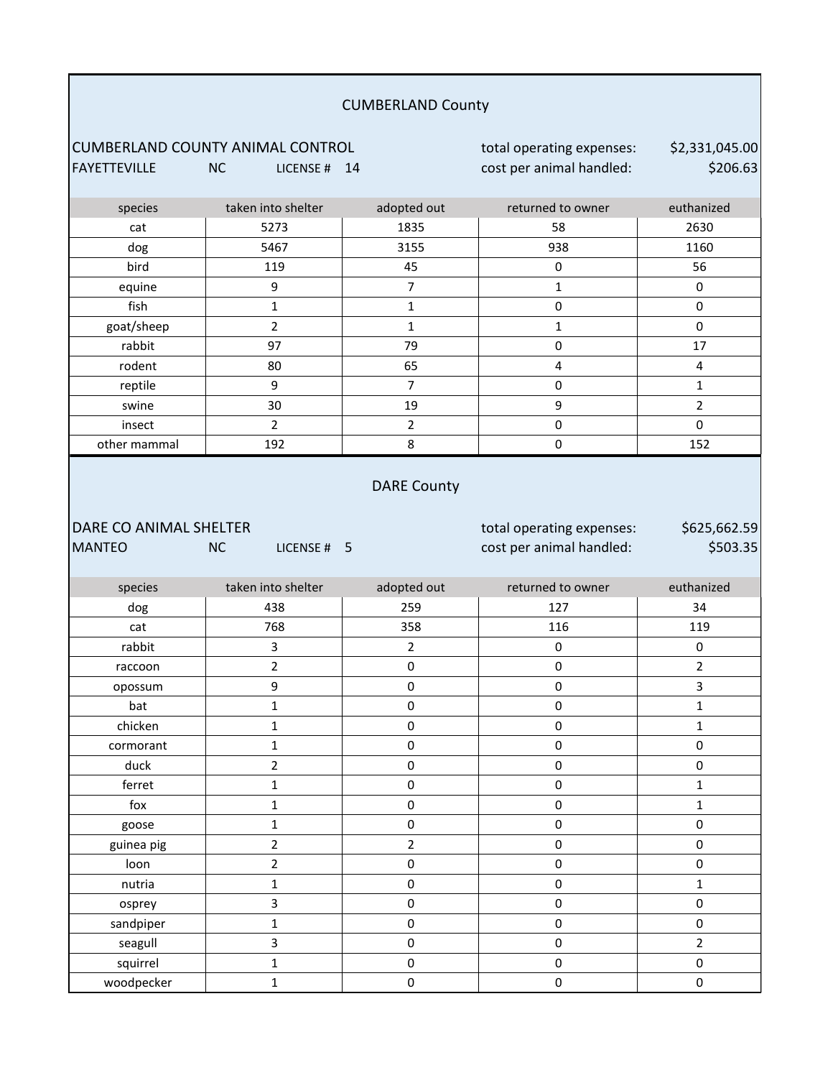# CUMBERLAND COUNTY ANIMAL CONTROL **total operating expenses**: FAYETTEVILLE NC LICENSE # 14 cost per animal handled: DARE CO ANIMAL SHELTER **the expenses:** total operating expenses: MANTEO NC LICENSE # 5 cost per animal handled: squirrel | 1 | 0 | 0 | 0 sandpiper | 1 | 0 | 0 | 0 seagull 3 0 0 2 nutria | 1 | 0 | 0 | 1 osprey 3 0 0 0 guinea pig 2 2 0 0 loon | 2 | 0 0 0 | 0 fox 1 1 0 0 0 1 goose | 1 | 0 | 0 | 0 duck | 2 | 0 0 | 0 ferret | 1 | 0 | 0 | 1 chicken | 1 | 0 | 0 | 1 cormorant | 1 | 0 | 0 | 0 opossum | 9 | 0 | 0 | 3 bat 1 1 0 0 0 1 rabbit | 3 | 2 | 0 | 0 raccoon | 2 | 0 | 0 | 2 dog 438 259 127 34 cat | 768 | 358 | 116 | 119 DARE County \$625,662.59 \$503.35 species taken into shelter adopted out returned to owner euthanized insect | 2 | 2 | 0 | 0 other mammal 192 192 8 0 152 reptile 9 7 0 1 swine | 30 | 19 | 9 | 2 rabbit | 97 | 79 | 0 | 17 rodent | 80 | 65 | 4 | 4 fish | 1 | 1 0 | 0 goat/sheep | 2 | 1 | 1 | 0 bird 119 45 0 56 equine | 9 | 7 | 1 | 0 cat | 5273 | 1835 | 58 | 2630 dog 5467 3155 938 1160 CUMBERLAND County \$2,331,045.00 \$206.63 species taken into shelter adopted out returned to owner euthanized

woodpecker | 1 | 0 | 0 | 0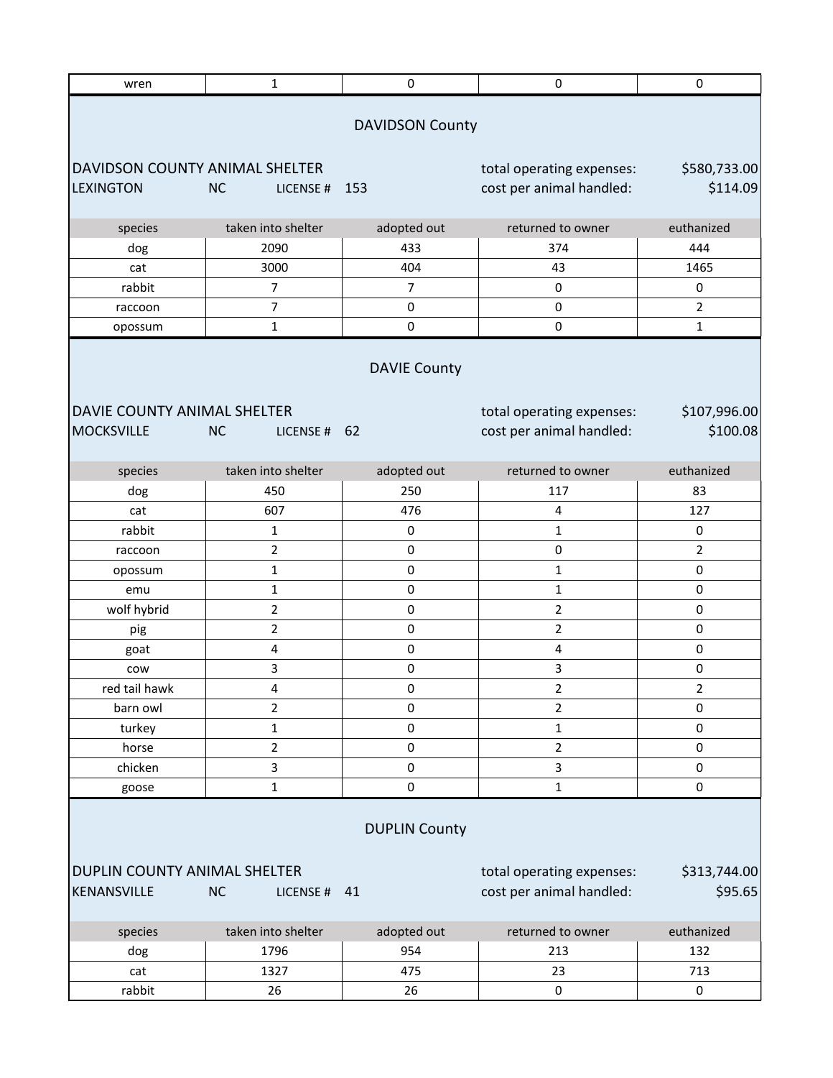| wren                                                                                            | $\mathbf{1}$              | $\mathsf{O}\xspace$    | $\pmb{0}$                                             | $\pmb{0}$               |
|-------------------------------------------------------------------------------------------------|---------------------------|------------------------|-------------------------------------------------------|-------------------------|
|                                                                                                 |                           | <b>DAVIDSON County</b> |                                                       |                         |
| DAVIDSON COUNTY ANIMAL SHELTER                                                                  |                           |                        | total operating expenses:                             | \$580,733.00            |
| <b>LEXINGTON</b>                                                                                | <b>NC</b><br>LICENSE#     | 153                    | cost per animal handled:                              | \$114.09                |
|                                                                                                 |                           |                        |                                                       |                         |
| species                                                                                         | taken into shelter        | adopted out            | returned to owner                                     | euthanized              |
| dog                                                                                             | 2090                      | 433                    | 374                                                   | 444                     |
| cat                                                                                             | 3000                      | 404                    | 43                                                    | 1465                    |
| rabbit                                                                                          | 7                         | $\overline{7}$         | $\pmb{0}$                                             | 0                       |
| raccoon                                                                                         | $\overline{7}$            | $\pmb{0}$              | $\pmb{0}$                                             | $\overline{2}$          |
| opossum                                                                                         | $\mathbf{1}$              | $\pmb{0}$              | 0                                                     | $\mathbf{1}$            |
| <b>DAVIE County</b><br>DAVIE COUNTY ANIMAL SHELTER<br>total operating expenses:<br>\$107,996.00 |                           |                        |                                                       |                         |
| <b>MOCKSVILLE</b>                                                                               | <b>NC</b><br>LICENSE # 62 |                        | cost per animal handled:                              | \$100.08                |
| species                                                                                         | taken into shelter        | adopted out            | returned to owner                                     | euthanized              |
| dog                                                                                             | 450                       | 250                    | 117                                                   | 83                      |
| cat                                                                                             | 607                       | 476                    | 4                                                     | 127                     |
| rabbit                                                                                          | 1                         | $\pmb{0}$              | $\mathbf{1}$                                          | 0                       |
| raccoon                                                                                         | $\overline{2}$            | $\pmb{0}$              | $\pmb{0}$                                             | $\overline{2}$          |
| opossum                                                                                         | 1                         | $\pmb{0}$              | $\mathbf 1$                                           | 0                       |
| emu                                                                                             | $\mathbf{1}$              | $\pmb{0}$              | $\mathbf{1}$                                          | $\pmb{0}$               |
| wolf hybrid                                                                                     | 2                         | $\pmb{0}$              | $\overline{2}$                                        | $\pmb{0}$               |
| pig                                                                                             | $\overline{2}$            | $\pmb{0}$              | $\overline{2}$                                        | $\pmb{0}$               |
| goat                                                                                            | 4                         | 0                      | 4                                                     | 0                       |
| cow                                                                                             | 3                         | 0                      | 3                                                     | 0                       |
| red tail hawk                                                                                   | 4                         | 0                      | 2                                                     | 2                       |
| barn owl                                                                                        | $\overline{2}$            | 0                      | $\mathbf 2$                                           | $\pmb{0}$               |
| turkey                                                                                          | $\mathbf{1}$              | $\pmb{0}$              | $\mathbf{1}$                                          | $\pmb{0}$               |
| horse                                                                                           | $\overline{2}$            | 0                      | $\mathbf 2$                                           | $\pmb{0}$               |
| chicken                                                                                         | 3                         | $\pmb{0}$              | 3                                                     | $\pmb{0}$               |
| goose                                                                                           | $\mathbf{1}$              | $\pmb{0}$              | $\mathbf{1}$                                          | $\pmb{0}$               |
| <b>DUPLIN County</b>                                                                            |                           |                        |                                                       |                         |
| DUPLIN COUNTY ANIMAL SHELTER<br>KENANSVILLE                                                     | <b>NC</b><br>LICENSE # 41 |                        | total operating expenses:<br>cost per animal handled: | \$313,744.00<br>\$95.65 |
| species                                                                                         | taken into shelter        | adopted out            | returned to owner                                     | euthanized              |
| dog                                                                                             | 1796                      | 954                    | 213                                                   | 132                     |
| cat                                                                                             | 1327                      | 475                    | 23                                                    | 713                     |
| rabbit                                                                                          | 26                        | 26                     | 0                                                     | 0                       |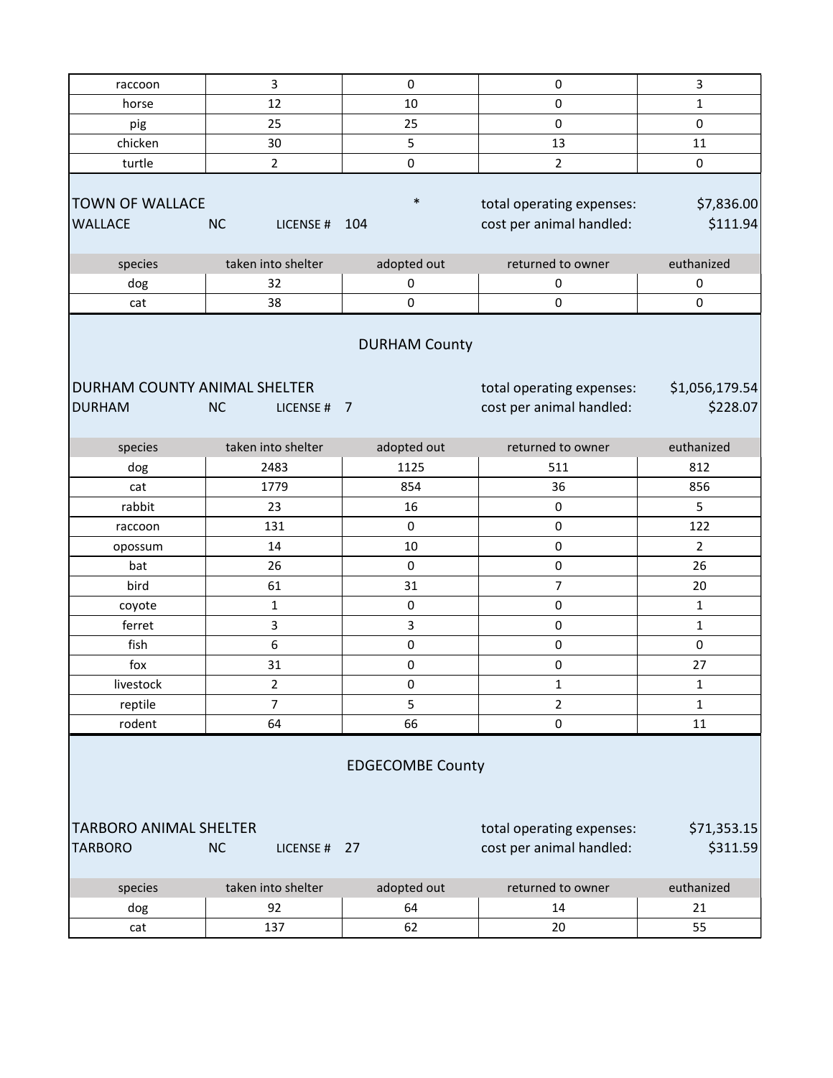| raccoon                                                                                              | 3                         | $\pmb{0}$                              | $\pmb{0}$                                             | 3                          |  |
|------------------------------------------------------------------------------------------------------|---------------------------|----------------------------------------|-------------------------------------------------------|----------------------------|--|
| horse                                                                                                | 12                        | 10                                     | 0                                                     | 1                          |  |
| pig                                                                                                  | 25                        | 25                                     | $\pmb{0}$                                             | 0                          |  |
| chicken                                                                                              | 30                        | 5                                      | 13                                                    | 11                         |  |
| turtle                                                                                               | $\overline{2}$            | 0                                      | $\overline{2}$                                        | 0                          |  |
| <b>TOWN OF WALLACE</b><br><b>WALLACE</b>                                                             | <b>NC</b><br>LICENSE #    | $\ast$<br>104                          | total operating expenses:<br>cost per animal handled: | \$7,836.00<br>\$111.94     |  |
| species                                                                                              | taken into shelter        | adopted out                            | returned to owner                                     | euthanized                 |  |
| dog                                                                                                  | 32                        | $\pmb{0}$                              | $\pmb{0}$                                             | 0                          |  |
| cat                                                                                                  | 38                        | $\mathbf 0$                            | $\pmb{0}$                                             | $\mathsf{O}\xspace$        |  |
| DURHAM COUNTY ANIMAL SHELTER<br><b>DURHAM</b>                                                        | <b>NC</b><br>LICENSE#     | <b>DURHAM County</b><br>$\overline{7}$ | total operating expenses:<br>cost per animal handled: | \$1,056,179.54<br>\$228.07 |  |
| species                                                                                              | taken into shelter        | adopted out                            | returned to owner                                     | euthanized                 |  |
| dog                                                                                                  | 2483                      | 1125                                   | 511                                                   | 812                        |  |
| cat                                                                                                  | 1779                      | 854                                    | 36                                                    | 856                        |  |
| rabbit                                                                                               | 23                        | 16                                     | $\pmb{0}$                                             | 5                          |  |
| raccoon                                                                                              | 131                       | $\mathbf 0$                            | $\pmb{0}$                                             | 122                        |  |
| opossum                                                                                              | 14                        | 10                                     | $\pmb{0}$                                             | 2                          |  |
| bat                                                                                                  | 26                        | $\mathbf 0$                            | $\mathsf 0$                                           | 26                         |  |
| bird                                                                                                 | 61                        | 31                                     | $\overline{7}$                                        | 20                         |  |
| coyote                                                                                               | 1                         | 0                                      | $\pmb{0}$                                             | 1                          |  |
| ferret                                                                                               | 3                         | 3                                      | 0                                                     | $\mathbf{1}$               |  |
| fish                                                                                                 | 6                         | $\pmb{0}$                              | $\pmb{0}$                                             | $\pmb{0}$                  |  |
| fox                                                                                                  | 31                        | $\pmb{0}$                              | $\mathsf 0$                                           | 27                         |  |
| livestock                                                                                            | $\overline{2}$            | 0                                      | $\mathbf 1$                                           | $\mathbf 1$                |  |
| reptile                                                                                              | $\overline{7}$            | 5                                      | $\overline{2}$                                        | $\mathbf{1}$               |  |
| rodent                                                                                               | 64                        | 66                                     | $\mathbf 0$                                           | 11                         |  |
| <b>EDGECOMBE County</b><br><b>TARBORO ANIMAL SHELTER</b><br>total operating expenses:<br>\$71,353.15 |                           |                                        |                                                       |                            |  |
| <b>TARBORO</b>                                                                                       | <b>NC</b><br>LICENSE # 27 |                                        | cost per animal handled:                              | \$311.59                   |  |
| species                                                                                              | taken into shelter        | adopted out                            | returned to owner                                     | euthanized                 |  |
| dog                                                                                                  | 92                        | 64                                     | 14                                                    | 21                         |  |
| cat                                                                                                  | 137                       | 62                                     | 20                                                    | 55                         |  |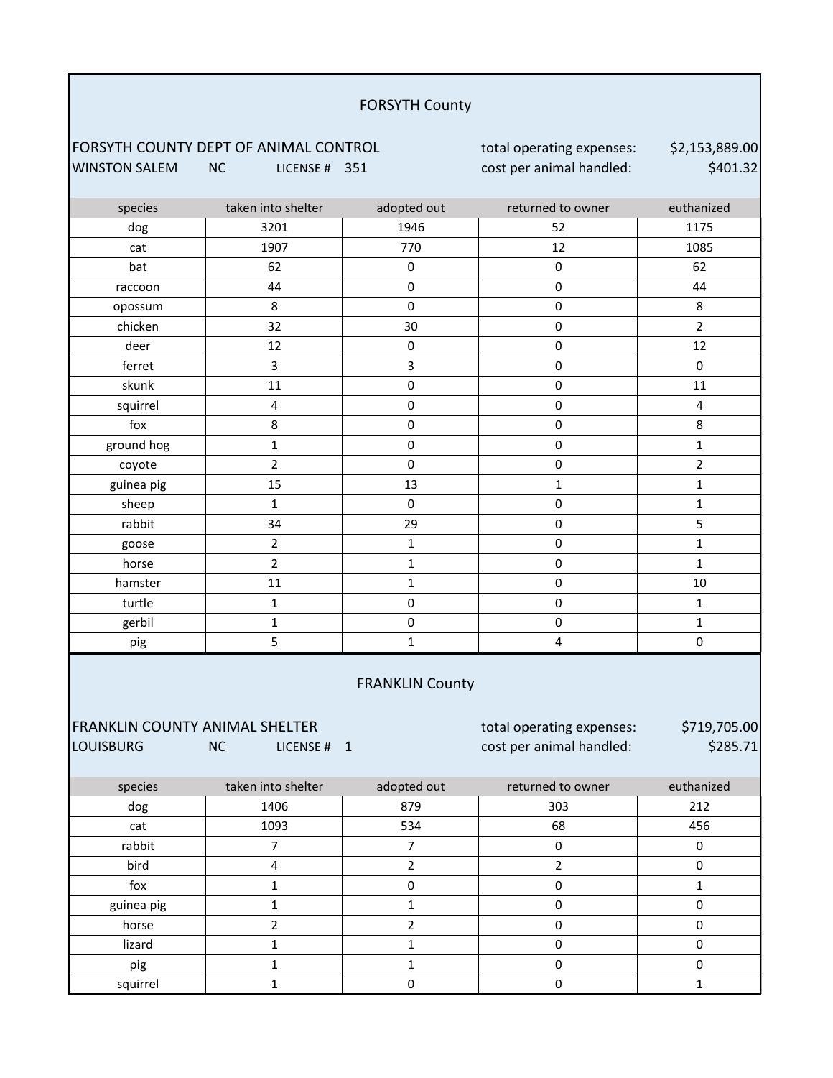#### FORSYTH County

## FORSYTH COUNTY DEPT OF ANIMAL CONTROL **total operating expenses:** WINSTON SALEM NC LICENSE # 351 cost per animal handled:

\$2,153,889.00 \$401.32

| species                        | taken into shelter       | adopted out            | returned to owner         | euthanized     |
|--------------------------------|--------------------------|------------------------|---------------------------|----------------|
| dog                            | 3201                     | 1946                   | 52                        | 1175           |
| cat                            | 1907                     | 770                    | 12                        | 1085           |
| bat                            | 62                       | $\mathsf 0$            | $\pmb{0}$                 | 62             |
| raccoon                        | 44                       | 0                      | $\pmb{0}$                 | 44             |
| opossum                        | 8                        | $\mathbf 0$            | $\mathbf 0$               | 8              |
| chicken                        | 32                       | 30                     | $\mathbf 0$               | $\overline{2}$ |
| deer                           | 12                       | $\mathsf{O}\xspace$    | $\mathsf{O}\xspace$       | 12             |
| ferret                         | 3                        | 3                      | $\pmb{0}$                 | $\pmb{0}$      |
| skunk                          | 11                       | $\mathsf{O}\xspace$    | $\mathsf{O}\xspace$       | 11             |
| squirrel                       | 4                        | $\mathbf 0$            | $\mathsf 0$               | $\pmb{4}$      |
| fox                            | 8                        | $\mathsf{O}\xspace$    | $\mathsf{O}\xspace$       | 8              |
| ground hog                     | $\mathbf 1$              | 0                      | $\pmb{0}$                 | $\mathbf{1}$   |
| coyote                         | $\overline{2}$           | $\pmb{0}$              | $\mathsf 0$               | $\overline{2}$ |
| guinea pig                     | 15                       | 13                     | $\mathbf{1}$              | $\mathbf{1}$   |
| sheep                          | $\mathbf 1$              | $\mathsf 0$            | $\pmb{0}$                 | $\mathbf 1$    |
| rabbit                         | 34                       | 29                     | $\mathbf 0$               | 5              |
| goose                          | $\overline{2}$           | $\mathbf{1}$           | $\pmb{0}$                 | $\mathbf{1}$   |
| horse                          | $\overline{2}$           | $\mathbf{1}$           | $\pmb{0}$                 | $\mathbf{1}$   |
| hamster                        | 11                       | $\mathbf{1}$           | 0                         | 10             |
| turtle                         | $\mathbf{1}$             | $\mathsf{O}\xspace$    | $\mathsf{O}\xspace$       | $\mathbf{1}$   |
| gerbil                         | $\mathbf 1$              | $\pmb{0}$              | $\pmb{0}$                 | $\mathbf{1}$   |
| pig                            | 5                        | $\mathbf{1}$           | $\overline{\mathbf{4}}$   | $\mathsf 0$    |
|                                |                          | <b>FRANKLIN County</b> |                           |                |
| FRANKLIN COUNTY ANIMAL SHELTER |                          |                        | total operating expenses: | \$719,705.00   |
| <b>LOUISBURG</b>               | <b>NC</b><br>LICENSE # 1 |                        | cost per animal handled:  | \$285.71       |
| species                        | taken into shelter       | adopted out            | returned to owner         | euthanized     |
| dog                            | 1406                     | 879                    | 303                       | 212            |
| cat                            | 1093                     | 534                    | 68                        | 456            |
| rabbit                         | $\overline{7}$           | $\overline{7}$         | $\mathsf 0$               | $\mathbf 0$    |
| bird                           | 4                        | $\overline{2}$         | $\overline{2}$            | $\mathsf 0$    |

pig 1 1 0 0 squirrel | 1 | 0 | 0 | 1

horse | 2 | 2 | 0 | 0 lizard | 1 | 1 | 0 | 0

fox 1 1 0 0 0 1 guinea pig  $1$   $1$   $1$  0 0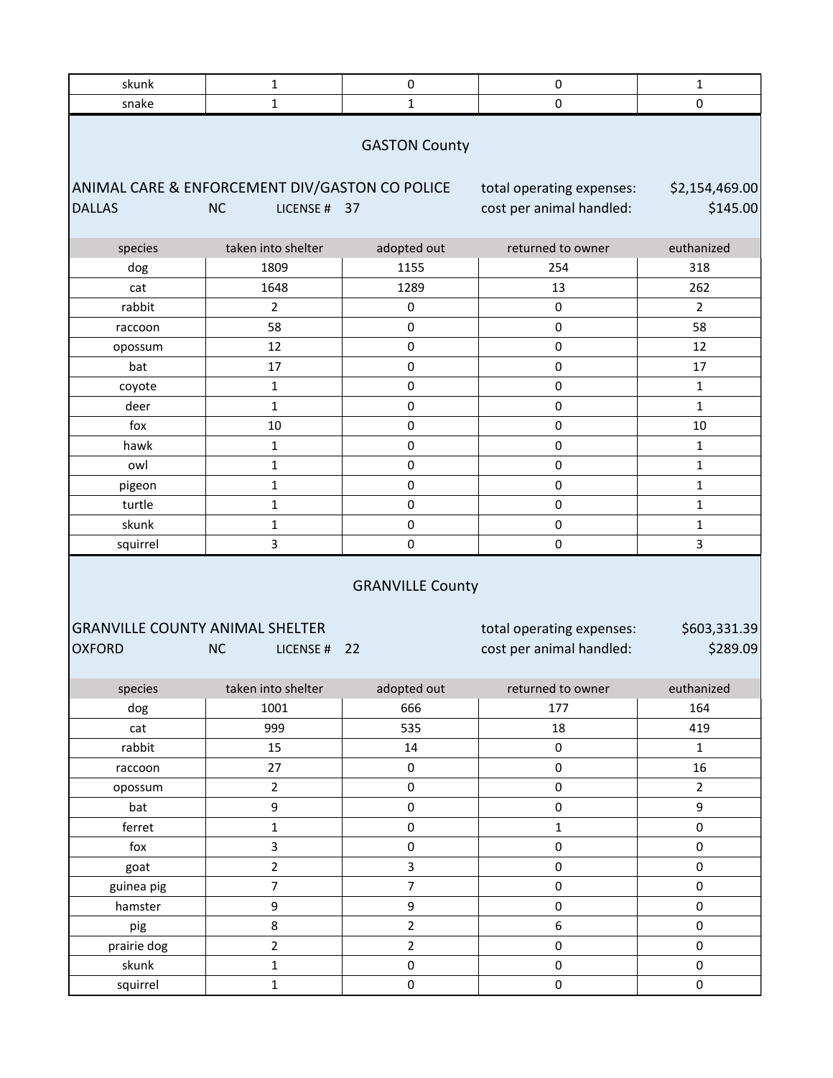| skunk<br>snake    | $\mathbf{1}$<br>$\mathbf{1}$                                        | 0<br>1                  | 0<br>$\pmb{0}$                                        | $\mathbf{1}$<br>$\pmb{0}$        |
|-------------------|---------------------------------------------------------------------|-------------------------|-------------------------------------------------------|----------------------------------|
|                   |                                                                     |                         |                                                       |                                  |
|                   |                                                                     | <b>GASTON County</b>    |                                                       |                                  |
|                   |                                                                     |                         |                                                       |                                  |
|                   | ANIMAL CARE & ENFORCEMENT DIV/GASTON CO POLICE                      |                         | total operating expenses:                             | \$2,154,469.00                   |
| <b>DALLAS</b>     | <b>NC</b><br>LICENSE # 37                                           |                         | cost per animal handled:                              | \$145.00                         |
| species           | taken into shelter                                                  | adopted out             | returned to owner                                     | euthanized                       |
| dog               | 1809                                                                | 1155                    | 254                                                   | 318                              |
| cat               | 1648                                                                | 1289                    | 13                                                    | 262                              |
| rabbit            | $\overline{2}$                                                      | 0                       | $\pmb{0}$                                             | $\overline{2}$                   |
| raccoon           | 58                                                                  | 0                       | 0                                                     | 58                               |
| opossum           | 12                                                                  | 0                       | 0                                                     | 12                               |
| bat               | 17                                                                  | 0                       | 0                                                     | 17                               |
| coyote            | $\mathbf{1}$                                                        | 0                       | 0                                                     | $\mathbf{1}$                     |
| deer              | $\mathbf{1}$                                                        | 0                       | 0                                                     | $\mathbf{1}$                     |
| fox               | $10\,$                                                              | 0                       | $\pmb{0}$                                             | 10                               |
| hawk              | $\mathbf{1}$                                                        | 0                       | $\pmb{0}$                                             | $\mathbf{1}$                     |
| owl               | $\mathbf 1$                                                         | 0                       | 0                                                     | $\mathbf{1}$                     |
| pigeon            | $\mathbf 1$                                                         | 0                       | 0                                                     | $\mathbf{1}$                     |
| turtle            | $\mathbf 1$                                                         | 0                       | 0                                                     | $\mathbf{1}$                     |
| skunk             | 1                                                                   | 0                       | 0                                                     | $\mathbf{1}$                     |
| squirrel          | 3                                                                   | 0                       | $\pmb{0}$                                             | $\overline{3}$                   |
| <b>OXFORD</b>     | <b>GRANVILLE COUNTY ANIMAL SHELTER</b><br><b>NC</b><br>LICENSE # 22 | <b>GRANVILLE County</b> | total operating expenses:<br>cost per animal handled: | \$603,331.39<br>\$289.09         |
|                   |                                                                     |                         |                                                       |                                  |
| species           | taken into shelter                                                  | adopted out             | returned to owner                                     |                                  |
| dog               | 1001                                                                |                         |                                                       | euthanized                       |
| cat               |                                                                     | 666                     | 177                                                   | 164                              |
|                   | 999                                                                 | 535                     | 18                                                    | 419                              |
| rabbit            | 15                                                                  | 14                      | $\pmb{0}$                                             | $\mathbf{1}$                     |
| raccoon           | 27                                                                  | $\pmb{0}$               | $\pmb{0}$                                             | 16                               |
| opossum           | $\overline{2}$                                                      | 0                       | $\pmb{0}$                                             | $\overline{2}$                   |
| bat               | $\mathsf g$                                                         | $\pmb{0}$               | $\pmb{0}$                                             | 9                                |
| ferret            | $\mathbf 1$                                                         | $\pmb{0}$               | $\mathbf 1$                                           | 0                                |
| fox               | 3                                                                   | $\mathsf{O}\xspace$     | $\pmb{0}$                                             | 0                                |
| goat              | $\overline{2}$                                                      | 3                       | $\pmb{0}$                                             | $\mathsf{O}\xspace$              |
| guinea pig        | $\overline{7}$                                                      | $\overline{7}$          | $\pmb{0}$                                             | 0                                |
| hamster           | $\mathsf 9$                                                         | 9                       | 0                                                     | 0                                |
| pig               | $\bf 8$                                                             | $\overline{2}$          | 6                                                     | 0                                |
| prairie dog       | $\overline{2}$                                                      | $\overline{2}$          | $\pmb{0}$                                             | 0                                |
| skunk<br>squirrel | $\mathbf 1$<br>$\mathbf{1}$                                         | $\pmb{0}$<br>$\pmb{0}$  | 0<br>$\pmb{0}$                                        | $\mathsf{O}\xspace$<br>$\pmb{0}$ |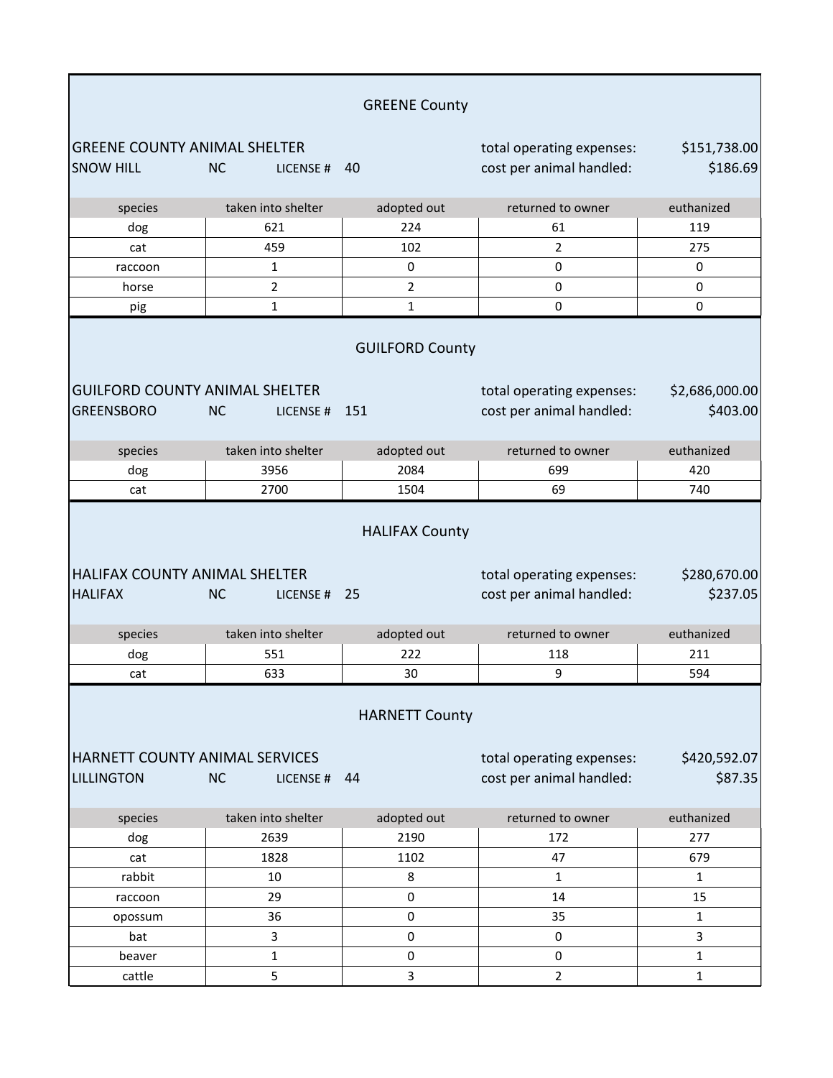|                                                            |                        | <b>GREENE County</b>          |                                                       |                            |
|------------------------------------------------------------|------------------------|-------------------------------|-------------------------------------------------------|----------------------------|
| <b>GREENE COUNTY ANIMAL SHELTER</b><br><b>SNOW HILL</b>    | <b>NC</b><br>LICENSE#  | 40                            | total operating expenses:<br>cost per animal handled: | \$151,738.00<br>\$186.69   |
| species                                                    | taken into shelter     | adopted out                   | returned to owner                                     | euthanized                 |
| dog                                                        | 621                    | 224                           | 61                                                    | 119                        |
| cat                                                        | 459                    | 102                           | $\overline{2}$                                        | 275                        |
| raccoon                                                    | 1                      | 0                             | 0                                                     | 0                          |
| horse                                                      | $\overline{2}$         | $\overline{2}$                | $\pmb{0}$                                             | 0                          |
| pig                                                        | $\mathbf 1$            | $\mathbf{1}$                  | 0                                                     | 0                          |
| <b>GUILFORD COUNTY ANIMAL SHELTER</b><br><b>GREENSBORO</b> | <b>NC</b><br>LICENSE#  | <b>GUILFORD County</b><br>151 | total operating expenses:<br>cost per animal handled: | \$2,686,000.00<br>\$403.00 |
| species                                                    | taken into shelter     | adopted out                   | returned to owner                                     | euthanized                 |
| dog                                                        | 3956                   | 2084                          | 699                                                   | 420                        |
| cat                                                        | 2700                   | 1504                          | 69                                                    | 740                        |
| <b>HALIFAX COUNTY ANIMAL SHELTER</b><br><b>HALIFAX</b>     | <b>NC</b><br>LICENSE#  | <b>HALIFAX County</b><br>25   | total operating expenses:<br>cost per animal handled: | \$280,670.00<br>\$237.05   |
| species                                                    | taken into shelter     | adopted out                   | returned to owner                                     | euthanized                 |
| dog                                                        | 551                    | 222                           | 118                                                   | 211                        |
| cat                                                        | 633                    | 30                            | 9                                                     | 594                        |
| HARNETT COUNTY ANIMAL SERVICES<br><b>LILLINGTON</b>        | <b>NC</b><br>LICENSE # | <b>HARNETT County</b><br>44   | total operating expenses:<br>cost per animal handled: | \$420,592.07<br>\$87.35    |
| species                                                    | taken into shelter     | adopted out                   | returned to owner                                     | euthanized                 |
| dog                                                        | 2639                   | 2190                          | 172                                                   | 277                        |
| cat                                                        | 1828                   | 1102                          | 47                                                    | 679                        |
| rabbit                                                     | 10                     | 8                             | 1                                                     | $\mathbf{1}$               |
| raccoon                                                    | 29                     | 0                             | 14                                                    | 15                         |
| opossum                                                    | 36                     | 0                             | 35                                                    | $\mathbf{1}$               |
| bat                                                        | 3                      | 0                             | $\pmb{0}$                                             | 3                          |
| beaver                                                     | $\mathbf{1}$           | $\pmb{0}$                     | $\pmb{0}$                                             | $\mathbf{1}$               |
| cattle                                                     | 5                      | 3                             | $\overline{2}$                                        | $\mathbf{1}$               |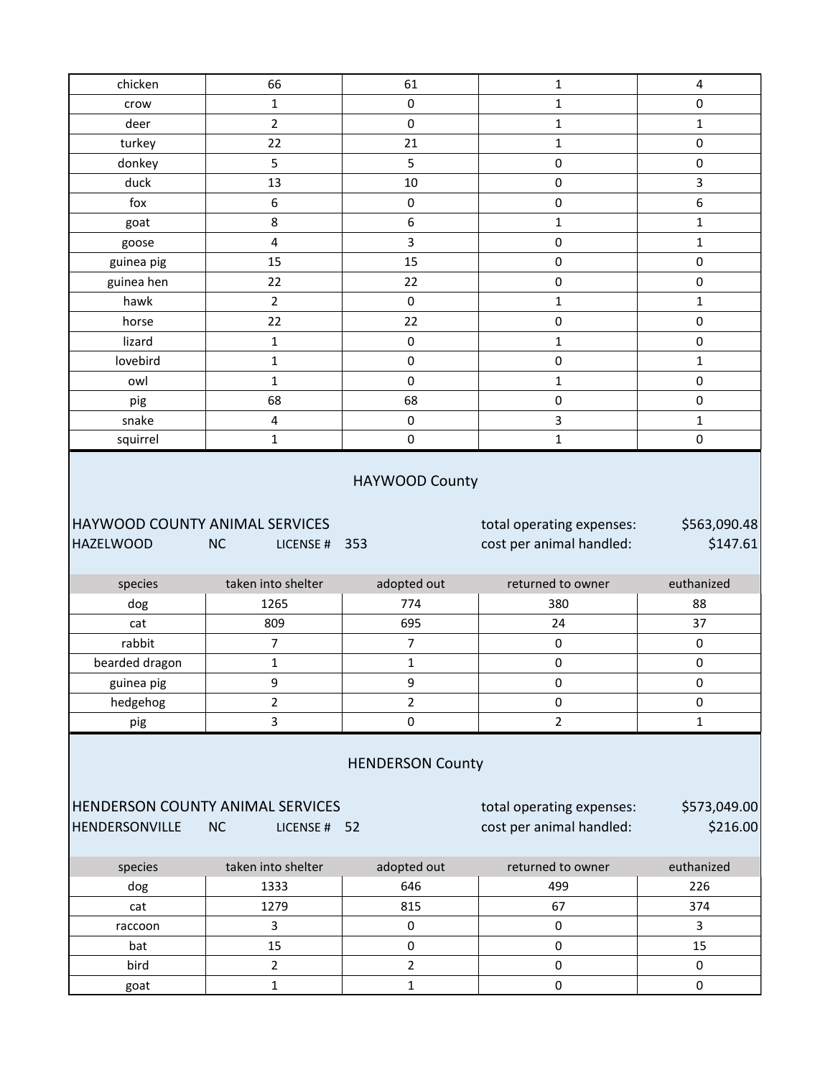| chicken                                            |                                                               |                         |                                                       |                          |
|----------------------------------------------------|---------------------------------------------------------------|-------------------------|-------------------------------------------------------|--------------------------|
|                                                    | 66                                                            | 61                      | $\mathbf{1}$                                          | $\overline{4}$           |
| crow                                               | $\mathbf{1}$                                                  | $\mathsf 0$             | $\mathbf 1$                                           | $\mathsf 0$              |
| deer                                               | $\overline{2}$                                                | $\mathsf 0$             | $\mathbf 1$                                           | $\mathbf{1}$             |
| turkey                                             | 22                                                            | 21                      | $\mathbf 1$                                           | $\pmb{0}$                |
| donkey                                             | 5                                                             | $\mathsf S$             | $\pmb{0}$                                             | $\pmb{0}$                |
| duck                                               | 13                                                            | $10\,$                  | $\pmb{0}$                                             | 3                        |
| fox                                                | 6                                                             | $\pmb{0}$               | $\pmb{0}$                                             | 6                        |
| goat                                               | 8                                                             | $\boldsymbol{6}$        | $\mathbf 1$                                           | $\mathbf{1}$             |
| goose                                              | 4                                                             | 3                       | $\pmb{0}$                                             | $\mathbf{1}$             |
| guinea pig                                         | 15                                                            | 15                      | $\pmb{0}$                                             | $\pmb{0}$                |
| guinea hen                                         | 22                                                            | 22                      | $\pmb{0}$                                             | $\pmb{0}$                |
| hawk                                               | $\overline{2}$                                                | $\pmb{0}$               | $\mathbf 1$                                           | $\mathbf 1$              |
| horse                                              | 22                                                            | 22                      | $\pmb{0}$                                             | $\pmb{0}$                |
| lizard                                             | $\mathbf{1}$                                                  | $\mathsf 0$             | $\mathbf 1$                                           | $\pmb{0}$                |
| lovebird                                           | 1                                                             | $\pmb{0}$               | $\pmb{0}$                                             | $\mathbf{1}$             |
| owl                                                | $\mathbf{1}$                                                  | $\mathbf 0$             | $\mathbf 1$                                           | $\pmb{0}$                |
| pig                                                | 68                                                            | 68                      | $\pmb{0}$                                             | $\pmb{0}$                |
| snake                                              | $\overline{\mathbf{4}}$                                       | $\pmb{0}$               | 3                                                     | $\mathbf{1}$             |
| squirrel                                           | $\mathbf{1}$                                                  | $\pmb{0}$               | $\mathbf{1}$                                          | $\pmb{0}$                |
| HAYWOOD COUNTY ANIMAL SERVICES<br><b>HAZELWOOD</b> | <b>NC</b><br>LICENSE # 353                                    |                         | total operating expenses:<br>cost per animal handled: | \$563,090.48<br>\$147.61 |
|                                                    |                                                               |                         |                                                       |                          |
|                                                    |                                                               |                         |                                                       |                          |
| species                                            | taken into shelter                                            | adopted out             | returned to owner                                     | euthanized               |
| dog                                                | 1265                                                          | 774                     | 380                                                   | 88                       |
| cat                                                | 809                                                           | 695                     | 24                                                    | 37                       |
| rabbit                                             | $\overline{7}$                                                | $\overline{7}$          | $\pmb{0}$                                             | $\pmb{0}$                |
| bearded dragon                                     | $\mathbf 1$                                                   | $\mathbf 1$             | $\pmb{0}$                                             | $\pmb{0}$                |
| guinea pig                                         | 9                                                             | 9                       | $\pmb{0}$                                             | $\pmb{0}$                |
| hedgehog                                           | 2                                                             | $\overline{2}$          | 0                                                     | 0                        |
| pig                                                | $\overline{\mathbf{3}}$                                       | $\pmb{0}$               | $\overline{2}$                                        | $\mathbf{1}$             |
|                                                    |                                                               | <b>HENDERSON County</b> |                                                       |                          |
| HENDERSONVILLE                                     | <b>HENDERSON COUNTY ANIMAL SERVICES</b><br>NC<br>LICENSE # 52 |                         | total operating expenses:<br>cost per animal handled: | \$573,049.00<br>\$216.00 |
| species                                            | taken into shelter                                            | adopted out             | returned to owner                                     | euthanized               |
| dog                                                | 1333                                                          | 646                     | 499                                                   | 226                      |
| cat                                                | 1279                                                          | 815                     | 67                                                    | 374                      |
| raccoon                                            | 3                                                             | $\pmb{0}$               | $\pmb{0}$                                             | $\mathbf{3}$             |
| bat                                                | 15                                                            | $\pmb{0}$               | $\pmb{0}$                                             | 15                       |
| bird                                               | $\overline{2}$                                                | $\overline{2}$          | $\pmb{0}$                                             | $\pmb{0}$                |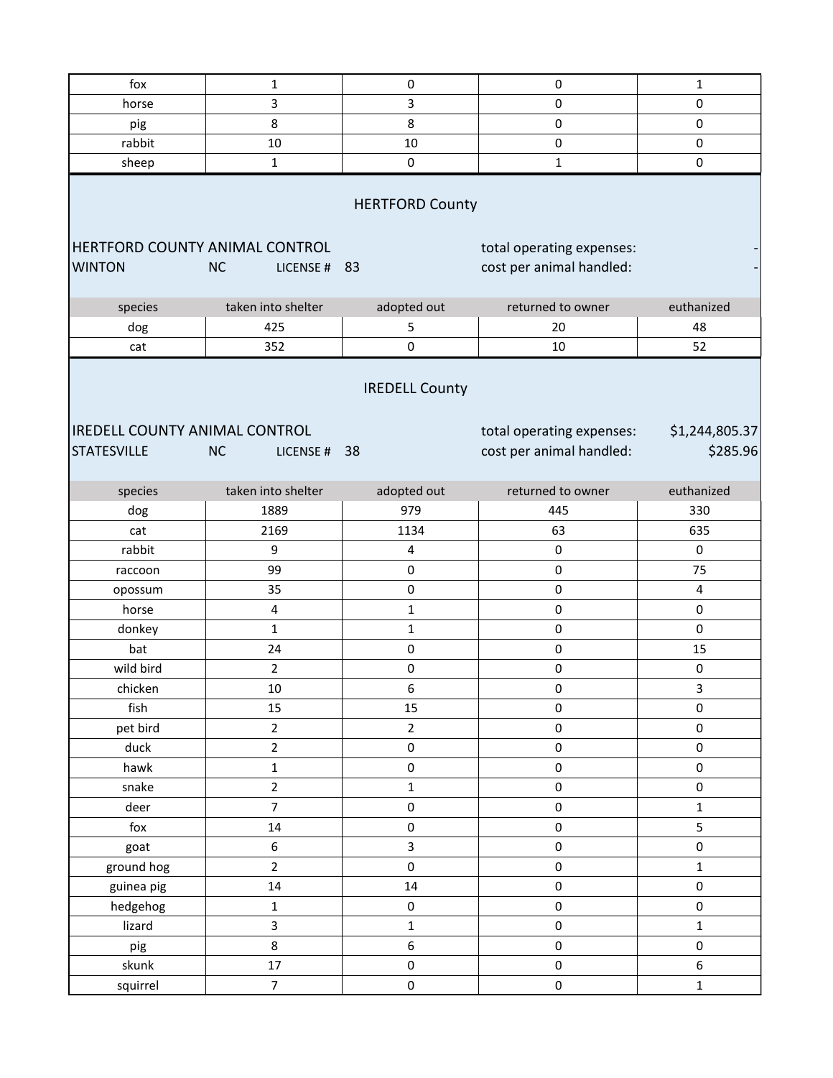| fox                                                        | $\mathbf 1$               | $\pmb{0}$               | $\pmb{0}$                                             | 1                          |
|------------------------------------------------------------|---------------------------|-------------------------|-------------------------------------------------------|----------------------------|
|                                                            | 3                         | 3                       | $\mathbf 0$                                           | $\pmb{0}$                  |
| horse                                                      | 8                         | 8                       | $\pmb{0}$                                             | 0                          |
| pig<br>rabbit                                              | 10                        | 10                      | 0                                                     | $\pmb{0}$                  |
|                                                            | $\mathbf 1$               | 0                       | $\mathbf{1}$                                          | $\mathsf 0$                |
| sheep                                                      |                           |                         |                                                       |                            |
|                                                            |                           | <b>HERTFORD County</b>  |                                                       |                            |
| HERTFORD COUNTY ANIMAL CONTROL<br><b>WINTON</b>            | <b>NC</b><br>LICENSE # 83 |                         | total operating expenses:<br>cost per animal handled: | $\overline{\phantom{a}}$   |
| species                                                    | taken into shelter        | adopted out             | returned to owner                                     | euthanized                 |
| dog                                                        | 425                       | 5                       | 20                                                    | 48                         |
| cat                                                        | 352                       | $\pmb{0}$               | 10                                                    | 52                         |
| <b>IREDELL COUNTY ANIMAL CONTROL</b><br><b>STATESVILLE</b> | <b>NC</b><br>LICENSE # 38 | <b>IREDELL County</b>   | total operating expenses:<br>cost per animal handled: | \$1,244,805.37<br>\$285.96 |
| species                                                    | taken into shelter        | adopted out             | returned to owner                                     | euthanized                 |
| dog                                                        | 1889                      | 979                     | 445                                                   | 330                        |
| cat                                                        | 2169                      | 1134                    | 63                                                    | 635                        |
| rabbit                                                     | 9                         | $\overline{\mathbf{4}}$ | $\pmb{0}$                                             | 0                          |
| raccoon                                                    | 99                        | $\pmb{0}$               | $\pmb{0}$                                             | 75                         |
| opossum                                                    | 35                        | $\pmb{0}$               | $\pmb{0}$                                             | 4                          |
| horse                                                      | 4                         | $\mathbf{1}$            | 0                                                     | $\pmb{0}$                  |
| donkey                                                     | $\mathbf 1$               | $\mathbf{1}$            | $\pmb{0}$                                             | 0                          |
| bat                                                        | 24                        | 0                       | $\pmb{0}$                                             | 15                         |
| wild bird                                                  | $\overline{2}$            | $\mathsf 0$             | $\pmb{0}$                                             | 0                          |
| chicken                                                    | $10\,$                    | 6                       | 0                                                     | 3                          |
| fish                                                       | 15                        | 15                      | $\pmb{0}$                                             | $\mathsf{O}\xspace$        |
| pet bird                                                   | $\overline{2}$            | $\overline{2}$          | $\mathsf{O}\xspace$                                   | $\pmb{0}$                  |
| duck                                                       | $\mathbf 2$               | $\pmb{0}$               | $\mathsf{O}\xspace$                                   | $\pmb{0}$                  |
| hawk                                                       | $\mathbf 1$               | $\mathsf{O}\xspace$     | $\pmb{0}$                                             | 0                          |
| snake                                                      | $\overline{2}$            | $\mathbf 1$             | $\pmb{0}$                                             | 0                          |
| deer                                                       | $\overline{7}$            | $\mathsf{O}\xspace$     | $\pmb{0}$                                             | $\mathbf{1}$               |
| fox                                                        | $14\,$                    | $\mathsf 0$             | $\pmb{0}$                                             | 5                          |
| goat                                                       | $\boldsymbol{6}$          | $\overline{\mathbf{3}}$ | 0                                                     | $\mathsf 0$                |
| ground hog                                                 | $\overline{2}$            | $\mathsf{O}\xspace$     | $\mathsf{O}\xspace$                                   | $\mathbf 1$                |
| guinea pig                                                 | 14                        | 14                      | $\pmb{0}$                                             | 0                          |
| hedgehog                                                   | $\mathbf 1$               | $\mathsf{O}\xspace$     | $\pmb{0}$                                             | 0                          |
| lizard                                                     | $\mathsf{3}$              | $\mathbf 1$             | $\pmb{0}$                                             | $\mathbf{1}$               |
| pig                                                        | 8                         | 6                       | $\pmb{0}$                                             | $\mathsf 0$                |
| skunk                                                      | 17                        | $\mathsf 0$             | $\mathsf{O}\xspace$                                   | 6                          |
| squirrel                                                   | $\overline{7}$            | $\mathsf{O}\xspace$     | $\pmb{0}$                                             | $\mathbf 1$                |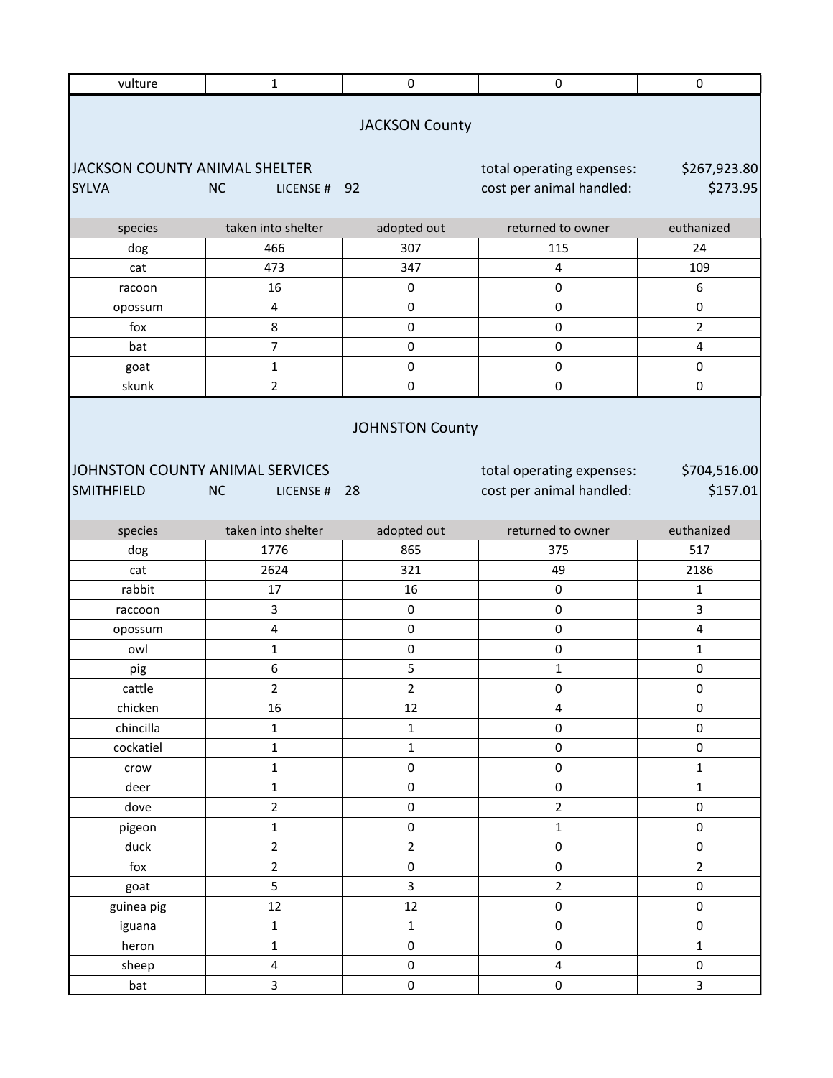| <b>JACKSON County</b><br>JACKSON COUNTY ANIMAL SHELTER<br>total operating expenses:<br>\$267,923.80<br>\$273.95<br>cost per animal handled:<br><b>SYLVA</b><br><b>NC</b><br>LICENSE # 92<br>returned to owner<br>species<br>taken into shelter<br>adopted out<br>euthanized<br>466<br>307<br>115<br>24<br>dog<br>473<br>347<br>4<br>109<br>cat<br>$\pmb{0}$<br>6<br>16<br>0<br>racoon<br>$\pmb{4}$<br>$\mathbf 0$<br>$\pmb{0}$<br>0<br>opossum<br>8<br>$\pmb{0}$<br>$\pmb{0}$<br>$\overline{2}$<br>fox<br>$\overline{7}$<br>$\mathbf 0$<br>$\pmb{0}$<br>bat<br>$\overline{4}$<br>$\mathbf 1$<br>$\pmb{0}$<br>$\pmb{0}$<br>0<br>goat<br>skunk<br>$\overline{2}$<br>$\pmb{0}$<br>$\pmb{0}$<br>0<br><b>JOHNSTON County</b><br>JOHNSTON COUNTY ANIMAL SERVICES<br>\$704,516.00<br>total operating expenses:<br>\$157.01<br><b>SMITHFIELD</b><br>cost per animal handled:<br><b>NC</b><br>LICENSE #<br>-28<br>taken into shelter<br>adopted out<br>returned to owner<br>euthanized<br>species<br>1776<br>865<br>375<br>517<br>dog<br>2624<br>321<br>49<br>2186<br>cat<br>rabbit<br>16<br>$\pmb{0}$<br>17<br>1<br>3<br>$\pmb{0}$<br>$\pmb{0}$<br>3<br>raccoon<br>$\pmb{4}$<br>$\pmb{0}$<br>$\pmb{0}$<br>$\overline{\mathbf{4}}$<br>opossum<br>$\pmb{0}$<br>$\mathsf 0$<br>owl<br>1<br>$\mathbf{1}$<br>6<br>5<br>0<br>$\mathbf{1}$<br>pig<br>cattle<br>2<br>2<br>0<br>0<br>16<br>12<br>0<br>chicken<br>4<br>chincilla<br>$\pmb{0}$<br>0<br>$\mathbf 1$<br>$\mathbf 1$<br>cockatiel<br>$\mathbf 1$<br>0<br>0<br>$\mathbf 1$<br>$\mathbf 1$<br>$\pmb{0}$<br>$\pmb{0}$<br>$\mathbf 1$<br>crow<br>$\mathbf 1$<br>$\mathbf{1}$<br>deer<br>$\pmb{0}$<br>$\pmb{0}$<br>$\overline{2}$<br>$\overline{2}$<br>$\pmb{0}$<br>0<br>dove<br>$\mathbf 1$<br>$\pmb{0}$<br>$\mathbf 1$<br>0<br>pigeon<br>$\overline{2}$<br>duck<br>$\mathbf 2$<br>$\pmb{0}$<br>0<br>$\overline{2}$<br>$\pmb{0}$<br>fox<br>$\pmb{0}$<br>$\overline{2}$<br>5<br>3<br>$\overline{2}$<br>0<br>goat<br>12<br>$\pmb{0}$<br>0<br>12<br>guinea pig<br>$\mathsf 0$<br>$\mathbf 1$<br>$\mathbf 1$<br>0<br>iguana<br>$\pmb{0}$<br>$\mathbf 1$<br>$\mathsf 0$<br>$\mathbf 1$<br>heron<br>$\pmb{4}$<br>$\pmb{0}$<br>4<br>0<br>sheep<br>3<br>$\pmb{0}$<br>$\mathsf{O}\xspace$<br>$\overline{\mathbf{3}}$<br>bat | vulture | $\mathbf 1$ | $\pmb{0}$ | $\pmb{0}$ | 0 |
|----------------------------------------------------------------------------------------------------------------------------------------------------------------------------------------------------------------------------------------------------------------------------------------------------------------------------------------------------------------------------------------------------------------------------------------------------------------------------------------------------------------------------------------------------------------------------------------------------------------------------------------------------------------------------------------------------------------------------------------------------------------------------------------------------------------------------------------------------------------------------------------------------------------------------------------------------------------------------------------------------------------------------------------------------------------------------------------------------------------------------------------------------------------------------------------------------------------------------------------------------------------------------------------------------------------------------------------------------------------------------------------------------------------------------------------------------------------------------------------------------------------------------------------------------------------------------------------------------------------------------------------------------------------------------------------------------------------------------------------------------------------------------------------------------------------------------------------------------------------------------------------------------------------------------------------------------------------------------------------------------------------------------------------------------------------------------------------------------------------------------------------------------------------------------------------------------------------------------------------------------------|---------|-------------|-----------|-----------|---|
|                                                                                                                                                                                                                                                                                                                                                                                                                                                                                                                                                                                                                                                                                                                                                                                                                                                                                                                                                                                                                                                                                                                                                                                                                                                                                                                                                                                                                                                                                                                                                                                                                                                                                                                                                                                                                                                                                                                                                                                                                                                                                                                                                                                                                                                          |         |             |           |           |   |
|                                                                                                                                                                                                                                                                                                                                                                                                                                                                                                                                                                                                                                                                                                                                                                                                                                                                                                                                                                                                                                                                                                                                                                                                                                                                                                                                                                                                                                                                                                                                                                                                                                                                                                                                                                                                                                                                                                                                                                                                                                                                                                                                                                                                                                                          |         |             |           |           |   |
|                                                                                                                                                                                                                                                                                                                                                                                                                                                                                                                                                                                                                                                                                                                                                                                                                                                                                                                                                                                                                                                                                                                                                                                                                                                                                                                                                                                                                                                                                                                                                                                                                                                                                                                                                                                                                                                                                                                                                                                                                                                                                                                                                                                                                                                          |         |             |           |           |   |
|                                                                                                                                                                                                                                                                                                                                                                                                                                                                                                                                                                                                                                                                                                                                                                                                                                                                                                                                                                                                                                                                                                                                                                                                                                                                                                                                                                                                                                                                                                                                                                                                                                                                                                                                                                                                                                                                                                                                                                                                                                                                                                                                                                                                                                                          |         |             |           |           |   |
|                                                                                                                                                                                                                                                                                                                                                                                                                                                                                                                                                                                                                                                                                                                                                                                                                                                                                                                                                                                                                                                                                                                                                                                                                                                                                                                                                                                                                                                                                                                                                                                                                                                                                                                                                                                                                                                                                                                                                                                                                                                                                                                                                                                                                                                          |         |             |           |           |   |
|                                                                                                                                                                                                                                                                                                                                                                                                                                                                                                                                                                                                                                                                                                                                                                                                                                                                                                                                                                                                                                                                                                                                                                                                                                                                                                                                                                                                                                                                                                                                                                                                                                                                                                                                                                                                                                                                                                                                                                                                                                                                                                                                                                                                                                                          |         |             |           |           |   |
|                                                                                                                                                                                                                                                                                                                                                                                                                                                                                                                                                                                                                                                                                                                                                                                                                                                                                                                                                                                                                                                                                                                                                                                                                                                                                                                                                                                                                                                                                                                                                                                                                                                                                                                                                                                                                                                                                                                                                                                                                                                                                                                                                                                                                                                          |         |             |           |           |   |
|                                                                                                                                                                                                                                                                                                                                                                                                                                                                                                                                                                                                                                                                                                                                                                                                                                                                                                                                                                                                                                                                                                                                                                                                                                                                                                                                                                                                                                                                                                                                                                                                                                                                                                                                                                                                                                                                                                                                                                                                                                                                                                                                                                                                                                                          |         |             |           |           |   |
|                                                                                                                                                                                                                                                                                                                                                                                                                                                                                                                                                                                                                                                                                                                                                                                                                                                                                                                                                                                                                                                                                                                                                                                                                                                                                                                                                                                                                                                                                                                                                                                                                                                                                                                                                                                                                                                                                                                                                                                                                                                                                                                                                                                                                                                          |         |             |           |           |   |
|                                                                                                                                                                                                                                                                                                                                                                                                                                                                                                                                                                                                                                                                                                                                                                                                                                                                                                                                                                                                                                                                                                                                                                                                                                                                                                                                                                                                                                                                                                                                                                                                                                                                                                                                                                                                                                                                                                                                                                                                                                                                                                                                                                                                                                                          |         |             |           |           |   |
|                                                                                                                                                                                                                                                                                                                                                                                                                                                                                                                                                                                                                                                                                                                                                                                                                                                                                                                                                                                                                                                                                                                                                                                                                                                                                                                                                                                                                                                                                                                                                                                                                                                                                                                                                                                                                                                                                                                                                                                                                                                                                                                                                                                                                                                          |         |             |           |           |   |
|                                                                                                                                                                                                                                                                                                                                                                                                                                                                                                                                                                                                                                                                                                                                                                                                                                                                                                                                                                                                                                                                                                                                                                                                                                                                                                                                                                                                                                                                                                                                                                                                                                                                                                                                                                                                                                                                                                                                                                                                                                                                                                                                                                                                                                                          |         |             |           |           |   |
|                                                                                                                                                                                                                                                                                                                                                                                                                                                                                                                                                                                                                                                                                                                                                                                                                                                                                                                                                                                                                                                                                                                                                                                                                                                                                                                                                                                                                                                                                                                                                                                                                                                                                                                                                                                                                                                                                                                                                                                                                                                                                                                                                                                                                                                          |         |             |           |           |   |
|                                                                                                                                                                                                                                                                                                                                                                                                                                                                                                                                                                                                                                                                                                                                                                                                                                                                                                                                                                                                                                                                                                                                                                                                                                                                                                                                                                                                                                                                                                                                                                                                                                                                                                                                                                                                                                                                                                                                                                                                                                                                                                                                                                                                                                                          |         |             |           |           |   |
|                                                                                                                                                                                                                                                                                                                                                                                                                                                                                                                                                                                                                                                                                                                                                                                                                                                                                                                                                                                                                                                                                                                                                                                                                                                                                                                                                                                                                                                                                                                                                                                                                                                                                                                                                                                                                                                                                                                                                                                                                                                                                                                                                                                                                                                          |         |             |           |           |   |
|                                                                                                                                                                                                                                                                                                                                                                                                                                                                                                                                                                                                                                                                                                                                                                                                                                                                                                                                                                                                                                                                                                                                                                                                                                                                                                                                                                                                                                                                                                                                                                                                                                                                                                                                                                                                                                                                                                                                                                                                                                                                                                                                                                                                                                                          |         |             |           |           |   |
|                                                                                                                                                                                                                                                                                                                                                                                                                                                                                                                                                                                                                                                                                                                                                                                                                                                                                                                                                                                                                                                                                                                                                                                                                                                                                                                                                                                                                                                                                                                                                                                                                                                                                                                                                                                                                                                                                                                                                                                                                                                                                                                                                                                                                                                          |         |             |           |           |   |
|                                                                                                                                                                                                                                                                                                                                                                                                                                                                                                                                                                                                                                                                                                                                                                                                                                                                                                                                                                                                                                                                                                                                                                                                                                                                                                                                                                                                                                                                                                                                                                                                                                                                                                                                                                                                                                                                                                                                                                                                                                                                                                                                                                                                                                                          |         |             |           |           |   |
|                                                                                                                                                                                                                                                                                                                                                                                                                                                                                                                                                                                                                                                                                                                                                                                                                                                                                                                                                                                                                                                                                                                                                                                                                                                                                                                                                                                                                                                                                                                                                                                                                                                                                                                                                                                                                                                                                                                                                                                                                                                                                                                                                                                                                                                          |         |             |           |           |   |
|                                                                                                                                                                                                                                                                                                                                                                                                                                                                                                                                                                                                                                                                                                                                                                                                                                                                                                                                                                                                                                                                                                                                                                                                                                                                                                                                                                                                                                                                                                                                                                                                                                                                                                                                                                                                                                                                                                                                                                                                                                                                                                                                                                                                                                                          |         |             |           |           |   |
|                                                                                                                                                                                                                                                                                                                                                                                                                                                                                                                                                                                                                                                                                                                                                                                                                                                                                                                                                                                                                                                                                                                                                                                                                                                                                                                                                                                                                                                                                                                                                                                                                                                                                                                                                                                                                                                                                                                                                                                                                                                                                                                                                                                                                                                          |         |             |           |           |   |
|                                                                                                                                                                                                                                                                                                                                                                                                                                                                                                                                                                                                                                                                                                                                                                                                                                                                                                                                                                                                                                                                                                                                                                                                                                                                                                                                                                                                                                                                                                                                                                                                                                                                                                                                                                                                                                                                                                                                                                                                                                                                                                                                                                                                                                                          |         |             |           |           |   |
|                                                                                                                                                                                                                                                                                                                                                                                                                                                                                                                                                                                                                                                                                                                                                                                                                                                                                                                                                                                                                                                                                                                                                                                                                                                                                                                                                                                                                                                                                                                                                                                                                                                                                                                                                                                                                                                                                                                                                                                                                                                                                                                                                                                                                                                          |         |             |           |           |   |
|                                                                                                                                                                                                                                                                                                                                                                                                                                                                                                                                                                                                                                                                                                                                                                                                                                                                                                                                                                                                                                                                                                                                                                                                                                                                                                                                                                                                                                                                                                                                                                                                                                                                                                                                                                                                                                                                                                                                                                                                                                                                                                                                                                                                                                                          |         |             |           |           |   |
|                                                                                                                                                                                                                                                                                                                                                                                                                                                                                                                                                                                                                                                                                                                                                                                                                                                                                                                                                                                                                                                                                                                                                                                                                                                                                                                                                                                                                                                                                                                                                                                                                                                                                                                                                                                                                                                                                                                                                                                                                                                                                                                                                                                                                                                          |         |             |           |           |   |
|                                                                                                                                                                                                                                                                                                                                                                                                                                                                                                                                                                                                                                                                                                                                                                                                                                                                                                                                                                                                                                                                                                                                                                                                                                                                                                                                                                                                                                                                                                                                                                                                                                                                                                                                                                                                                                                                                                                                                                                                                                                                                                                                                                                                                                                          |         |             |           |           |   |
|                                                                                                                                                                                                                                                                                                                                                                                                                                                                                                                                                                                                                                                                                                                                                                                                                                                                                                                                                                                                                                                                                                                                                                                                                                                                                                                                                                                                                                                                                                                                                                                                                                                                                                                                                                                                                                                                                                                                                                                                                                                                                                                                                                                                                                                          |         |             |           |           |   |
|                                                                                                                                                                                                                                                                                                                                                                                                                                                                                                                                                                                                                                                                                                                                                                                                                                                                                                                                                                                                                                                                                                                                                                                                                                                                                                                                                                                                                                                                                                                                                                                                                                                                                                                                                                                                                                                                                                                                                                                                                                                                                                                                                                                                                                                          |         |             |           |           |   |
|                                                                                                                                                                                                                                                                                                                                                                                                                                                                                                                                                                                                                                                                                                                                                                                                                                                                                                                                                                                                                                                                                                                                                                                                                                                                                                                                                                                                                                                                                                                                                                                                                                                                                                                                                                                                                                                                                                                                                                                                                                                                                                                                                                                                                                                          |         |             |           |           |   |
|                                                                                                                                                                                                                                                                                                                                                                                                                                                                                                                                                                                                                                                                                                                                                                                                                                                                                                                                                                                                                                                                                                                                                                                                                                                                                                                                                                                                                                                                                                                                                                                                                                                                                                                                                                                                                                                                                                                                                                                                                                                                                                                                                                                                                                                          |         |             |           |           |   |
|                                                                                                                                                                                                                                                                                                                                                                                                                                                                                                                                                                                                                                                                                                                                                                                                                                                                                                                                                                                                                                                                                                                                                                                                                                                                                                                                                                                                                                                                                                                                                                                                                                                                                                                                                                                                                                                                                                                                                                                                                                                                                                                                                                                                                                                          |         |             |           |           |   |
|                                                                                                                                                                                                                                                                                                                                                                                                                                                                                                                                                                                                                                                                                                                                                                                                                                                                                                                                                                                                                                                                                                                                                                                                                                                                                                                                                                                                                                                                                                                                                                                                                                                                                                                                                                                                                                                                                                                                                                                                                                                                                                                                                                                                                                                          |         |             |           |           |   |
|                                                                                                                                                                                                                                                                                                                                                                                                                                                                                                                                                                                                                                                                                                                                                                                                                                                                                                                                                                                                                                                                                                                                                                                                                                                                                                                                                                                                                                                                                                                                                                                                                                                                                                                                                                                                                                                                                                                                                                                                                                                                                                                                                                                                                                                          |         |             |           |           |   |
|                                                                                                                                                                                                                                                                                                                                                                                                                                                                                                                                                                                                                                                                                                                                                                                                                                                                                                                                                                                                                                                                                                                                                                                                                                                                                                                                                                                                                                                                                                                                                                                                                                                                                                                                                                                                                                                                                                                                                                                                                                                                                                                                                                                                                                                          |         |             |           |           |   |
|                                                                                                                                                                                                                                                                                                                                                                                                                                                                                                                                                                                                                                                                                                                                                                                                                                                                                                                                                                                                                                                                                                                                                                                                                                                                                                                                                                                                                                                                                                                                                                                                                                                                                                                                                                                                                                                                                                                                                                                                                                                                                                                                                                                                                                                          |         |             |           |           |   |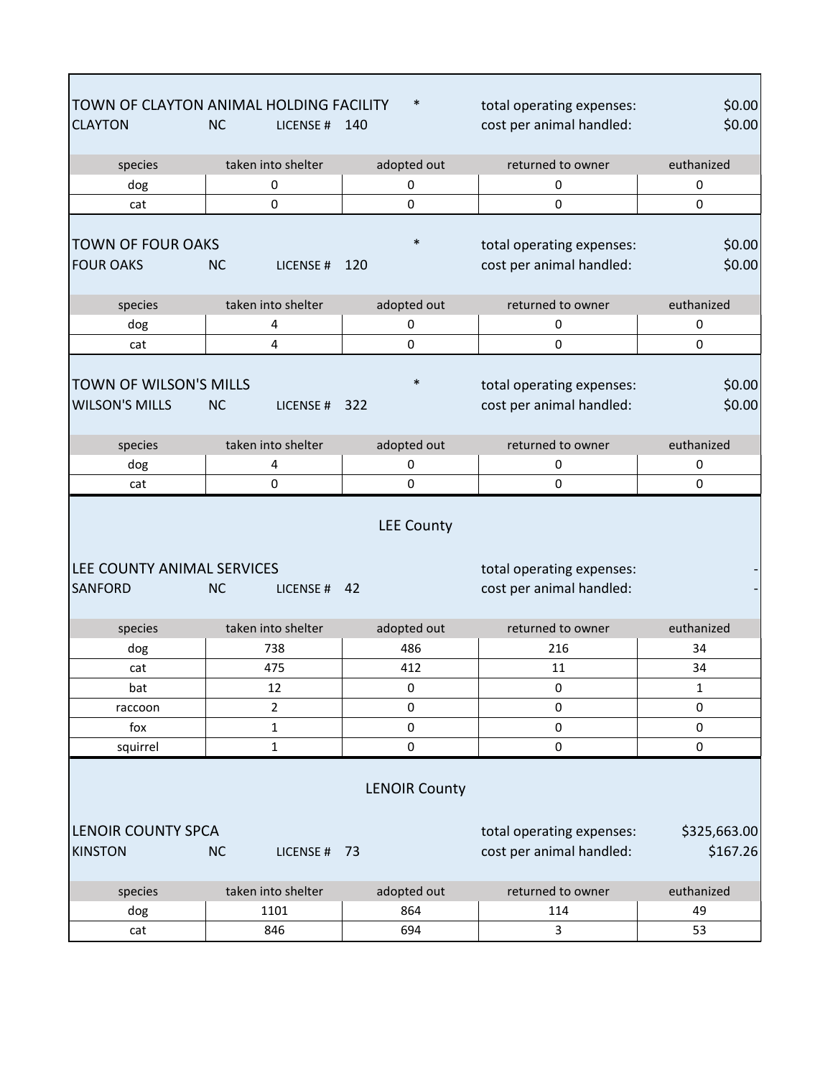|                            | TOWN OF CLAYTON ANIMAL HOLDING FACILITY | $\ast$            | total operating expenses: | \$0.00       |  |
|----------------------------|-----------------------------------------|-------------------|---------------------------|--------------|--|
| <b>CLAYTON</b>             | <b>NC</b><br>LICENSE#                   | 140               | cost per animal handled:  | \$0.00       |  |
|                            |                                         |                   | returned to owner         | euthanized   |  |
| species                    | taken into shelter                      | adopted out       |                           |              |  |
| dog                        | 0                                       | 0                 | 0                         | 0            |  |
| cat                        | $\mathbf 0$                             | $\mathbf 0$       | 0                         | 0            |  |
| <b>TOWN OF FOUR OAKS</b>   |                                         | $\ast$            | total operating expenses: | \$0.00       |  |
| <b>FOUR OAKS</b>           | <b>NC</b><br>LICENSE#                   | 120               | cost per animal handled:  | \$0.00       |  |
|                            |                                         |                   |                           |              |  |
| species                    | taken into shelter                      | adopted out       | returned to owner         | euthanized   |  |
| dog                        | 4                                       | 0                 | 0                         | 0            |  |
| cat                        | 4                                       | 0                 | 0                         | 0            |  |
|                            |                                         |                   |                           |              |  |
| TOWN OF WILSON'S MILLS     |                                         |                   | total operating expenses: | \$0.00       |  |
| <b>WILSON'S MILLS</b>      | <b>NC</b><br>LICENSE#                   | 322               | cost per animal handled:  | \$0.00       |  |
|                            |                                         |                   |                           |              |  |
| species                    | taken into shelter                      | adopted out       | returned to owner         | euthanized   |  |
| dog                        | 4                                       | 0                 | 0                         | 0            |  |
| cat                        | $\mathbf 0$                             | 0                 | 0                         | 0            |  |
|                            |                                         | <b>LEE County</b> |                           |              |  |
| LEE COUNTY ANIMAL SERVICES |                                         |                   | total operating expenses: |              |  |
| <b>SANFORD</b>             | <b>NC</b><br>LICENSE # 42               |                   | cost per animal handled:  |              |  |
| species                    | taken into shelter                      | adopted out       | returned to owner         | euthanized   |  |
| dog                        | 738                                     | 486               | 216                       | 34           |  |
| cat                        | 475                                     | 412               | 11                        | 34           |  |
| bat                        | 12                                      | 0                 | $\pmb{0}$                 | $\mathbf 1$  |  |
| raccoon                    | 2                                       | 0                 | 0                         | 0            |  |
| fox                        | $\mathbf 1$                             | $\pmb{0}$         | $\pmb{0}$                 | 0            |  |
| squirrel                   | $\mathbf 1$                             | $\Omega$          | 0                         | $\mathbf 0$  |  |
| <b>LENOIR County</b>       |                                         |                   |                           |              |  |
| <b>LENOIR COUNTY SPCA</b>  |                                         |                   | total operating expenses: | \$325,663.00 |  |
| <b>KINSTON</b>             | <b>NC</b><br>LICENSE # 73               |                   | cost per animal handled:  | \$167.26     |  |
|                            |                                         |                   |                           |              |  |
| species                    | taken into shelter                      | adopted out       | returned to owner         | euthanized   |  |
| dog                        | 1101                                    | 864               | 114                       | 49           |  |
| cat                        | 846                                     | 694               | 3                         | 53           |  |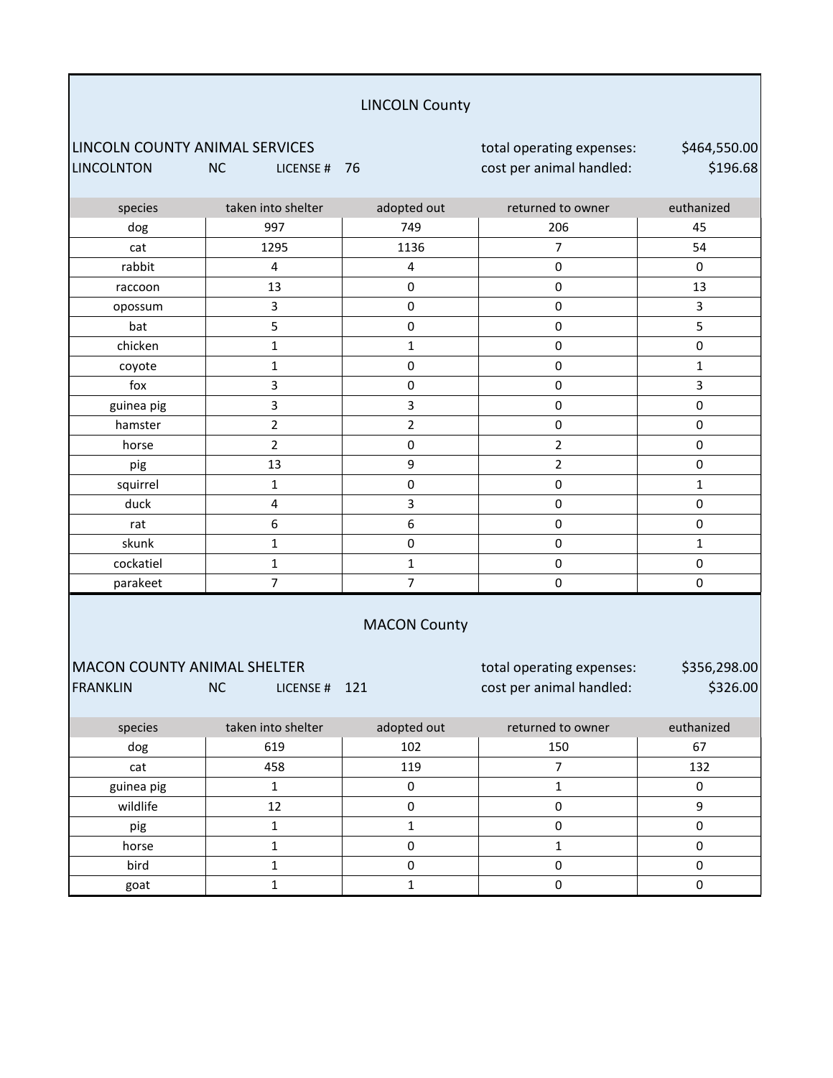### LINCOLN County

LINCOLN COUNTY ANIMAL SERVICES total operating expenses: LINCOLNTON NC LICENSE # 76 cost per animal handled:

\$464,550.00 \$196.68

| species             | taken into shelter | adopted out    | returned to owner | euthanized   |  |
|---------------------|--------------------|----------------|-------------------|--------------|--|
| dog                 | 997                | 749            | 206               | 45           |  |
| cat                 | 1295               | 1136           | $\overline{7}$    | 54           |  |
| rabbit              | 4                  | 4              | $\pmb{0}$         | $\pmb{0}$    |  |
| raccoon             | 13                 | 0              | $\pmb{0}$         | 13           |  |
| opossum             | 3                  | 0              | $\pmb{0}$         | 3            |  |
| bat                 | 5                  | 0              | $\pmb{0}$         | 5            |  |
| chicken             | $\mathbf{1}$       | $\mathbf{1}$   | $\pmb{0}$         | $\pmb{0}$    |  |
| coyote              | $\mathbf 1$        | 0              | $\pmb{0}$         | $\mathbf{1}$ |  |
| fox                 | 3                  | 0              | $\pmb{0}$         | 3            |  |
| guinea pig          | 3                  | 3              | $\pmb{0}$         | $\pmb{0}$    |  |
| hamster             | $\overline{2}$     | $\overline{2}$ | $\pmb{0}$         | $\pmb{0}$    |  |
| horse               | $\overline{2}$     | 0              | $\overline{2}$    | $\pmb{0}$    |  |
| pig                 | 13                 | 9              | $\overline{2}$    | $\pmb{0}$    |  |
| squirrel            | $\mathbf 1$        | $\mathsf 0$    | $\pmb{0}$         | $\mathbf{1}$ |  |
| duck                | 4                  | 3              | $\pmb{0}$         | $\pmb{0}$    |  |
| rat                 | 6                  | 6              | $\pmb{0}$         | $\pmb{0}$    |  |
| skunk               | $\mathbf 1$        | 0              | $\pmb{0}$         | $\mathbf{1}$ |  |
| cockatiel           | $\mathbf{1}$       | $\mathbf{1}$   | $\pmb{0}$         | $\pmb{0}$    |  |
| parakeet            | $\overline{7}$     | $\overline{7}$ | $\pmb{0}$         | $\pmb{0}$    |  |
| <b>MACON County</b> |                    |                |                   |              |  |

## MACON COUNTY ANIMAL SHELTER total operating expenses:

FRANKLIN NC LICENSE # 121 cost per animal handled:

\$356,298.00 \$326.00

| species    | taken into shelter | adopted out | returned to owner | euthanized |
|------------|--------------------|-------------|-------------------|------------|
| dog        | 619                | 102         | 150               | 67         |
| cat        | 458                | 119         |                   | 132        |
| guinea pig |                    |             |                   |            |
| wildlife   | 12                 |             |                   |            |
| pig        |                    |             |                   |            |
| horse      |                    |             |                   |            |
| bird       |                    |             |                   |            |
| goat       |                    |             |                   |            |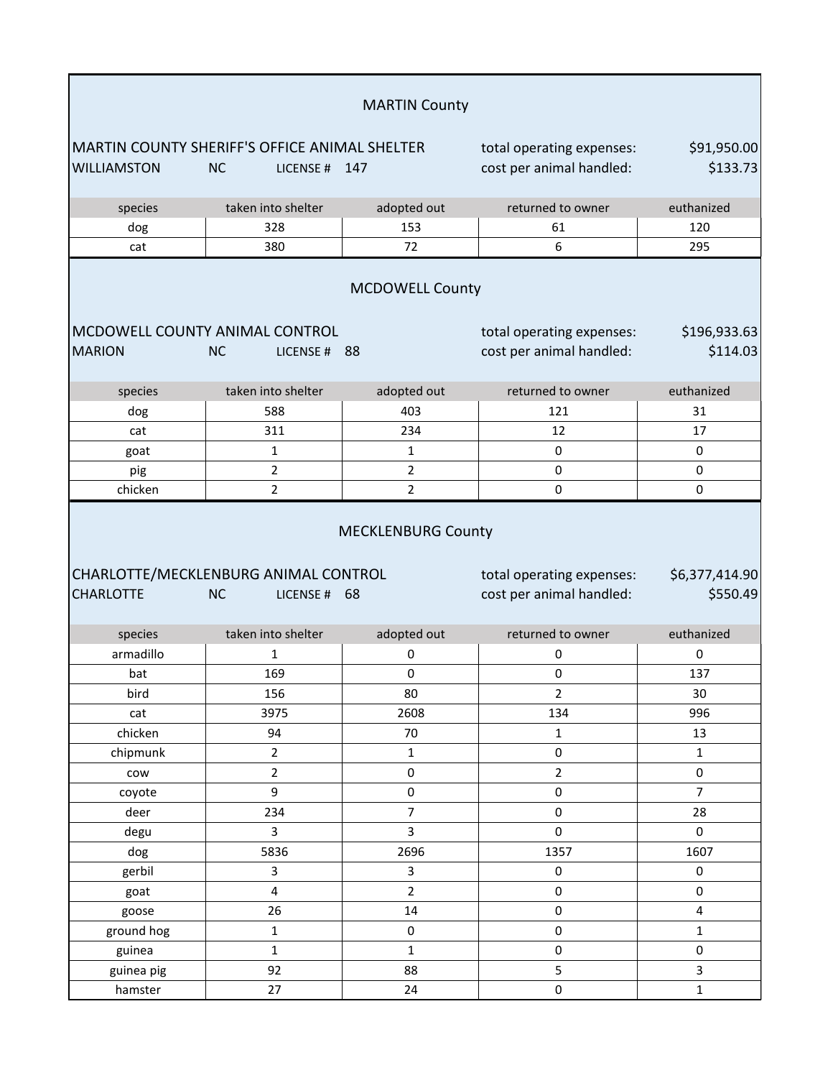|                                |                                                                                    | <b>MARTIN County</b>      |                                                       |                              |
|--------------------------------|------------------------------------------------------------------------------------|---------------------------|-------------------------------------------------------|------------------------------|
| <b>WILLIAMSTON</b>             | <b>MARTIN COUNTY SHERIFF'S OFFICE ANIMAL SHELTER</b><br><b>NC</b><br>LICENSE # 147 |                           | total operating expenses:<br>cost per animal handled: | \$91,950.00<br>\$133.73      |
| species                        | taken into shelter                                                                 | adopted out               | returned to owner                                     | euthanized                   |
| dog                            | 328                                                                                | 153                       | 61                                                    | 120                          |
| cat                            | 380                                                                                | 72                        | 6                                                     | 295                          |
|                                |                                                                                    | <b>MCDOWELL County</b>    |                                                       |                              |
| MCDOWELL COUNTY ANIMAL CONTROL |                                                                                    |                           | total operating expenses:                             | \$196,933.63                 |
| <b>MARION</b>                  | <b>NC</b><br>LICENSE # 88                                                          |                           | cost per animal handled:                              | \$114.03                     |
| species                        | taken into shelter                                                                 | adopted out               | returned to owner                                     | euthanized                   |
| dog                            | 588                                                                                | 403                       | 121                                                   | 31                           |
| cat                            | 311                                                                                | 234                       | 12                                                    | 17                           |
| goat                           | $\mathbf{1}$                                                                       | 1                         | $\pmb{0}$                                             | 0                            |
| pig                            | $\overline{2}$                                                                     | $\overline{2}$            | $\pmb{0}$                                             | 0                            |
| chicken                        | $\overline{2}$                                                                     | $\overline{2}$            | 0                                                     | 0                            |
| <b>CHARLOTTE</b>               | CHARLOTTE/MECKLENBURG ANIMAL CONTROL<br><b>NC</b><br>LICENSE # 68                  | <b>MECKLENBURG County</b> | total operating expenses:<br>cost per animal handled: | \$6,377,414.90<br>\$550.49   |
| species                        | taken into shelter                                                                 | adopted out               | returned to owner                                     | euthanized                   |
| armadillo                      | $\mathbf{1}$                                                                       | 0                         | 0                                                     | 0                            |
| bat                            | 169                                                                                | $\pmb{0}$                 | 0                                                     | 137                          |
| bird                           | 156                                                                                | 80                        | $\overline{2}$                                        | 30                           |
| cat                            | 3975                                                                               | 2608                      | 134                                                   | 996                          |
| chicken                        | 94                                                                                 | $70\,$                    | $\mathbf 1$                                           | 13                           |
| chipmunk                       | $\overline{2}$                                                                     | $\mathbf 1$               | $\mathsf{O}\xspace$                                   | $\mathbf 1$                  |
| cow                            | $\overline{2}$                                                                     | 0                         | $\overline{2}$                                        | 0                            |
| coyote                         | 9                                                                                  | $\pmb{0}$                 | $\pmb{0}$                                             | $\overline{7}$               |
| deer                           | 234                                                                                | $\overline{7}$            | $\pmb{0}$                                             | 28                           |
| degu                           | $\overline{3}$                                                                     | $\overline{3}$            | $\mathbf 0$                                           | $\mathsf{O}$                 |
| dog                            | 5836                                                                               | 2696                      | 1357                                                  | 1607                         |
| gerbil                         | 3                                                                                  | 3                         | $\pmb{0}$                                             | $\mathsf{O}\xspace$          |
| goat                           | $\overline{4}$                                                                     | $\overline{2}$            | $\mathbf 0$                                           | $\pmb{0}$                    |
| goose                          | 26<br>$\mathbf 1$                                                                  | 14<br>$\pmb{0}$           | $\pmb{0}$<br>$\pmb{0}$                                | $\overline{4}$               |
| ground hog                     |                                                                                    |                           |                                                       | $\mathbf{1}$                 |
| guinea                         | $\mathbf{1}$                                                                       | $\mathbf{1}$<br>88        | $\pmb{0}$                                             | $\mathsf{O}\xspace$          |
| guinea pig                     | 92<br>27                                                                           | 24                        | 5<br>$\mathbf 0$                                      | $\mathbf{3}$<br>$\mathbf{1}$ |
| hamster                        |                                                                                    |                           |                                                       |                              |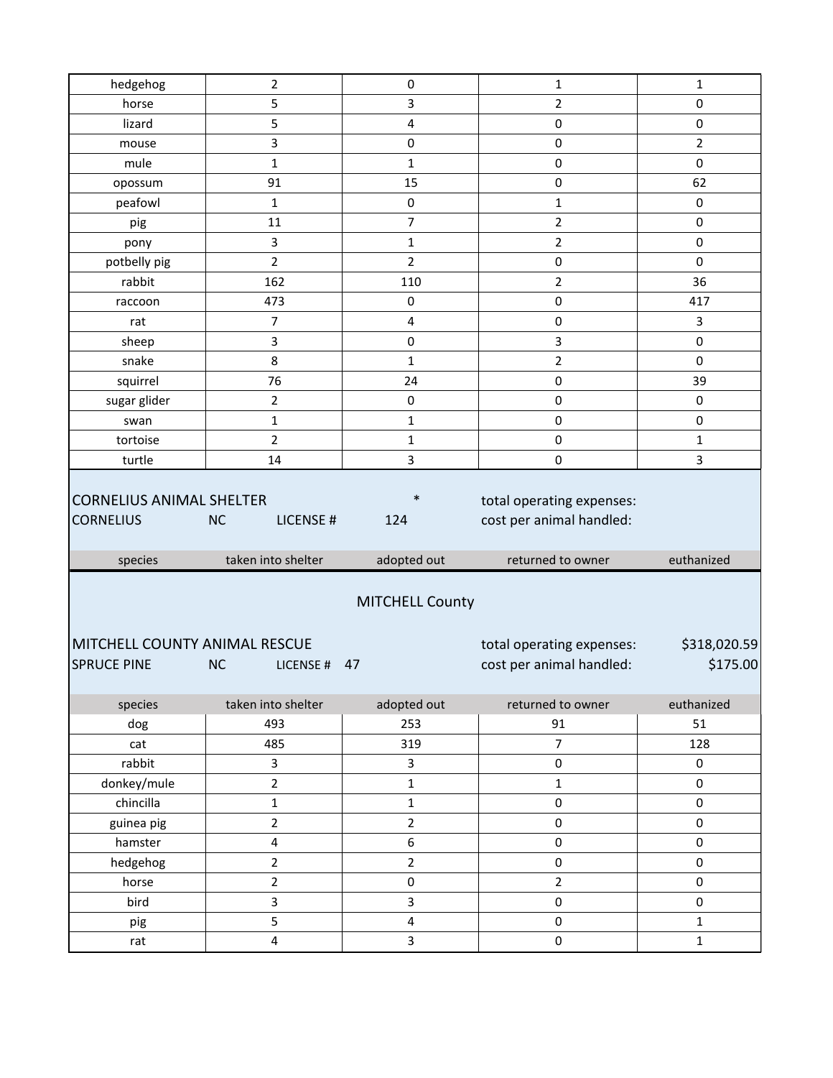| hedgehog                                            | $\overline{2}$                              | $\pmb{0}$                    | $\mathbf{1}$                                                               | $\mathbf{1}$                 |
|-----------------------------------------------------|---------------------------------------------|------------------------------|----------------------------------------------------------------------------|------------------------------|
| horse                                               | 5                                           | 3                            | $\overline{2}$                                                             | 0                            |
| lizard                                              | 5                                           | 4                            | $\pmb{0}$                                                                  | $\pmb{0}$                    |
| mouse                                               | 3                                           | 0                            | $\pmb{0}$                                                                  | 2                            |
| mule                                                | $\mathbf{1}$                                | 1                            | $\pmb{0}$                                                                  | $\pmb{0}$                    |
| opossum                                             | 91                                          | 15                           | $\pmb{0}$                                                                  | 62                           |
| peafowl                                             | $\mathbf{1}$                                | $\mathbf 0$                  | $\mathbf{1}$                                                               | $\pmb{0}$                    |
| pig                                                 | 11                                          | 7                            | $\overline{2}$                                                             | $\pmb{0}$                    |
| pony                                                | 3                                           | $\mathbf{1}$                 | $\overline{2}$                                                             | $\pmb{0}$                    |
| potbelly pig                                        | $\overline{2}$                              | 2                            | $\pmb{0}$                                                                  | 0                            |
| rabbit                                              | 162                                         | 110                          | $\overline{2}$                                                             | 36                           |
| raccoon                                             | 473                                         | $\pmb{0}$                    | $\pmb{0}$                                                                  | 417                          |
| rat                                                 | $\overline{7}$                              | 4                            | $\pmb{0}$                                                                  | 3                            |
| sheep                                               | 3                                           | $\pmb{0}$                    | 3                                                                          | $\pmb{0}$                    |
| snake                                               | 8                                           | 1                            | $\overline{2}$                                                             | $\pmb{0}$                    |
| squirrel                                            | 76                                          | 24                           | $\pmb{0}$                                                                  | 39                           |
| sugar glider                                        | $\overline{2}$                              | $\pmb{0}$                    | $\pmb{0}$                                                                  | $\pmb{0}$                    |
| swan                                                | $\mathbf{1}$                                | $\mathbf{1}$                 | $\pmb{0}$                                                                  | 0                            |
| tortoise                                            | $\overline{2}$                              | $\mathbf{1}$                 | $\pmb{0}$                                                                  | $\mathbf{1}$                 |
| turtle                                              | 14                                          | 3                            | $\pmb{0}$                                                                  | 3                            |
| <b>CORNELIUS ANIMAL SHELTER</b>                     |                                             | $\ast$                       |                                                                            |                              |
| <b>CORNELIUS</b><br>species                         | <b>NC</b><br>LICENSE#<br>taken into shelter | 124<br>adopted out           | total operating expenses:<br>cost per animal handled:<br>returned to owner | euthanized                   |
| MITCHELL COUNTY ANIMAL RESCUE<br><b>SPRUCE PINE</b> | <b>NC</b><br>LICENSE #                      | <b>MITCHELL County</b><br>47 | total operating expenses:<br>cost per animal handled:                      | \$318,020.59<br>\$175.00     |
| species                                             | taken into shelter                          | adopted out                  | returned to owner                                                          | euthanized                   |
| dog                                                 | 493                                         | 253                          | 91                                                                         | 51                           |
| cat                                                 | 485                                         | 319                          | $\boldsymbol{7}$                                                           | 128                          |
| rabbit                                              | 3                                           | 3                            | $\pmb{0}$                                                                  | $\mathbf 0$                  |
| donkey/mule                                         | $\overline{2}$                              | $\mathbf 1$                  | $\mathbf 1$                                                                | $\mathsf{O}\xspace$          |
| chincilla                                           | $\mathbf 1$                                 | $\mathbf 1$                  | $\pmb{0}$                                                                  | 0                            |
| guinea pig                                          | $\overline{2}$                              | $\overline{2}$               | $\pmb{0}$                                                                  | 0                            |
| hamster                                             | $\overline{\mathbf{4}}$                     | 6                            | $\pmb{0}$                                                                  | $\mathsf{O}\xspace$          |
| hedgehog                                            | $\overline{2}$                              | $\overline{2}$               | $\pmb{0}$                                                                  | 0                            |
| horse                                               | $\overline{2}$                              | $\pmb{0}$                    | $\mathbf 2$                                                                | $\mathbf 0$                  |
| bird                                                | 3                                           | $\overline{\mathbf{3}}$      | $\pmb{0}$                                                                  | 0                            |
| pig<br>rat                                          | 5<br>4                                      | $\overline{\mathbf{4}}$<br>3 | $\pmb{0}$<br>$\pmb{0}$                                                     | $\mathbf{1}$<br>$\mathbf{1}$ |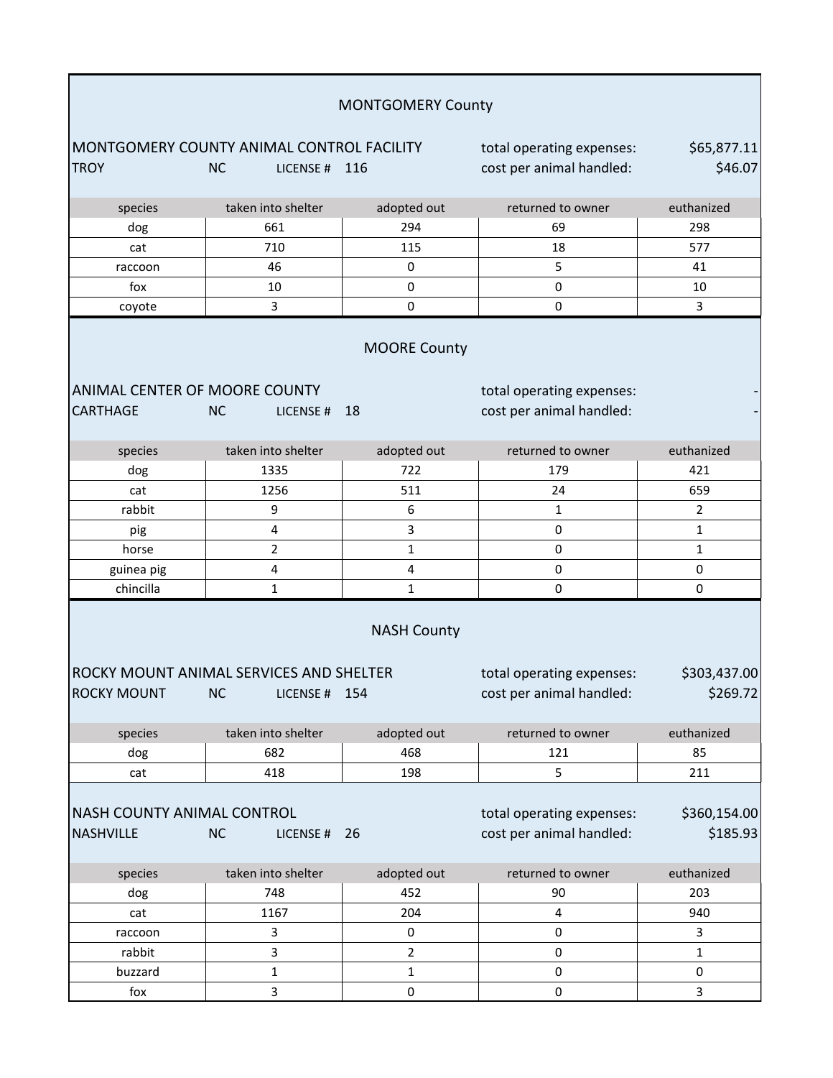|                                                                                                                                                                 |                                                                    | <b>MONTGOMERY County</b>                              |                                                       |                          |  |
|-----------------------------------------------------------------------------------------------------------------------------------------------------------------|--------------------------------------------------------------------|-------------------------------------------------------|-------------------------------------------------------|--------------------------|--|
| <b>TROY</b>                                                                                                                                                     | MONTGOMERY COUNTY ANIMAL CONTROL FACILITY<br><b>NC</b><br>LICENSE# | 116                                                   | total operating expenses:<br>cost per animal handled: | \$65,877.11<br>\$46.07   |  |
| species                                                                                                                                                         | taken into shelter                                                 | adopted out                                           | returned to owner                                     | euthanized               |  |
| dog                                                                                                                                                             | 661                                                                | 294                                                   | 69                                                    | 298                      |  |
| cat                                                                                                                                                             | 710                                                                | 115                                                   | 18                                                    | 577                      |  |
| raccoon                                                                                                                                                         | 46                                                                 | 0                                                     | 5                                                     | 41                       |  |
| fox                                                                                                                                                             | 10                                                                 | 0                                                     | 0                                                     | 10                       |  |
| coyote                                                                                                                                                          | 3                                                                  | 0                                                     | $\mathbf 0$                                           | 3                        |  |
| <b>MOORE County</b><br>ANIMAL CENTER OF MOORE COUNTY<br>total operating expenses:<br>cost per animal handled:<br><b>CARTHAGE</b><br><b>NC</b><br>18<br>LICENSE# |                                                                    |                                                       |                                                       |                          |  |
|                                                                                                                                                                 |                                                                    |                                                       |                                                       |                          |  |
| species                                                                                                                                                         | taken into shelter                                                 | adopted out                                           | returned to owner                                     | euthanized               |  |
| dog                                                                                                                                                             | 1335                                                               | 722                                                   | 179                                                   | 421                      |  |
| cat                                                                                                                                                             | 1256                                                               | 511                                                   | 24                                                    | 659                      |  |
| rabbit                                                                                                                                                          | 9                                                                  | 6                                                     | $\mathbf{1}$                                          | $\overline{2}$           |  |
| pig                                                                                                                                                             | $\overline{\mathbf{4}}$                                            | 3                                                     | $\pmb{0}$                                             | $\mathbf{1}$             |  |
| horse                                                                                                                                                           | $\overline{2}$                                                     | $\mathbf{1}$                                          | $\pmb{0}$                                             | $\mathbf{1}$             |  |
| guinea pig                                                                                                                                                      | 4                                                                  | 4                                                     | $\pmb{0}$                                             | 0                        |  |
| chincilla                                                                                                                                                       | $\mathbf{1}$                                                       | 1                                                     | 0                                                     | $\pmb{0}$                |  |
| <b>ROCKY MOUNT</b>                                                                                                                                              | ROCKY MOUNT ANIMAL SERVICES AND SHELTER<br><b>NC</b><br>LICENSE #  | total operating expenses:<br>cost per animal handled: | \$303,437.00<br>\$269.72                              |                          |  |
| species                                                                                                                                                         | taken into shelter                                                 | adopted out                                           | returned to owner                                     | euthanized               |  |
| dog                                                                                                                                                             | 682                                                                | 468                                                   | 121                                                   | 85                       |  |
| cat                                                                                                                                                             | 418                                                                | 198                                                   | 5                                                     | 211                      |  |
| <b>NASH COUNTY ANIMAL CONTROL</b><br><b>NASHVILLE</b>                                                                                                           | <b>NC</b><br>LICENSE #                                             | 26                                                    | total operating expenses:<br>cost per animal handled: | \$360,154.00<br>\$185.93 |  |
| species                                                                                                                                                         | taken into shelter                                                 | adopted out                                           | returned to owner                                     | euthanized               |  |
| dog                                                                                                                                                             | 748                                                                | 452                                                   | 90                                                    | 203                      |  |
| cat                                                                                                                                                             | 1167                                                               | 204                                                   | $\pmb{4}$                                             | 940                      |  |
| raccoon                                                                                                                                                         | 3                                                                  | $\pmb{0}$                                             | $\pmb{0}$                                             | 3                        |  |
| rabbit                                                                                                                                                          | 3                                                                  | $\overline{2}$                                        | $\pmb{0}$                                             | $\mathbf{1}$             |  |
| buzzard                                                                                                                                                         | $\mathbf 1$                                                        | 1                                                     | 0                                                     | 0                        |  |
| fox                                                                                                                                                             | 3                                                                  | 0                                                     | $\pmb{0}$                                             | 3                        |  |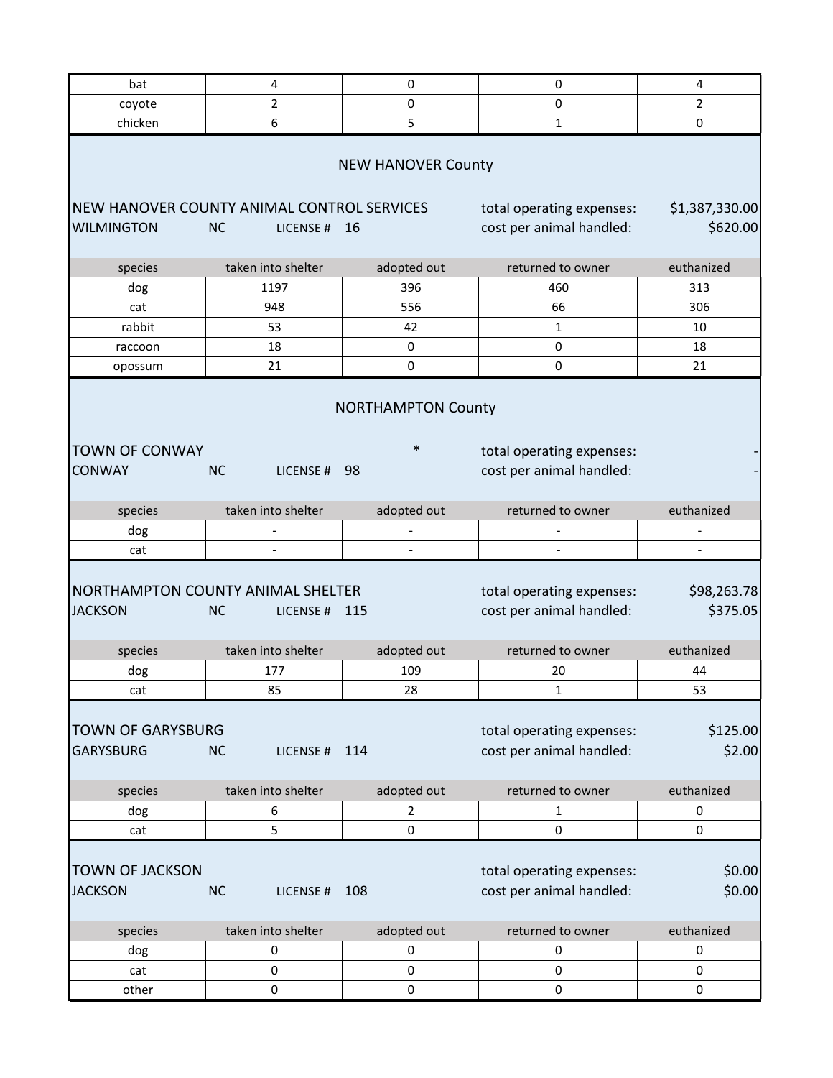| bat                                                             | 4                        | 0                                   | 0                                                     | 4                          |
|-----------------------------------------------------------------|--------------------------|-------------------------------------|-------------------------------------------------------|----------------------------|
| coyote                                                          | 2                        | 0                                   | $\pmb{0}$                                             | $\overline{2}$             |
| chicken                                                         | 6                        | 5                                   | 1                                                     | 0                          |
|                                                                 |                          | <b>NEW HANOVER County</b>           |                                                       |                            |
| NEW HANOVER COUNTY ANIMAL CONTROL SERVICES<br><b>WILMINGTON</b> | <b>NC</b><br>LICENSE#    | 16                                  | total operating expenses:<br>cost per animal handled: | \$1,387,330.00<br>\$620.00 |
| species                                                         | taken into shelter       | adopted out                         | returned to owner                                     | euthanized                 |
| dog                                                             | 1197                     | 396                                 | 460                                                   | 313                        |
| cat                                                             | 948                      | 556                                 | 66                                                    | 306                        |
| rabbit                                                          | 53                       | 42                                  | $\mathbf{1}$                                          | 10                         |
| raccoon                                                         | 18                       | $\pmb{0}$                           | $\pmb{0}$                                             | 18                         |
| opossum                                                         | 21                       | 0                                   | 0                                                     | 21                         |
| <b>TOWN OF CONWAY</b>                                           |                          | <b>NORTHAMPTON County</b><br>$\ast$ |                                                       |                            |
|                                                                 |                          |                                     | total operating expenses:                             |                            |
| <b>CONWAY</b>                                                   | <b>NC</b><br>LICENSE#    | 98                                  | cost per animal handled:                              |                            |
| species                                                         | taken into shelter       | adopted out                         | returned to owner                                     | euthanized                 |
| dog                                                             | $\overline{\phantom{a}}$ |                                     |                                                       | $\overline{\phantom{a}}$   |
| cat                                                             |                          |                                     |                                                       |                            |
| NORTHAMPTON COUNTY ANIMAL SHELTER<br><b>JACKSON</b>             | <b>NC</b><br>LICENSE#    | 115                                 | total operating expenses:<br>cost per animal handled: | \$98,263.78<br>\$375.05    |
| species                                                         | taken into shelter       | adopted out                         | returned to owner                                     | euthanized                 |
| dog                                                             | 177                      | 109                                 | 20                                                    | 44                         |
| cat                                                             | 85                       | 28                                  | 1                                                     | 53                         |
| <b>TOWN OF GARYSBURG</b><br><b>GARYSBURG</b>                    | <b>NC</b><br>LICENSE#    | 114                                 | total operating expenses:<br>cost per animal handled: | \$125.00<br>\$2.00         |
| species                                                         | taken into shelter       | adopted out                         | returned to owner                                     | euthanized                 |
| dog                                                             | 6                        | 2                                   | 1                                                     | 0                          |
| cat                                                             | 5                        | 0                                   | $\pmb{0}$                                             | 0                          |
| <b>TOWN OF JACKSON</b><br><b>JACKSON</b>                        | <b>NC</b><br>LICENSE #   | 108                                 | total operating expenses:<br>cost per animal handled: | \$0.00<br>\$0.00           |
| species                                                         | taken into shelter       | adopted out                         | returned to owner                                     | euthanized                 |
| dog                                                             | 0                        | 0                                   | 0                                                     | 0                          |
| cat                                                             | 0                        | 0                                   | 0                                                     | 0                          |
| other                                                           | $\pmb{0}$                | 0                                   | $\pmb{0}$                                             | 0                          |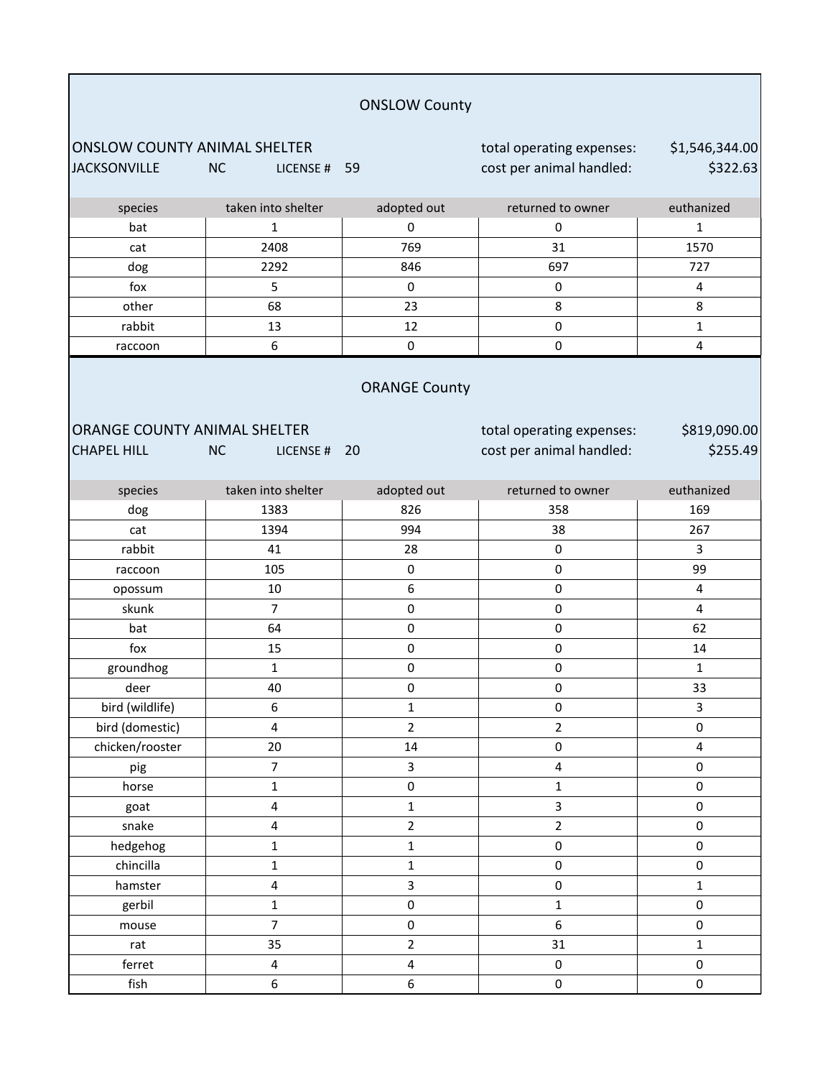|                                                            |                           | <b>ONSLOW County</b>       |                                                       |                            |
|------------------------------------------------------------|---------------------------|----------------------------|-------------------------------------------------------|----------------------------|
| <b>ONSLOW COUNTY ANIMAL SHELTER</b><br><b>JACKSONVILLE</b> | <b>NC</b><br>LICENSE # 59 |                            | total operating expenses:<br>cost per animal handled: | \$1,546,344.00<br>\$322.63 |
| species                                                    | taken into shelter        | adopted out                | returned to owner                                     | euthanized                 |
| bat                                                        | 1                         | 0                          | 0                                                     | $\mathbf{1}$               |
| cat                                                        | 2408                      | 769                        | 31                                                    | 1570                       |
| dog                                                        | 2292                      | 846                        | 697                                                   | 727                        |
| fox                                                        | 5                         | $\pmb{0}$                  | $\pmb{0}$                                             | 4                          |
| other                                                      | 68                        | 23                         | 8                                                     | 8                          |
| rabbit                                                     | 13                        | 12                         | 0                                                     | $\mathbf{1}$               |
| raccoon                                                    | 6                         | $\pmb{0}$                  | 0                                                     | 4                          |
| ORANGE COUNTY ANIMAL SHELTER<br><b>CHAPEL HILL</b>         | <b>NC</b><br>LICENSE#     | <b>ORANGE County</b><br>20 | total operating expenses:<br>cost per animal handled: | \$819,090.00<br>\$255.49   |
| species                                                    | taken into shelter        | adopted out                | returned to owner                                     | euthanized                 |
| dog                                                        | 1383                      | 826                        | 358                                                   | 169                        |
| cat                                                        | 1394                      | 994                        | 38                                                    | 267                        |
| rabbit                                                     | 41                        | 28                         | 0                                                     | 3                          |
| raccoon                                                    | 105                       | $\pmb{0}$                  | 0                                                     | 99                         |
| opossum                                                    | 10                        | 6                          | 0                                                     | 4                          |
| skunk                                                      | $\overline{7}$            | $\pmb{0}$                  | 0                                                     | $\overline{4}$             |
| bat                                                        | 64                        | $\pmb{0}$                  | 0                                                     | 62                         |
| fox                                                        | 15                        | $\pmb{0}$                  | $\pmb{0}$                                             | 14                         |
| groundhog                                                  | $\mathbf{1}$              | $\pmb{0}$                  | 0                                                     | $\mathbf{1}$               |
| deer                                                       | 40                        | 0                          | 0                                                     | 33                         |
| bird (wildlife)                                            | 6                         | $\mathbf{1}$               | $\pmb{0}$                                             | 3                          |
| bird (domestic)                                            | 4                         | $\overline{2}$             | $\overline{2}$                                        | $\pmb{0}$                  |
| chicken/rooster                                            | 20                        | 14                         | $\pmb{0}$                                             | $\overline{4}$             |
| pig                                                        | $\boldsymbol{7}$          | 3                          | $\overline{\mathbf{4}}$                               | $\pmb{0}$                  |
| horse                                                      | $\mathbf{1}$              | $\pmb{0}$                  | $\mathbf 1$                                           | $\pmb{0}$                  |
| goat                                                       | 4                         | $\mathbf 1$                | 3                                                     | $\pmb{0}$                  |
| snake                                                      | 4                         | $\overline{2}$             | $\overline{2}$                                        | $\pmb{0}$                  |
| hedgehog                                                   | $\mathbf 1$               | $\mathbf{1}$               | $\pmb{0}$                                             | $\pmb{0}$                  |
| chincilla                                                  | $\mathbf 1$               | $\mathbf{1}$               | $\pmb{0}$                                             | $\pmb{0}$                  |
| hamster                                                    | 4                         | 3                          | $\pmb{0}$                                             | $\mathbf{1}$               |
| gerbil                                                     | $\mathbf 1$               | $\pmb{0}$                  | $\mathbf 1$                                           | $\pmb{0}$                  |
| mouse                                                      | $\overline{7}$            | $\pmb{0}$                  | 6                                                     | $\pmb{0}$                  |
| rat                                                        | 35                        | $\overline{2}$             | 31                                                    | $\mathbf{1}$               |
| ferret                                                     | $\overline{\mathbf{4}}$   | $\overline{\mathbf{4}}$    | $\pmb{0}$                                             | $\pmb{0}$                  |
| fish                                                       | 6                         | $\boldsymbol{6}$           | $\pmb{0}$                                             | $\pmb{0}$                  |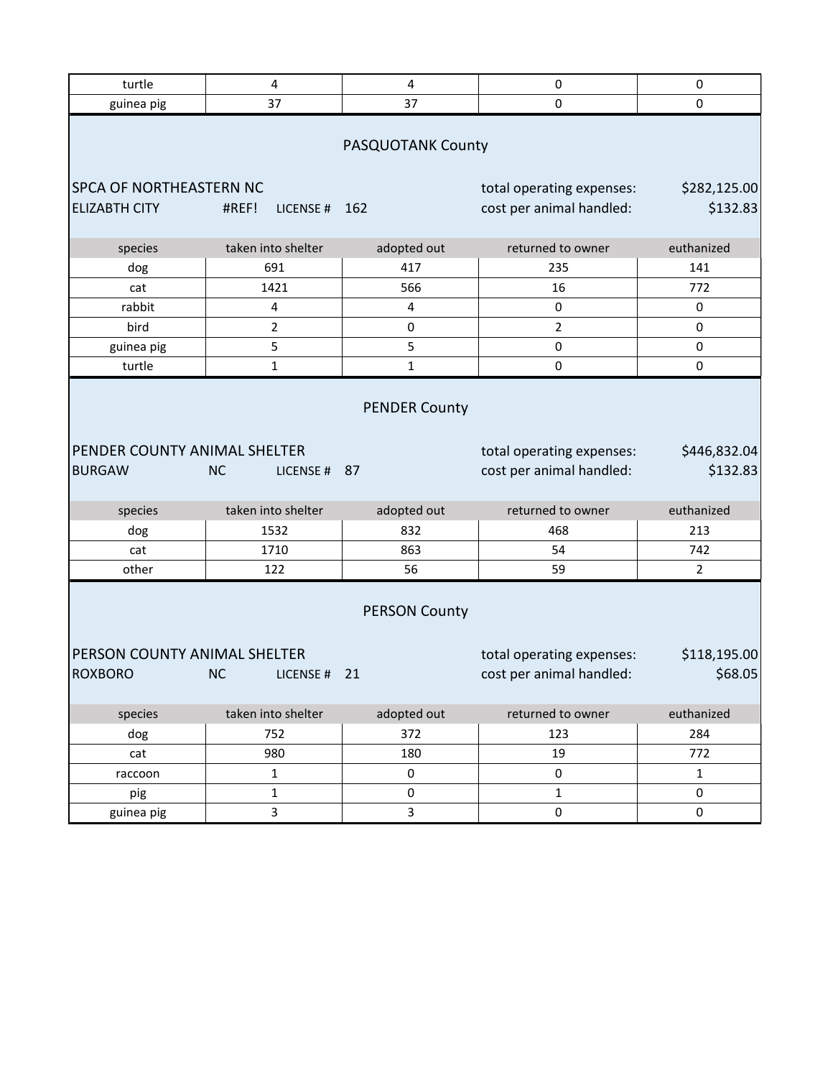| turtle                                                                                                                                                                                    | 4                         | $\pmb{4}$              | $\pmb{0}$                                             | $\pmb{0}$                |  |  |
|-------------------------------------------------------------------------------------------------------------------------------------------------------------------------------------------|---------------------------|------------------------|-------------------------------------------------------|--------------------------|--|--|
| guinea pig                                                                                                                                                                                | 37                        | 37                     | 0                                                     | 0                        |  |  |
| PASQUOTANK County                                                                                                                                                                         |                           |                        |                                                       |                          |  |  |
| <b>SPCA OF NORTHEASTERN NC</b><br><b>ELIZABTH CITY</b>                                                                                                                                    | #REF!<br>LICENSE#         | 162                    | total operating expenses:<br>cost per animal handled: | \$282,125.00<br>\$132.83 |  |  |
| species                                                                                                                                                                                   | taken into shelter        | adopted out            | returned to owner                                     | euthanized               |  |  |
| dog                                                                                                                                                                                       | 691                       | 417                    | 235                                                   | 141                      |  |  |
| cat                                                                                                                                                                                       | 1421                      | 566                    | 16                                                    | 772                      |  |  |
| rabbit                                                                                                                                                                                    | 4                         | 4                      | 0                                                     | 0                        |  |  |
| bird                                                                                                                                                                                      | $\overline{2}$            | 0                      | $\overline{2}$                                        | 0                        |  |  |
| guinea pig                                                                                                                                                                                | 5                         | 5                      | $\pmb{0}$                                             | 0                        |  |  |
| turtle                                                                                                                                                                                    | $\mathbf{1}$              | 1                      | $\pmb{0}$                                             | 0                        |  |  |
| PENDER COUNTY ANIMAL SHELTER<br><b>BURGAW</b>                                                                                                                                             | <b>NC</b><br>LICENSE # 87 | <b>PENDER County</b>   | total operating expenses:<br>cost per animal handled: | \$446,832.04<br>\$132.83 |  |  |
| species                                                                                                                                                                                   | taken into shelter        | adopted out            | returned to owner                                     | euthanized               |  |  |
| dog                                                                                                                                                                                       | 1532                      | 832                    | 468                                                   | 213                      |  |  |
| cat                                                                                                                                                                                       | 1710                      | 863                    | 54                                                    | 742                      |  |  |
| other                                                                                                                                                                                     | 122                       | 56                     | 59                                                    | $\overline{2}$           |  |  |
| <b>PERSON County</b><br>PERSON COUNTY ANIMAL SHELTER<br>\$118,195.00<br>total operating expenses:<br><b>ROXBORO</b><br>cost per animal handled:<br>\$68.05<br><b>NC</b><br>21<br>LICENSE# |                           |                        |                                                       |                          |  |  |
|                                                                                                                                                                                           |                           |                        |                                                       |                          |  |  |
| species                                                                                                                                                                                   | taken into shelter        | adopted out            | returned to owner                                     | euthanized               |  |  |
| dog                                                                                                                                                                                       | 752                       | 372                    | 123                                                   | 284                      |  |  |
| cat                                                                                                                                                                                       | 980                       | 180                    | 19                                                    | 772                      |  |  |
| raccoon                                                                                                                                                                                   | $\mathbf 1$               | $\pmb{0}$<br>$\pmb{0}$ | $\pmb{0}$<br>$\mathbf 1$                              | $\mathbf{1}$<br>0        |  |  |
| pig<br>guinea pig                                                                                                                                                                         | $\mathbf 1$<br>3          | 3                      | $\pmb{0}$                                             | 0                        |  |  |
|                                                                                                                                                                                           |                           |                        |                                                       |                          |  |  |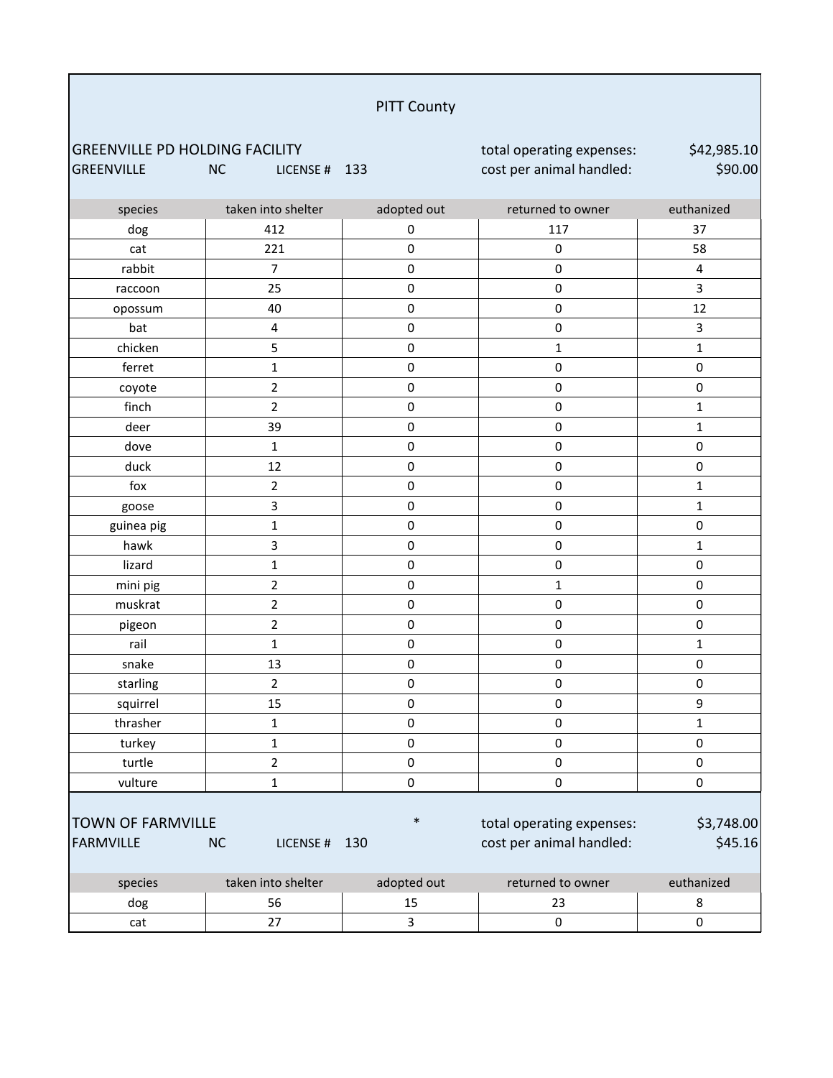# PITT County

GREENVILLE PD HOLDING FACILITY **total operating expenses:** GREENVILLE NC LICENSE # 133 cost per animal handled:

\$42,985.10 \$90.00

| species                  | taken into shelter      | adopted out         | returned to owner         | euthanized              |
|--------------------------|-------------------------|---------------------|---------------------------|-------------------------|
| dog                      | 412                     | $\pmb{0}$           | 117                       | 37                      |
| cat                      | 221                     | $\pmb{0}$           | $\pmb{0}$                 | 58                      |
| rabbit                   | $\overline{7}$          | $\mathsf{O}\xspace$ | $\pmb{0}$                 | $\overline{\mathbf{4}}$ |
| raccoon                  | 25                      | $\pmb{0}$           | $\pmb{0}$                 | $\overline{\mathbf{3}}$ |
| opossum                  | 40                      | 0                   | $\pmb{0}$                 | 12                      |
| bat                      | $\overline{\mathbf{4}}$ | $\pmb{0}$           | $\pmb{0}$                 | $\mathbf{3}$            |
| chicken                  | 5                       | $\pmb{0}$           | $\mathbf 1$               | $\mathbf 1$             |
| ferret                   | $\mathbf{1}$            | $\pmb{0}$           | $\pmb{0}$                 | $\pmb{0}$               |
| coyote                   | $\overline{2}$          | 0                   | $\pmb{0}$                 | $\pmb{0}$               |
| finch                    | $\overline{2}$          | $\pmb{0}$           | $\pmb{0}$                 | $\mathbf 1$             |
| deer                     | 39                      | $\mathsf 0$         | $\pmb{0}$                 | $\mathbf 1$             |
| dove                     | $\mathbf{1}$            | $\mathsf{O}\xspace$ | $\mathbf 0$               | $\pmb{0}$               |
| duck                     | 12                      | $\pmb{0}$           | $\pmb{0}$                 | $\pmb{0}$               |
| fox                      | $\overline{2}$          | $\pmb{0}$           | $\pmb{0}$                 | $\mathbf 1$             |
| goose                    | 3                       | $\pmb{0}$           | $\pmb{0}$                 | $\mathbf 1$             |
| guinea pig               | $\mathbf{1}$            | $\pmb{0}$           | $\pmb{0}$                 | $\pmb{0}$               |
| hawk                     | 3                       | $\mathsf 0$         | $\pmb{0}$                 | $\mathbf 1$             |
| lizard                   | $\mathbf 1$             | $\mathsf{O}\xspace$ | $\pmb{0}$                 | $\pmb{0}$               |
| mini pig                 | $\overline{2}$          | $\pmb{0}$           | $\mathbf 1$               | $\pmb{0}$               |
| muskrat                  | $\overline{2}$          | $\pmb{0}$           | $\pmb{0}$                 | $\pmb{0}$               |
| pigeon                   | $\overline{2}$          | $\pmb{0}$           | $\pmb{0}$                 | $\pmb{0}$               |
| rail                     | $\mathbf{1}$            | $\pmb{0}$           | $\pmb{0}$                 | $\mathbf 1$             |
| snake                    | 13                      | $\pmb{0}$           | $\pmb{0}$                 | $\pmb{0}$               |
| starling                 | $\overline{2}$          | $\mathsf 0$         | $\pmb{0}$                 | $\pmb{0}$               |
| squirrel                 | 15                      | $\mathsf 0$         | $\pmb{0}$                 | $\boldsymbol{9}$        |
| thrasher                 | $\mathbf 1$             | $\pmb{0}$           | $\pmb{0}$                 | $\mathbf 1$             |
| turkey                   | $\mathbf{1}$            | $\pmb{0}$           | $\pmb{0}$                 | $\pmb{0}$               |
| turtle                   | $\overline{2}$          | $\pmb{0}$           | $\pmb{0}$                 | $\pmb{0}$               |
| vulture                  | $\mathbf{1}$            | $\mathsf 0$         | $\pmb{0}$                 | 0                       |
| <b>TOWN OF FARMVILLE</b> |                         | $\ast$              | total operating expenses: | \$3,748.00              |
| <b>FARMVILLE</b>         | NC<br>LICENSE #         | 130                 | cost per animal handled:  | \$45.16                 |
| species                  | taken into shelter      | adopted out         | returned to owner         | euthanized              |
| dog                      | 56                      | 15                  | 23                        | 8                       |
| cat                      | 27                      | 3                   | $\pmb{0}$                 | $\pmb{0}$               |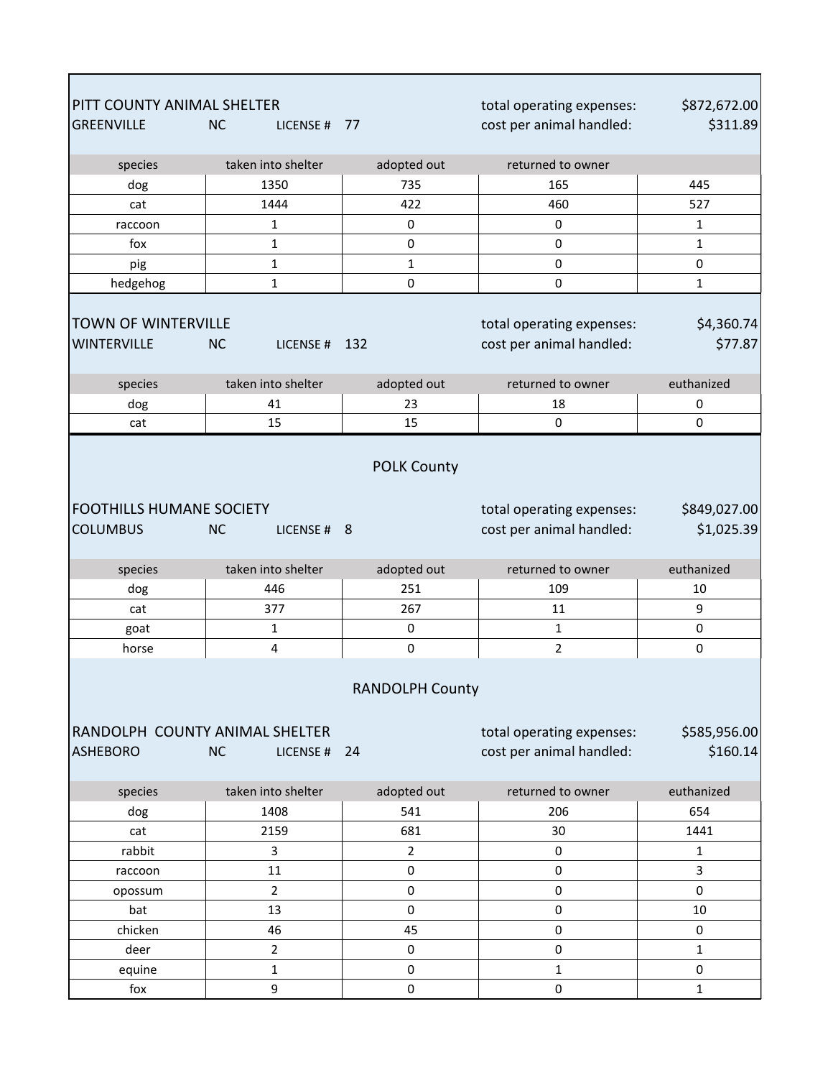| PITT COUNTY ANIMAL SHELTER      |                            |                        | total operating expenses: | \$872,672.00 |
|---------------------------------|----------------------------|------------------------|---------------------------|--------------|
| <b>GREENVILLE</b>               | <b>NC</b><br>LICENSE # 77  |                        | cost per animal handled:  | \$311.89     |
| species                         | taken into shelter         | adopted out            | returned to owner         |              |
| dog                             | 1350                       | 735                    | 165                       | 445          |
| cat                             | 1444                       | 422                    | 460                       | 527          |
| raccoon                         | $\mathbf{1}$               | 0                      | 0                         | $\mathbf{1}$ |
| fox                             | $\mathbf{1}$               | 0                      | 0                         | $\mathbf{1}$ |
| pig                             | $\mathbf 1$                | $\mathbf{1}$           | 0                         | 0            |
| hedgehog                        | 1                          | 0                      | 0                         | $\mathbf{1}$ |
|                                 |                            |                        |                           |              |
| <b>TOWN OF WINTERVILLE</b>      |                            |                        | total operating expenses: | \$4,360.74   |
| WINTERVILLE                     | <b>NC</b><br>LICENSE # 132 |                        | cost per animal handled:  | \$77.87      |
| species                         | taken into shelter         | adopted out            | returned to owner         | euthanized   |
| dog                             | 41                         | 23                     | 18                        | 0            |
| cat                             | 15                         | 15                     | 0                         | 0            |
|                                 |                            | <b>POLK County</b>     |                           |              |
|                                 |                            |                        |                           |              |
| <b>FOOTHILLS HUMANE SOCIETY</b> |                            |                        | total operating expenses: | \$849,027.00 |
| <b>COLUMBUS</b>                 | <b>NC</b><br>LICENSE # 8   |                        | cost per animal handled:  | \$1,025.39   |
| species                         | taken into shelter         | adopted out            | returned to owner         | euthanized   |
| dog                             | 446                        | 251                    | 109                       | 10           |
| cat                             | 377                        | 267                    | 11                        | 9            |
| goat                            | $\mathbf{1}$               | 0                      | $\mathbf{1}$              | 0            |
| horse                           | 4                          | $\pmb{0}$              | $\overline{2}$            | 0            |
|                                 |                            | <b>RANDOLPH County</b> |                           |              |
| RANDOLPH COUNTY ANIMAL SHELTER  |                            |                        | total operating expenses: | \$585,956.00 |
| <b>ASHEBORO</b>                 | <b>NC</b><br>LICENSE # 24  |                        | cost per animal handled:  | \$160.14     |
|                                 |                            |                        |                           |              |
| species                         | taken into shelter         | adopted out            | returned to owner         | euthanized   |
| dog                             | 1408                       | 541                    | 206                       | 654          |
| cat                             | 2159                       | 681                    | 30                        | 1441         |
| rabbit                          | $\overline{3}$             | $\overline{2}$         | 0                         | 1            |
| raccoon                         | 11                         | 0                      | $\mathbf 0$               | 3            |
| opossum                         | $\overline{2}$             | 0                      | $\pmb{0}$                 | 0            |
| bat                             | 13                         | 0                      | $\pmb{0}$                 | 10           |
| chicken                         | 46                         | 45                     | $\pmb{0}$                 | 0            |
| deer                            | $\overline{2}$             | 0                      | $\pmb{0}$                 | $\mathbf{1}$ |
| equine                          | $\mathbf 1$                | 0                      | 1                         | 0            |
| fox                             | $\boldsymbol{9}$           | $\pmb{0}$              | $\mathsf{O}\xspace$       | $\mathbf{1}$ |

Г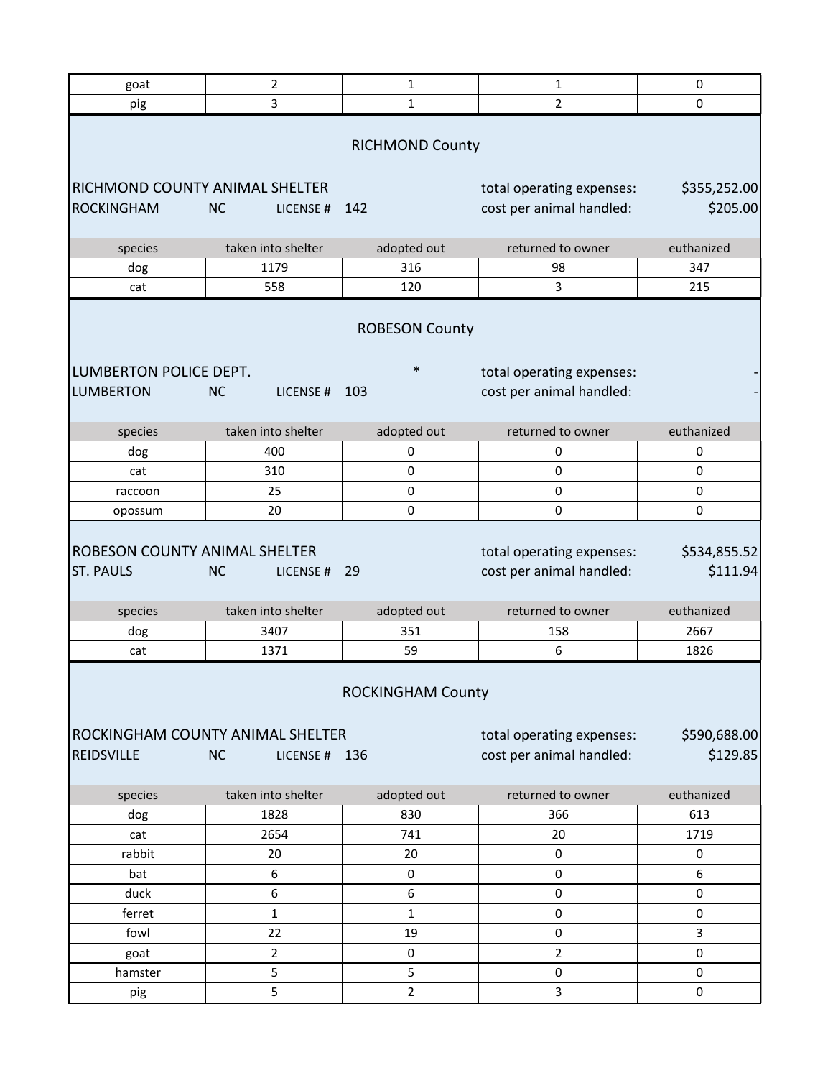| goat                                                     | $\overline{2}$             | $\mathbf{1}$             | 1                                                     | 0                        |  |  |
|----------------------------------------------------------|----------------------------|--------------------------|-------------------------------------------------------|--------------------------|--|--|
| pig                                                      | 3                          | $\mathbf{1}$             | $\overline{2}$                                        | 0                        |  |  |
| <b>RICHMOND County</b>                                   |                            |                          |                                                       |                          |  |  |
| RICHMOND COUNTY ANIMAL SHELTER<br><b>ROCKINGHAM</b>      | <b>NC</b><br>LICENSE#      | 142                      | total operating expenses:<br>cost per animal handled: | \$355,252.00<br>\$205.00 |  |  |
|                                                          |                            |                          |                                                       |                          |  |  |
| species                                                  | taken into shelter         | adopted out              | returned to owner                                     | euthanized               |  |  |
| dog                                                      | 1179                       | 316                      | 98                                                    | 347                      |  |  |
| cat                                                      | 558                        | 120                      | 3                                                     | 215                      |  |  |
|                                                          |                            | <b>ROBESON County</b>    |                                                       |                          |  |  |
| LUMBERTON POLICE DEPT.                                   |                            | $\ast$                   | total operating expenses:                             |                          |  |  |
| <b>LUMBERTON</b>                                         | <b>NC</b><br>LICENSE#      | 103                      | cost per animal handled:                              |                          |  |  |
|                                                          |                            |                          |                                                       |                          |  |  |
| species                                                  | taken into shelter         | adopted out              | returned to owner                                     | euthanized               |  |  |
| dog                                                      | 400                        | 0                        | 0                                                     | 0                        |  |  |
| cat                                                      | 310                        | 0                        | 0                                                     | 0                        |  |  |
| raccoon                                                  | 25                         | 0                        | 0                                                     | 0                        |  |  |
| opossum                                                  | 20                         | 0                        | 0                                                     | 0                        |  |  |
| <b>ROBESON COUNTY ANIMAL SHELTER</b><br><b>ST. PAULS</b> | <b>NC</b><br>LICENSE#      | 29                       | total operating expenses:<br>cost per animal handled: | \$534,855.52<br>\$111.94 |  |  |
| species                                                  | taken into shelter         | adopted out              | returned to owner                                     | euthanized               |  |  |
| dog                                                      | 3407                       | 351                      | 158                                                   | 2667                     |  |  |
| cat                                                      | 1371                       | 59                       | 6                                                     | 1826                     |  |  |
| ROCKINGHAM COUNTY ANIMAL SHELTER<br><b>REIDSVILLE</b>    | <b>NC</b><br>LICENSE # 136 | <b>ROCKINGHAM County</b> | total operating expenses:<br>cost per animal handled: | \$590,688.00<br>\$129.85 |  |  |
| species                                                  | taken into shelter         | adopted out              | returned to owner                                     | euthanized               |  |  |
| dog                                                      | 1828                       | 830                      | 366                                                   | 613                      |  |  |
| cat                                                      | 2654                       | 741                      | 20                                                    | 1719                     |  |  |
| rabbit                                                   | 20                         | 20                       | 0                                                     | 0                        |  |  |
| bat                                                      | 6                          | $\pmb{0}$                | 0                                                     | 6                        |  |  |
| duck                                                     | 6                          | 6                        | 0                                                     | 0                        |  |  |
| ferret                                                   | $\mathbf{1}$               | $\mathbf{1}$             | 0                                                     | 0                        |  |  |
| fowl                                                     | 22                         | 19                       | 0                                                     | 3                        |  |  |
| goat                                                     | $\overline{2}$             | $\pmb{0}$                | $\overline{2}$                                        | 0                        |  |  |
| hamster                                                  | 5                          | 5                        | 0                                                     | 0                        |  |  |
| pig                                                      | 5                          | $\overline{2}$           | 3                                                     | 0                        |  |  |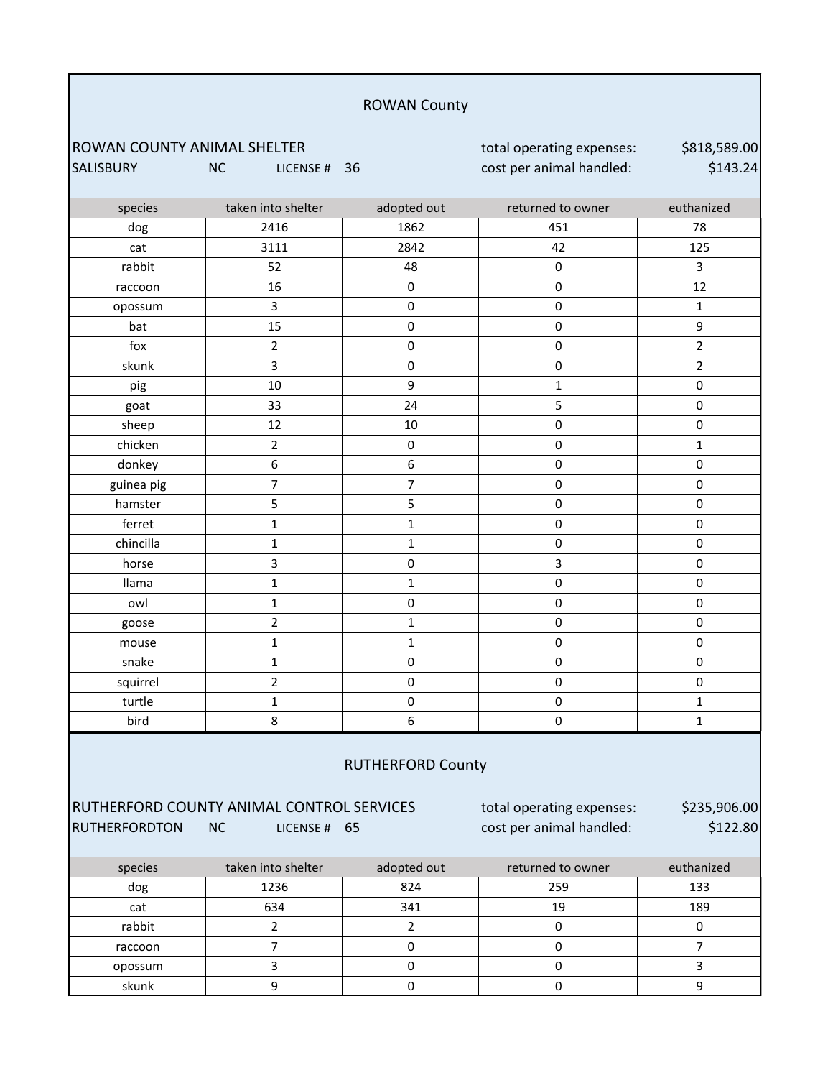#### ROWAN County

ROWAN COUNTY ANIMAL SHELTER total operating expenses: SALISBURY NC LICENSE # 36 cost per animal handled:

\$818,589.00 \$143.24

| species                  | taken into shelter | adopted out         | returned to owner   | euthanized     |  |
|--------------------------|--------------------|---------------------|---------------------|----------------|--|
| dog                      | 2416               | 1862                | 451                 | 78             |  |
| cat                      | 3111               | 2842                | 42                  | 125            |  |
| rabbit                   | 52                 | 48                  | $\pmb{0}$           | 3              |  |
| raccoon                  | 16                 | $\mathsf{O}\xspace$ | $\mathsf{O}\xspace$ | 12             |  |
| opossum                  | 3                  | $\mathsf{O}\xspace$ | $\mathsf 0$         | $\mathbf{1}$   |  |
| bat                      | 15                 | $\mathsf 0$         | $\mathsf 0$         | 9              |  |
| $f$                      | $\overline{2}$     | $\mathsf 0$         | $\mathsf 0$         | $\overline{2}$ |  |
| skunk                    | 3                  | $\mathsf 0$         | $\mathsf 0$         | $\overline{2}$ |  |
| pig                      | 10                 | 9                   | $\mathbf{1}$        | $\mathbf 0$    |  |
| goat                     | 33                 | 24                  | 5                   | $\mathbf 0$    |  |
| sheep                    | 12                 | 10                  | $\mathsf 0$         | $\mathbf 0$    |  |
| chicken                  | $\overline{2}$     | 0                   | $\pmb{0}$           | $\mathbf 1$    |  |
| donkey                   | 6                  | 6                   | $\pmb{0}$           | $\mathbf 0$    |  |
| guinea pig               | $\overline{7}$     | $\overline{7}$      | $\mathsf{O}\xspace$ | $\pmb{0}$      |  |
| hamster                  | 5                  | 5                   | $\pmb{0}$           | $\pmb{0}$      |  |
| ferret                   | $\mathbf 1$        | $\mathbf{1}$        | $\pmb{0}$           | $\mathbf 0$    |  |
| chincilla                | $\mathbf 1$        | $\mathbf{1}$        | $\pmb{0}$           | $\mathbf 0$    |  |
| horse                    | 3                  | $\mathsf 0$         | 3                   | $\mathbf 0$    |  |
| Ilama                    | $\mathbf 1$        | $\mathbf{1}$        | $\pmb{0}$           | $\pmb{0}$      |  |
| owl                      | $\mathbf{1}$       | $\pmb{0}$           | $\pmb{0}$           | $\pmb{0}$      |  |
| goose                    | $\overline{2}$     | $\mathbf 1$         | $\pmb{0}$           | $\mathbf 0$    |  |
| mouse                    | $\mathbf 1$        | $\mathbf 1$         | $\mathsf 0$         | $\mathbf 0$    |  |
| snake                    | $\mathbf 1$        | $\pmb{0}$           | $\pmb{0}$           | $\mathbf 0$    |  |
| squirrel                 | $\overline{2}$     | $\mathsf{O}\xspace$ | $\mathbf 0$         | $\mathbf 0$    |  |
| turtle                   | $\mathbf 1$        | $\pmb{0}$           | $\pmb{0}$           | $\mathbf{1}$   |  |
| bird                     | 8                  | 6                   | $\pmb{0}$           | $\mathbf{1}$   |  |
| <b>RUTHERFORD County</b> |                    |                     |                     |                |  |

### RUTHERFORD COUNTY ANIMAL CONTROL SERVICES total operating expenses: RUTHERFORDTON NC LICENSE # 65 cost per animal handled:

\$235,906.00 \$122.80

| species | taken into shelter | adopted out | returned to owner | euthanized |
|---------|--------------------|-------------|-------------------|------------|
| dog     | 1236               | 824         | 259               | 133        |
| cat     | 634                | 341         | 19                | 189        |
| rabbit  |                    |             |                   |            |
| raccoon |                    |             |                   |            |
| opossum |                    |             |                   |            |
| skunk   |                    |             |                   |            |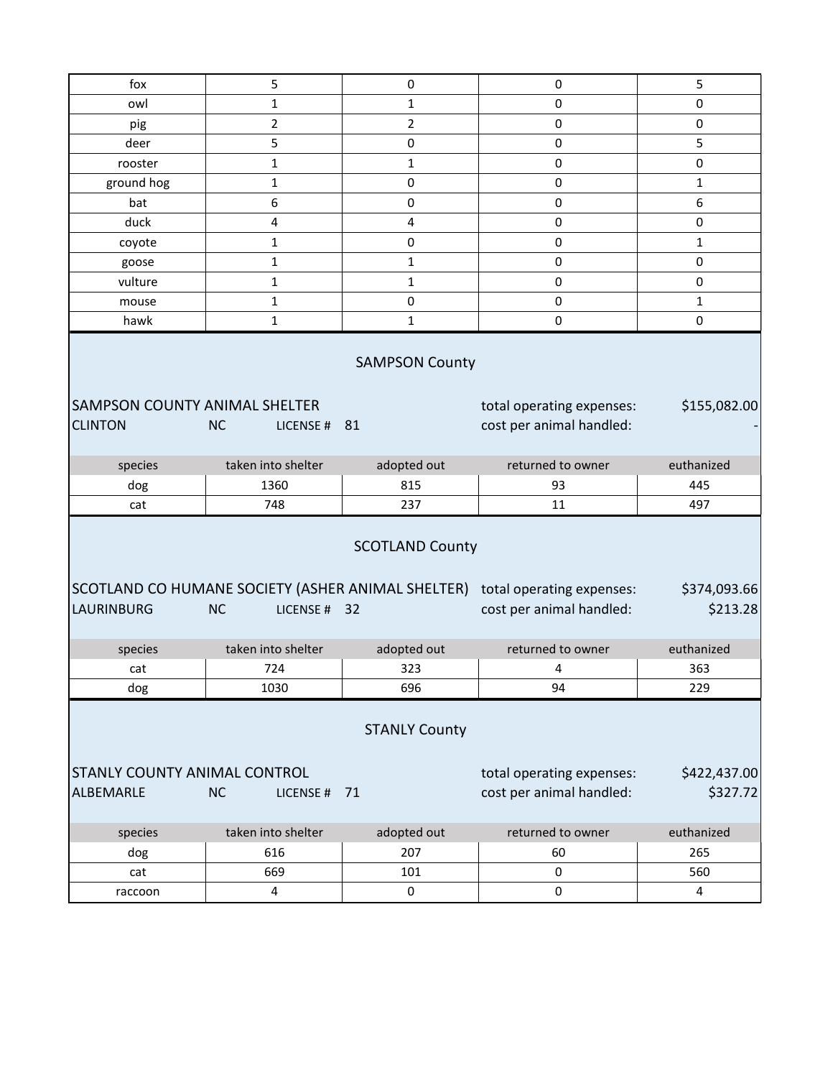| fox                                              | 5                              | $\pmb{0}$                         | 0                                                                                                       | 5                        |
|--------------------------------------------------|--------------------------------|-----------------------------------|---------------------------------------------------------------------------------------------------------|--------------------------|
| owl                                              | $\mathbf{1}$                   | $\mathbf{1}$                      | 0                                                                                                       | 0                        |
| pig                                              | $\overline{2}$                 | $\overline{2}$                    | 0                                                                                                       | $\pmb{0}$                |
| deer                                             | 5                              | 0                                 | 0                                                                                                       | 5                        |
| rooster                                          | $\mathbf{1}$                   | $\mathbf{1}$                      | 0                                                                                                       | $\pmb{0}$                |
| ground hog                                       | 1                              | $\pmb{0}$                         | 0                                                                                                       | $\mathbf{1}$             |
| bat                                              | 6                              | $\pmb{0}$                         | 0                                                                                                       | 6                        |
| duck                                             | 4                              | 4                                 | $\pmb{0}$                                                                                               | $\pmb{0}$                |
| coyote                                           | $\mathbf{1}$                   | $\pmb{0}$                         | 0                                                                                                       | $\mathbf{1}$             |
| goose                                            | 1                              | 1                                 | 0                                                                                                       | 0                        |
| vulture                                          | $\mathbf 1$                    | $\mathbf{1}$                      | 0                                                                                                       | $\mathbf 0$              |
| mouse                                            | $\mathbf{1}$                   | 0                                 | 0                                                                                                       | $\mathbf{1}$             |
| hawk                                             | $\mathbf 1$                    | $\mathbf{1}$                      | $\pmb{0}$                                                                                               | 0                        |
| SAMPSON COUNTY ANIMAL SHELTER<br><b>CLINTON</b>  | <b>NC</b><br>LICENSE#          | 81                                | total operating expenses:<br>cost per animal handled:                                                   | \$155,082.00             |
|                                                  |                                |                                   |                                                                                                         |                          |
| species                                          | taken into shelter             | adopted out                       | returned to owner                                                                                       | euthanized               |
| dog                                              | 1360                           | 815                               | 93                                                                                                      | 445                      |
| cat                                              | 748                            | 237                               | 11                                                                                                      | 497                      |
| <b>LAURINBURG</b>                                | <b>NC</b><br>LICENSE # 32      | <b>SCOTLAND County</b>            | SCOTLAND CO HUMANE SOCIETY (ASHER ANIMAL SHELTER) total operating expenses:<br>cost per animal handled: | \$374,093.66<br>\$213.28 |
|                                                  |                                |                                   |                                                                                                         |                          |
| species                                          | taken into shelter             | adopted out                       | returned to owner                                                                                       | euthanized               |
| cat                                              | 724                            | 323                               | 4<br>94                                                                                                 | 363<br>229               |
| dog<br>STANLY COUNTY ANIMAL CONTROL<br>ALBEMARLE | 1030<br><b>NC</b><br>LICENSE # | 696<br><b>STANLY County</b><br>71 | total operating expenses:<br>cost per animal handled:                                                   | \$422,437.00<br>\$327.72 |
|                                                  |                                |                                   |                                                                                                         |                          |
| species                                          | taken into shelter             | adopted out                       | returned to owner                                                                                       | euthanized               |
| dog<br>cat                                       | 616<br>669                     | 207<br>101                        | 60<br>$\pmb{0}$                                                                                         | 265<br>560               |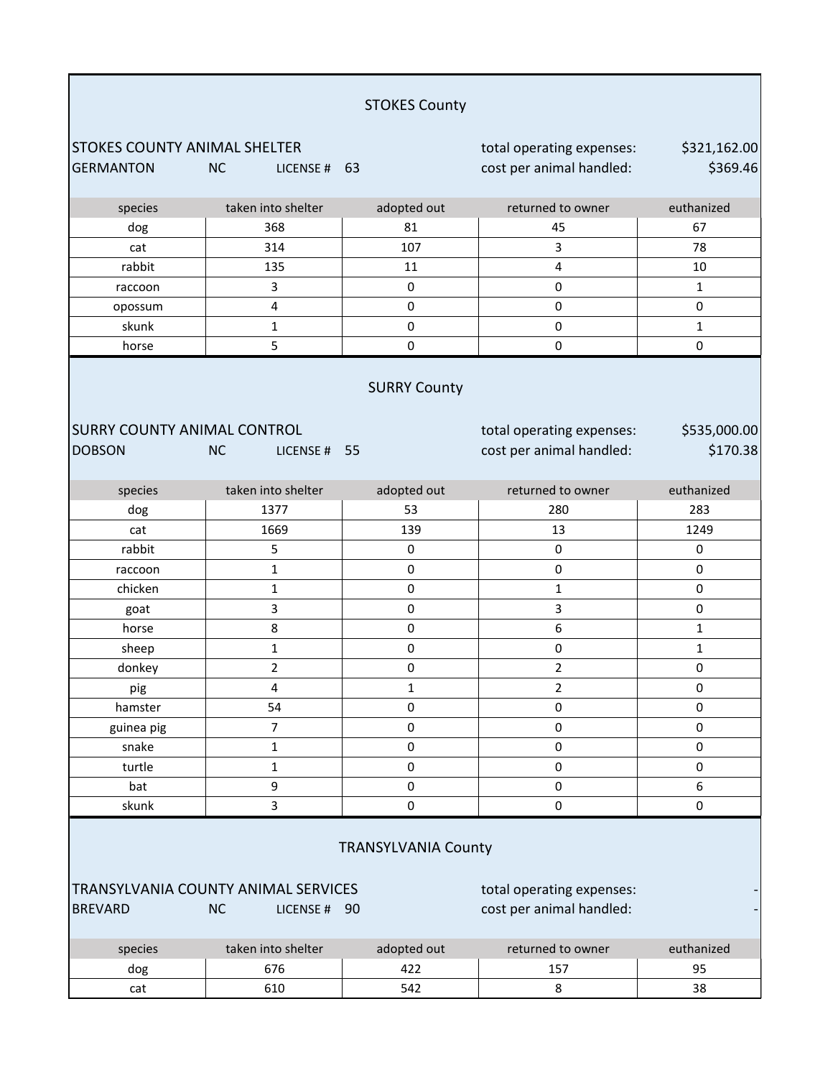|                                                                                                                                                                                              |                         | <b>STOKES County</b> |                                                       |                          |  |
|----------------------------------------------------------------------------------------------------------------------------------------------------------------------------------------------|-------------------------|----------------------|-------------------------------------------------------|--------------------------|--|
| <b>STOKES COUNTY ANIMAL SHELTER</b><br><b>GERMANTON</b>                                                                                                                                      | <b>NC</b><br>LICENSE#   | 63                   | total operating expenses:<br>cost per animal handled: | \$321,162.00<br>\$369.46 |  |
| species                                                                                                                                                                                      | taken into shelter      | adopted out          | returned to owner                                     | euthanized               |  |
| dog                                                                                                                                                                                          | 368                     | 81                   | 45                                                    | 67                       |  |
| cat                                                                                                                                                                                          | 314                     | 107                  | 3                                                     | 78                       |  |
| rabbit                                                                                                                                                                                       | 135                     | 11                   | 4                                                     | 10                       |  |
| raccoon                                                                                                                                                                                      | 3                       | $\pmb{0}$            | $\pmb{0}$                                             | $\mathbf{1}$             |  |
| opossum                                                                                                                                                                                      | $\overline{\mathbf{4}}$ | 0                    | 0                                                     | $\pmb{0}$                |  |
| skunk                                                                                                                                                                                        | $\mathbf{1}$            | $\pmb{0}$            | 0                                                     | 1                        |  |
| horse                                                                                                                                                                                        | 5                       | 0                    | 0                                                     | 0                        |  |
| <b>SURRY County</b><br><b>SURRY COUNTY ANIMAL CONTROL</b><br>total operating expenses:<br>\$535,000.00<br>\$170.38<br><b>DOBSON</b><br>cost per animal handled:<br><b>NC</b><br>LICENSE # 55 |                         |                      |                                                       |                          |  |
| species                                                                                                                                                                                      | taken into shelter      | adopted out          | returned to owner                                     | euthanized               |  |
| dog                                                                                                                                                                                          | 1377                    | 53                   | 280                                                   | 283                      |  |
| cat                                                                                                                                                                                          | 1669                    | 139                  | 13                                                    | 1249                     |  |
| rabbit                                                                                                                                                                                       | 5                       | $\pmb{0}$            | $\pmb{0}$                                             | 0                        |  |
| raccoon                                                                                                                                                                                      | $\mathbf{1}$            | $\pmb{0}$            | $\pmb{0}$                                             | $\pmb{0}$                |  |
| chicken                                                                                                                                                                                      | 1                       | $\pmb{0}$            | $\mathbf 1$                                           | $\pmb{0}$                |  |
| goat                                                                                                                                                                                         | 3                       | 0                    | 3                                                     | $\pmb{0}$                |  |
| horse                                                                                                                                                                                        | 8                       | $\pmb{0}$            | 6                                                     | 1                        |  |
| sheep                                                                                                                                                                                        | $\mathbf 1$             | $\pmb{0}$            | $\pmb{0}$                                             | $\mathbf{1}$             |  |
| donkey                                                                                                                                                                                       | $\overline{2}$          | $\pmb{0}$            | $\overline{2}$                                        | 0                        |  |
| pig                                                                                                                                                                                          | 4                       | $\mathbf{1}$         | 2                                                     | 0                        |  |
| hamster                                                                                                                                                                                      | 54                      | $\pmb{0}$            | 0                                                     | 0                        |  |
| guinea pig                                                                                                                                                                                   | $\overline{7}$          | $\pmb{0}$            | 0                                                     | $\pmb{0}$                |  |
| snake                                                                                                                                                                                        | $\mathbf 1$             | 0                    | 0                                                     | $\pmb{0}$                |  |
| turtle                                                                                                                                                                                       | $\mathbf 1$             | $\pmb{0}$            | 0                                                     | 0                        |  |
| bat                                                                                                                                                                                          | 9                       | 0                    | 0                                                     | 6                        |  |
| skunk                                                                                                                                                                                        | 3                       | $\pmb{0}$            | $\mathsf 0$                                           | $\pmb{0}$                |  |
| <b>TRANSYLVANIA County</b><br>TRANSYLVANIA COUNTY ANIMAL SERVICES<br>total operating expenses:<br>cost per animal handled:<br><b>NC</b><br><b>BREVARD</b><br>LICENSE # 90                    |                         |                      |                                                       |                          |  |
| species                                                                                                                                                                                      | taken into shelter      | adopted out          | returned to owner                                     | euthanized               |  |
| dog                                                                                                                                                                                          | 676                     | 422                  | 157                                                   | 95                       |  |
| cat                                                                                                                                                                                          | 610                     | 542                  | 8                                                     | 38                       |  |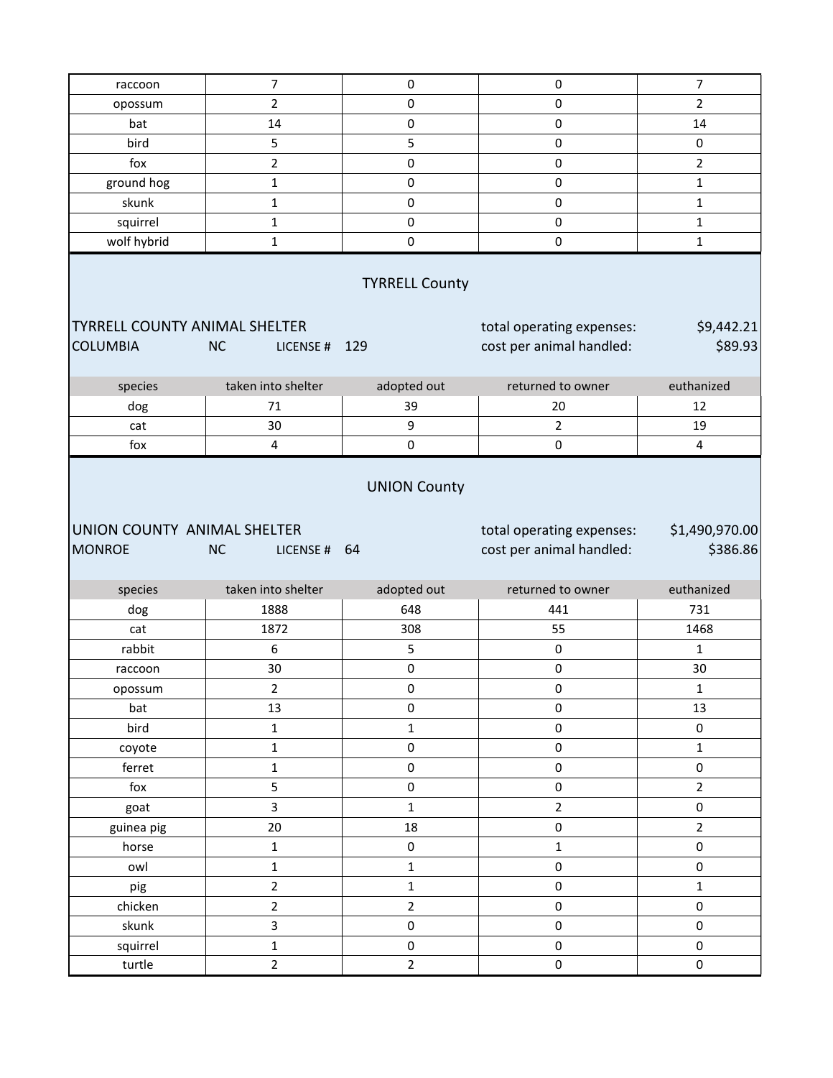| raccoon                                      | $\overline{7}$                | $\pmb{0}$                             | $\pmb{0}$                                             | $\overline{7}$             |
|----------------------------------------------|-------------------------------|---------------------------------------|-------------------------------------------------------|----------------------------|
| opossum                                      | $\mathbf 2$                   | $\mathsf 0$                           | $\pmb{0}$                                             | $\overline{2}$             |
| bat                                          | 14                            | $\pmb{0}$                             | $\pmb{0}$                                             | 14                         |
| bird                                         | 5                             | 5                                     | $\mathbf 0$                                           | $\pmb{0}$                  |
| fox                                          | $\overline{2}$                | $\pmb{0}$                             | $\pmb{0}$                                             | 2                          |
| ground hog                                   | $\mathbf{1}$                  | $\pmb{0}$                             | $\pmb{0}$                                             | $\mathbf{1}$               |
| skunk                                        | $\mathbf{1}$                  | $\mathsf 0$                           | $\pmb{0}$                                             | $\mathbf{1}$               |
| squirrel                                     | $\mathbf 1$                   | $\pmb{0}$                             | $\pmb{0}$                                             | 1                          |
| wolf hybrid                                  | $\mathbf{1}$                  | $\mathsf 0$                           | $\mathbf 0$                                           | $\mathbf{1}$               |
|                                              |                               | <b>TYRRELL County</b>                 |                                                       |                            |
| <b>TYRRELL COUNTY ANIMAL SHELTER</b>         |                               |                                       | total operating expenses:                             | \$9,442.21                 |
| <b>COLUMBIA</b>                              | <b>NC</b><br>LICENSE #        | 129                                   | cost per animal handled:                              | \$89.93                    |
|                                              |                               |                                       |                                                       |                            |
| species                                      | taken into shelter            | adopted out                           | returned to owner                                     | euthanized                 |
| dog                                          | 71                            | 39                                    | 20                                                    | 12                         |
| cat                                          | 30                            | 9                                     | $\overline{2}$                                        | 19                         |
| fox                                          | $\overline{4}$                | $\pmb{0}$                             | $\mathbf 0$                                           | 4                          |
| UNION COUNTY ANIMAL SHELTER<br><b>MONROE</b> | <b>NC</b><br>LICENSE #        | 64                                    | total operating expenses:<br>cost per animal handled: | \$1,490,970.00<br>\$386.86 |
| species                                      | taken into shelter            | adopted out                           | returned to owner                                     | euthanized                 |
| dog                                          | 1888                          | 648                                   | 441                                                   | 731                        |
| cat                                          | 1872                          | 308                                   | 55                                                    | 1468                       |
| rabbit                                       | 6                             | 5                                     | $\pmb{0}$                                             | $\mathbf{1}$               |
| raccoon                                      | 30                            | $\mathsf{O}\xspace$                   | $\pmb{0}$                                             | 30                         |
| opossum                                      | $\overline{2}$                | 0                                     | $\pmb{0}$                                             | $\mathbf{1}$               |
| bat                                          | 13                            | $\mathsf{O}\xspace$                   | $\pmb{0}$                                             | 13                         |
| bird                                         | $\mathbf 1$                   | $\mathbf 1$                           | $\mathsf{O}\xspace$                                   | 0                          |
| coyote                                       | $\mathbf 1$                   | $\pmb{0}$                             | $\mathsf{O}\xspace$                                   | $\mathbf{1}$               |
| ferret                                       | $\mathbf 1$                   | $\mathsf 0$                           | $\pmb{0}$                                             | $\pmb{0}$                  |
| fox                                          | 5                             | $\pmb{0}$                             | $\pmb{0}$                                             | $\overline{2}$             |
| goat                                         |                               |                                       |                                                       |                            |
| guinea pig                                   | $\overline{\mathbf{3}}$       | $\mathbf 1$                           | $\overline{2}$                                        | 0                          |
|                                              | 20                            | 18                                    | $\pmb{0}$                                             | $\overline{2}$             |
| horse                                        | $\mathbf 1$                   | $\mathsf 0$                           | $\mathbf{1}$                                          | $\mathsf 0$                |
| owl                                          | $\mathbf 1$                   | $\mathbf{1}$                          | $\mathsf{O}\xspace$                                   | 0                          |
| pig                                          | $\overline{2}$                | $\mathbf 1$                           | $\pmb{0}$                                             | $\mathbf{1}$               |
| chicken                                      | $\mathbf 2$                   | $\overline{2}$                        | $\pmb{0}$                                             | $\mathsf{O}\xspace$        |
| skunk                                        | $\overline{\mathbf{3}}$       | $\pmb{0}$                             | $\mathsf{O}\xspace$                                   | 0                          |
| squirrel                                     | $\mathbf 1$<br>$\overline{2}$ | $\mathsf{O}\xspace$<br>$\overline{2}$ | $\pmb{0}$                                             | 0                          |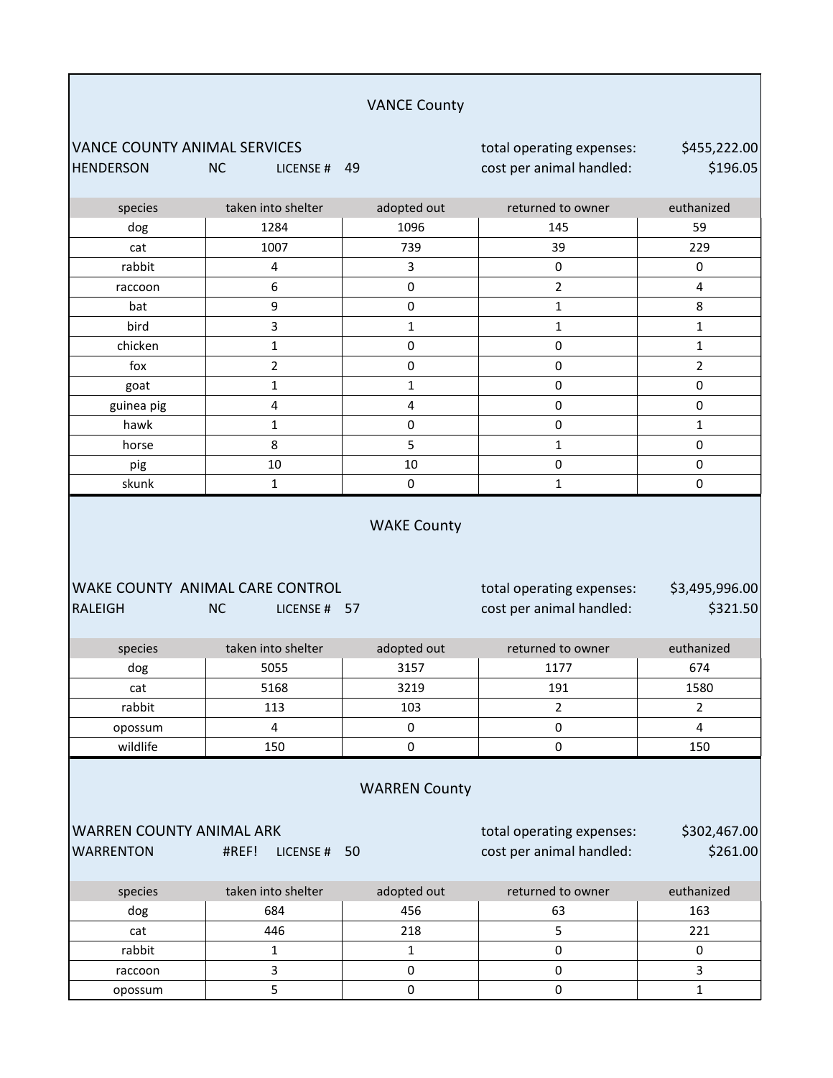|                                                         |                                                              | <b>VANCE County</b>     |                                                       |                            |  |
|---------------------------------------------------------|--------------------------------------------------------------|-------------------------|-------------------------------------------------------|----------------------------|--|
| <b>VANCE COUNTY ANIMAL SERVICES</b><br><b>HENDERSON</b> | <b>NC</b><br>LICENSE # 49                                    |                         | total operating expenses:<br>cost per animal handled: | \$455,222.00<br>\$196.05   |  |
| species                                                 | taken into shelter                                           | adopted out             | returned to owner                                     | euthanized                 |  |
| dog                                                     | 1284                                                         | 1096                    | 145                                                   | 59                         |  |
| cat                                                     | 1007                                                         | 739                     | 39                                                    | 229                        |  |
| rabbit                                                  | 4                                                            | 3                       | $\pmb{0}$                                             | 0                          |  |
| raccoon                                                 | 6                                                            | $\mathsf 0$             | $\overline{2}$                                        | 4                          |  |
| bat                                                     | 9                                                            | $\pmb{0}$               | 1                                                     | 8                          |  |
| bird                                                    | 3                                                            | $\mathbf{1}$            | $\mathbf{1}$                                          | $\mathbf 1$                |  |
| chicken                                                 | $\mathbf 1$                                                  | $\mathsf 0$             | $\mathsf 0$                                           | $\mathbf 1$                |  |
| fox                                                     | $\overline{2}$                                               | $\pmb{0}$               | 0                                                     | 2                          |  |
| goat                                                    | $\mathbf 1$                                                  | $\mathbf{1}$            | $\pmb{0}$                                             | $\pmb{0}$                  |  |
| guinea pig                                              | 4                                                            | $\overline{\mathbf{4}}$ | 0                                                     | 0                          |  |
| hawk                                                    | 1                                                            | 0                       | $\pmb{0}$                                             | 1                          |  |
| horse                                                   | 8                                                            | 5                       | $\mathbf{1}$                                          | $\pmb{0}$                  |  |
| pig                                                     | 10                                                           | 10                      | 0                                                     | $\pmb{0}$                  |  |
| skunk                                                   | 1                                                            | 0                       | $\mathbf{1}$                                          | 0                          |  |
| <b>RALEIGH</b>                                          | WAKE COUNTY ANIMAL CARE CONTROL<br><b>NC</b><br>LICENSE # 57 |                         | total operating expenses:<br>cost per animal handled: | \$3,495,996.00<br>\$321.50 |  |
| species                                                 | taken into shelter                                           | adopted out             | returned to owner                                     | euthanized                 |  |
| dog                                                     | 5055                                                         | 3157                    | 1177                                                  | 674                        |  |
| cat                                                     | 5168                                                         | 3219                    | 191                                                   | 1580                       |  |
| rabbit                                                  | 113                                                          | 103                     | $\overline{2}$                                        | $\overline{2}$             |  |
| opossum                                                 | 4                                                            | $\pmb{0}$               | $\pmb{0}$                                             | 4                          |  |
| wildlife                                                | 150                                                          | 0                       | 0                                                     | 150                        |  |
| <b>WARREN County</b>                                    |                                                              |                         |                                                       |                            |  |
| <b>WARREN COUNTY ANIMAL ARK</b><br><b>WARRENTON</b>     | #REF!<br>LICENSE #                                           | 50                      | total operating expenses:<br>cost per animal handled: | \$302,467.00<br>\$261.00   |  |
| species                                                 | taken into shelter                                           | adopted out             | returned to owner                                     | euthanized                 |  |
| dog                                                     | 684                                                          | 456                     | 63                                                    | 163                        |  |
| cat                                                     | 446                                                          | 218                     | 5                                                     | 221                        |  |
| rabbit                                                  | $\mathbf 1$                                                  | $\mathbf{1}$            | $\pmb{0}$                                             | $\mathbf 0$                |  |
| raccoon                                                 | 3                                                            | $\pmb{0}$               | 0                                                     | 3                          |  |
| opossum                                                 | 5                                                            | $\pmb{0}$               | $\pmb{0}$                                             | $\mathbf 1$                |  |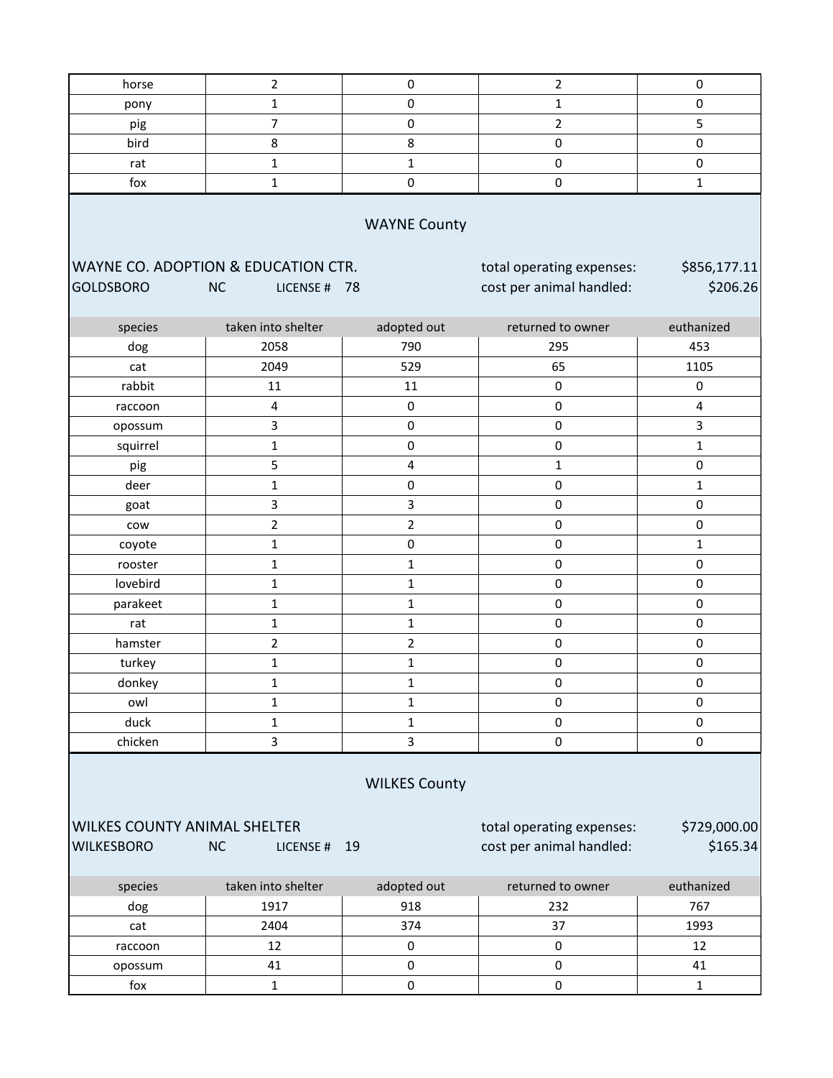| horse                                                                                                   | $\overline{2}$            | $\mathbf 0$             | $\overline{2}$                                        | $\pmb{0}$                |  |
|---------------------------------------------------------------------------------------------------------|---------------------------|-------------------------|-------------------------------------------------------|--------------------------|--|
| pony                                                                                                    | $\mathbf{1}$              | $\pmb{0}$               | $\mathbf{1}$                                          | $\pmb{0}$                |  |
| pig                                                                                                     | $\boldsymbol{7}$          | $\pmb{0}$               | $\overline{2}$                                        | 5                        |  |
| bird                                                                                                    | 8                         | 8                       | $\mathsf 0$                                           | $\pmb{0}$                |  |
| rat                                                                                                     | $\mathbf 1$               | $\mathbf{1}$            | $\pmb{0}$                                             | $\pmb{0}$                |  |
| fox                                                                                                     | $\mathbf 1$               | $\pmb{0}$               | $\pmb{0}$                                             | $\mathbf 1$              |  |
| <b>WAYNE County</b><br>WAYNE CO. ADOPTION & EDUCATION CTR.<br>\$856,177.11<br>total operating expenses: |                           |                         |                                                       |                          |  |
| <b>GOLDSBORO</b>                                                                                        | <b>NC</b><br>LICENSE # 78 |                         | cost per animal handled:                              | \$206.26                 |  |
| species                                                                                                 | taken into shelter        | adopted out             | returned to owner                                     | euthanized               |  |
| dog                                                                                                     | 2058                      | 790                     | 295                                                   | 453                      |  |
| cat                                                                                                     | 2049                      | 529                     | 65                                                    | 1105                     |  |
| rabbit                                                                                                  | 11                        | 11                      | $\pmb{0}$                                             | $\pmb{0}$                |  |
| raccoon                                                                                                 | $\pmb{4}$                 | $\pmb{0}$               | $\pmb{0}$                                             | $\overline{\mathbf{4}}$  |  |
| opossum                                                                                                 | $\mathsf{3}$              | $\pmb{0}$               | $\pmb{0}$                                             | 3                        |  |
| squirrel                                                                                                | $\mathbf 1$               | $\pmb{0}$               | $\pmb{0}$                                             | $\mathbf 1$              |  |
| pig                                                                                                     | 5                         | $\overline{\mathbf{4}}$ | $\mathbf{1}$                                          | $\pmb{0}$                |  |
| deer                                                                                                    | $\mathbf 1$               | $\pmb{0}$               | $\pmb{0}$                                             | $\mathbf{1}$             |  |
| goat                                                                                                    | 3                         | 3                       | $\pmb{0}$                                             | $\pmb{0}$                |  |
| cow                                                                                                     | $\overline{2}$            | $\overline{2}$          | $\pmb{0}$                                             | $\pmb{0}$                |  |
| coyote                                                                                                  | $\mathbf 1$               | $\pmb{0}$               | $\pmb{0}$                                             | $\mathbf{1}$             |  |
| rooster                                                                                                 | $\mathbf 1$               | $\mathbf{1}$            | $\pmb{0}$                                             | $\pmb{0}$                |  |
| lovebird                                                                                                | $\mathbf 1$               | $\mathbf{1}$            | $\pmb{0}$                                             | $\mathbf 0$              |  |
| parakeet                                                                                                | $\mathbf 1$               | 1                       | $\pmb{0}$                                             | $\pmb{0}$                |  |
| rat                                                                                                     | $\mathbf 1$               | 1                       | $\pmb{0}$                                             | $\pmb{0}$                |  |
| hamster                                                                                                 | $\overline{2}$            | $\overline{2}$          | $\pmb{0}$                                             | $\pmb{0}$                |  |
| turkey                                                                                                  | $\mathbf 1$               | $\mathbf 1$             | 0                                                     | $\pmb{0}$                |  |
| donkey                                                                                                  | $\mathbf 1$               | $\mathbf 1$             | 0                                                     | $\mathbf 0$              |  |
| owl                                                                                                     | $\mathbf{1}$              | $\mathbf{1}$            | 0                                                     | $\pmb{0}$                |  |
| duck                                                                                                    | $\mathbf{1}$              | $\mathbf{1}$            | $\pmb{0}$                                             | $\pmb{0}$                |  |
| chicken                                                                                                 | $\overline{\mathbf{3}}$   | 3                       | $\pmb{0}$                                             | $\pmb{0}$                |  |
| <b>WILKES County</b>                                                                                    |                           |                         |                                                       |                          |  |
| WILKES COUNTY ANIMAL SHELTER<br><b>WILKESBORO</b>                                                       | NC<br>LICENSE # 19        |                         | total operating expenses:<br>cost per animal handled: | \$729,000.00<br>\$165.34 |  |
| species                                                                                                 | taken into shelter        | adopted out             | returned to owner                                     | euthanized               |  |
| dog                                                                                                     | 1917                      | 918                     | 232                                                   | 767                      |  |
| cat                                                                                                     | 2404                      | 374                     | 37                                                    | 1993                     |  |
| raccoon                                                                                                 | 12                        | $\pmb{0}$               | $\pmb{0}$                                             | 12                       |  |
| opossum                                                                                                 | 41                        | $\pmb{0}$               | $\pmb{0}$                                             | 41                       |  |
| fox                                                                                                     | $\mathbf{1}$              | $\pmb{0}$               | $\pmb{0}$                                             | $\mathbf{1}$             |  |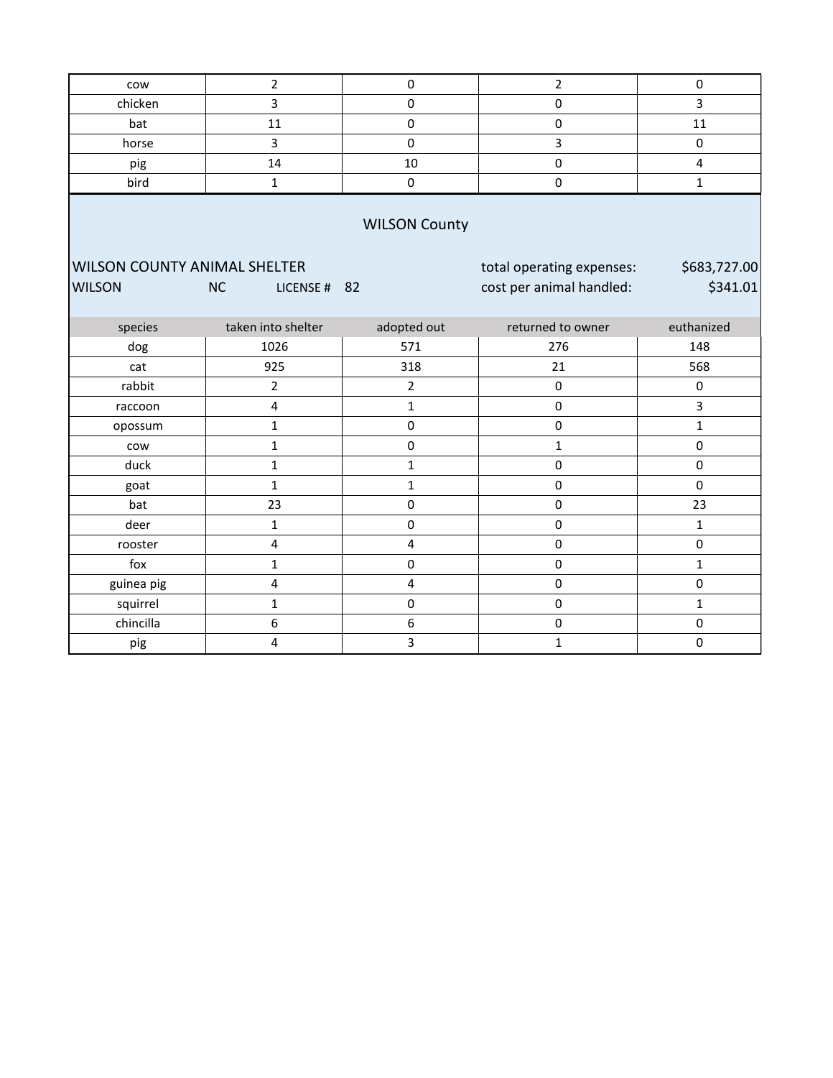| cow                                 | $\overline{2}$            | $\pmb{0}$               | $\overline{2}$            | $\mathsf 0$  |  |  |  |  |  |  |  |
|-------------------------------------|---------------------------|-------------------------|---------------------------|--------------|--|--|--|--|--|--|--|
| chicken                             | 3                         | $\pmb{0}$               | $\mathsf{O}\xspace$       | 3            |  |  |  |  |  |  |  |
| bat                                 | 11                        | $\pmb{0}$               | $\pmb{0}$                 | 11           |  |  |  |  |  |  |  |
| horse                               | $\overline{3}$            | $\mathbf 0$             | 3                         | $\mathsf 0$  |  |  |  |  |  |  |  |
| pig                                 | 14                        | 10                      | $\pmb{0}$                 | 4            |  |  |  |  |  |  |  |
| bird                                | $\mathbf 1$               | $\pmb{0}$               | $\mathsf 0$               | $\mathbf{1}$ |  |  |  |  |  |  |  |
| <b>WILSON County</b>                |                           |                         |                           |              |  |  |  |  |  |  |  |
| <b>WILSON COUNTY ANIMAL SHELTER</b> |                           |                         | total operating expenses: | \$683,727.00 |  |  |  |  |  |  |  |
| <b>WILSON</b>                       | <b>NC</b><br>LICENSE # 82 |                         | cost per animal handled:  | \$341.01     |  |  |  |  |  |  |  |
|                                     |                           |                         |                           |              |  |  |  |  |  |  |  |
| species                             | taken into shelter        | adopted out             | returned to owner         | euthanized   |  |  |  |  |  |  |  |
| dog                                 | 1026                      | 571                     | 276                       | 148          |  |  |  |  |  |  |  |
| cat                                 | 925                       | 318                     | 21                        | 568          |  |  |  |  |  |  |  |
| rabbit                              | $\overline{2}$            | 2                       | $\mathsf 0$               | 0            |  |  |  |  |  |  |  |
| raccoon                             | $\overline{\mathbf{4}}$   | $\mathbf{1}$            | $\pmb{0}$                 | 3            |  |  |  |  |  |  |  |
| opossum                             | $\mathbf{1}$              | $\mathbf 0$             | $\pmb{0}$                 | $\mathbf{1}$ |  |  |  |  |  |  |  |
| cow                                 | $\mathbf{1}$              | $\pmb{0}$               | $\mathbf{1}$              | $\mathsf 0$  |  |  |  |  |  |  |  |
| duck                                | $\mathbf 1$               | $\mathbf{1}$            | $\mathsf 0$               | $\pmb{0}$    |  |  |  |  |  |  |  |
| goat                                | $\mathbf{1}$              | $\mathbf{1}$            | $\mathbf 0$               | $\mathsf 0$  |  |  |  |  |  |  |  |
| bat                                 | 23                        | $\mathbf 0$             | $\mathbf 0$               | 23           |  |  |  |  |  |  |  |
| deer                                | $\mathbf{1}$              | $\pmb{0}$               | $\mathsf 0$               | $\mathbf{1}$ |  |  |  |  |  |  |  |
| rooster                             | $\overline{\mathbf{4}}$   | $\overline{\mathbf{4}}$ | $\pmb{0}$                 | 0            |  |  |  |  |  |  |  |
| fox                                 | $\mathbf{1}$              | $\mathbf 0$             | $\mathsf 0$               | $\mathbf{1}$ |  |  |  |  |  |  |  |
| guinea pig                          | 4                         | 4                       | $\mathsf 0$               | $\mathbf 0$  |  |  |  |  |  |  |  |
| squirrel                            | $\mathbf 1$               | $\mathbf 0$             | $\mathbf 0$               | $\mathbf{1}$ |  |  |  |  |  |  |  |
| chincilla                           | 6                         | 6                       | $\mathsf 0$               | $\pmb{0}$    |  |  |  |  |  |  |  |
| pig                                 | 4                         | 3                       | $\mathbf{1}$              | $\mathsf 0$  |  |  |  |  |  |  |  |